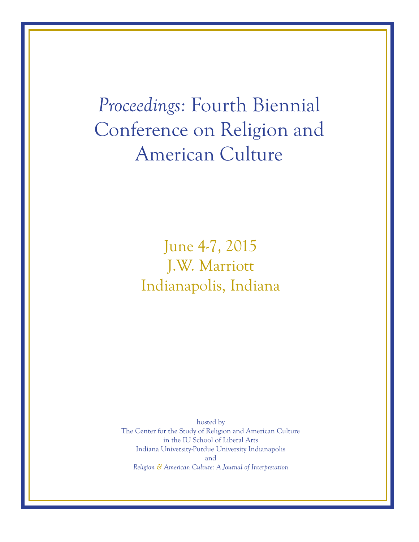*Proceedings:* Fourth Biennial Conference on Religion and American Culture

> June 4-7, 2015 J.W. Marriott Indianapolis, Indiana

hosted by The Center for the Study of Religion and American Culture in the IU School of Liberal Arts Indiana University-Purdue University Indianapolis and *Religion & American Culture: A Journal of Interpretation*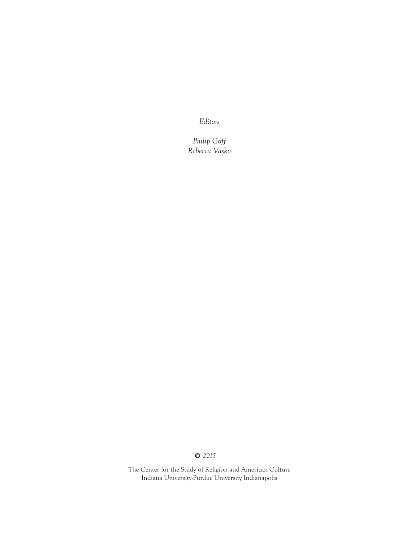*Editors*

*Philip Goff Rebecca Vasko*

## c *2015*

The Center for the Study of Religion and American Culture Indiana University-Purdue University Indianapolis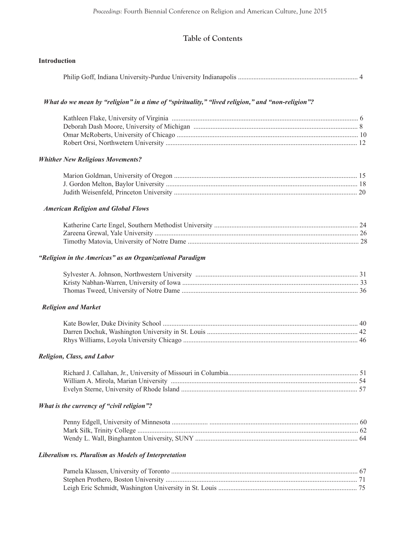# **Table of Contents**

| Introduction                                                                                     |  |
|--------------------------------------------------------------------------------------------------|--|
|                                                                                                  |  |
| What do we mean by "religion" in a time of "spirituality," "lived religion," and "non-religion"? |  |
|                                                                                                  |  |
| <b>Whither New Religious Movements?</b>                                                          |  |
|                                                                                                  |  |
| <b>American Religion and Global Flows</b>                                                        |  |
|                                                                                                  |  |
| "Religion in the Americas" as an Organizational Paradigm                                         |  |
|                                                                                                  |  |
| <b>Religion and Market</b>                                                                       |  |
|                                                                                                  |  |
| <b>Religion, Class, and Labor</b>                                                                |  |
|                                                                                                  |  |
| What is the currency of "civil religion"?                                                        |  |
|                                                                                                  |  |
| Liberalism vs. Pluralism as Models of Interpretation                                             |  |
|                                                                                                  |  |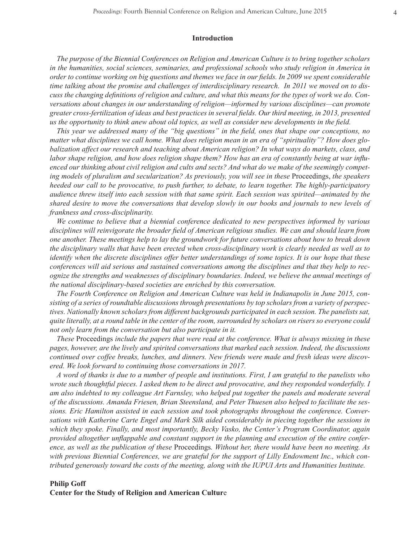#### **Introduction**

*The purpose of the Biennial Conferences on Religion and American Culture is to bring together scholars in the humanities, social sciences, seminaries, and professional schools who study religion in America in order to continue working on big questions and themes we face in our fields. In 2009 we spent considerable time talking about the promise and challenges of interdisciplinary research. In 2011 we moved on to discuss the changing definitions of religion and culture, and what this means for the types of work we do. Conversations about changes in our understanding of religion—informed by various disciplines—can promote greater cross-fertilization of ideas and best practices in several fields. Our third meeting, in 2013, presented us the opportunity to think anew about old topics, as well as consider new developments in the field.*

*This year we addressed many of the "big questions" in the field, ones that shape our conceptions, no matter what disciplines we call home. What does religion mean in an era of "spirituality"? How does globalization affect our research and teaching about American religion? In what ways do markets, class, and*  labor shape religion, and how does religion shape them? How has an era of constantly being at war influ*enced our thinking about civil religion and cults and sects? And what do we make of the seemingly competing models of pluralism and secularization? As previously, you will see in these* Proceedings, *the speakers heeded our call to be provocative, to push further, to debate, to learn together. The highly-participatory audience threw itself into each session with that same spirit. Each session was spirited—animated by the shared desire to move the conversations that develop slowly in our books and journals to new levels of frankness and cross-disciplinarity.*

*We continue to believe that a biennial conference dedicated to new perspectives informed by various disciplines will reinvigorate the broader field of American religious studies. We can and should learn from one another. These meetings help to lay the groundwork for future conversations about how to break down the disciplinary walls that have been erected when cross-disciplinary work is clearly needed as well as to identify when the discrete disciplines offer better understandings of some topics. It is our hope that these conferences will aid serious and sustained conversations among the disciplines and that they help to recognize the strengths and weaknesses of disciplinary boundaries. Indeed, we believe the annual meetings of the national disciplinary-based societies are enriched by this conversation.*

*The Fourth Conference on Religion and American Culture was held in Indianapolis in June 2015, consisting of a series of roundtable discussions through presentations by top scholars from a variety of perspectives. Nationally known scholars from different backgrounds participated in each session. The panelists sat, quite literally, at a round table in the center of the room, surrounded by scholars on risers so everyone could not only learn from the conversation but also participate in it.* 

*These* Proceedings *include the papers that were read at the conference. What is always missing in these pages, however, are the lively and spirited conversations that marked each session. Indeed, the discussions continued over coffee breaks, lunches, and dinners. New friends were made and fresh ideas were discovered. We look forward to continuing those conversations in 2017.*

*A word of thanks is due to a number of people and institutions. First, I am grateful to the panelists who wrote such thoughtful pieces. I asked them to be direct and provocative, and they responded wonderfully. I am also indebted to my colleague Art Farnsley, who helped put together the panels and moderate several of the discussions. Amanda Friesen, Brian Steensland, and Peter Thuesen also helped to facilitate the sessions. Eric Hamilton assisted in each session and took photographs throughout the conference. Conversations with Katherine Carte Engel and Mark Silk aided considerably in piecing together the sessions in which they spoke. Finally, and most importantly, Becky Vasko, the Center's Program Coordinator, again provided altogether unflappable and constant support in the planning and execution of the entire conference, as well as the publication of these* Proceedings*. Without her, there would have been no meeting. As with previous Biennial Conferences, we are grateful for the support of Lilly Endowment Inc., which contributed generously toward the costs of the meeting, along with the IUPUI Arts and Humanities Institute.*

#### **Philip Goff Center for the Study of Religion and American Cultur**e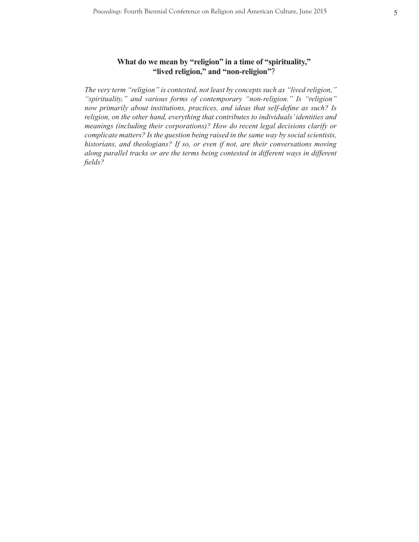## **What do we mean by "religion" in a time of "spirituality," "lived religion," and "non-religion"**?

*The very term "religion" is contested, not least by concepts such as "lived religion," "spirituality," and various forms of contemporary "non-religion." Is "religion" now primarily about institutions, practices, and ideas that self-define as such? Is religion, on the other hand, everything that contributes to individuals' identities and meanings (including their corporations)? How do recent legal decisions clarify or complicate matters? Is the question being raised in the same way by social scientists, historians, and theologians? If so, or even if not, are their conversations moving along parallel tracks or are the terms being contested in different ways in different fields?*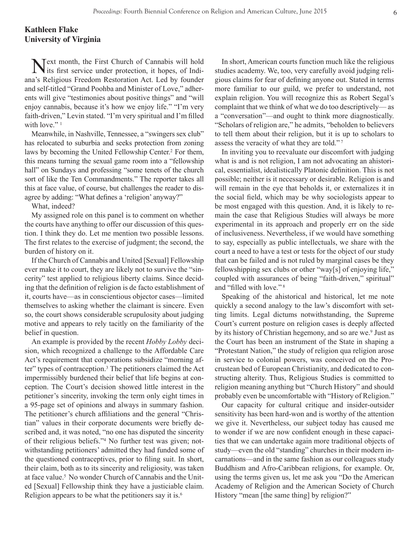## **Kathleen Flake University of Virginia**

Next month, the First Church of Cannabis will hold its first service under protection, it hopes, of Indiana's Religious Freedom Restoration Act. Led by founder and self-titled "Grand Poohba and Minister of Love," adherents will give "testimonies about positive things" and "will enjoy cannabis, because it's how we enjoy life." "I'm very faith-driven," Levin stated. "I'm very spiritual and I'm filled with love."<sup>1</sup>

Meanwhile, in Nashville, Tennessee, a "swingers sex club" has relocated to suburbia and seeks protection from zoning laws by becoming the United Fellowship Center.<sup>2</sup> For them, this means turning the sexual game room into a "fellowship hall" on Sundays and professing "some tenets of the church sort of like the Ten Commandments." The reporter takes all this at face value, of course, but challenges the reader to disagree by adding: "What defines a 'religion' anyway?"

What, indeed?

My assigned role on this panel is to comment on whether the courts have anything to offer our discussion of this question. I think they do. Let me mention two possible lessons. The first relates to the exercise of judgment; the second, the burden of history on it.

If the Church of Cannabis and United [Sexual] Fellowship ever make it to court, they are likely not to survive the "sincerity" test applied to religious liberty claims. Since deciding that the definition of religion is de facto establishment of it, courts have—as in conscientious objector cases—limited themselves to asking whether the claimant is sincere. Even so, the court shows considerable scrupulosity about judging motive and appears to rely tacitly on the familiarity of the belief in question.

An example is provided by the recent *Hobby Lobby* decision, which recognized a challenge to the Affordable Care Act's requirement that corporations subsidize "morning after" types of contraception.3 The petitioners claimed the Act impermissibly burdened their belief that life begins at conception. The Court's decision showed little interest in the petitioner's sincerity, invoking the term only eight times in a 95-page set of opinions and always in summary fashion. The petitioner's church affiliations and the general "Christian" values in their corporate documents were briefly described and, it was noted, "no one has disputed the sincerity of their religious beliefs."4 No further test was given; notwithstanding petitioners' admitted they had funded some of the questioned contraceptives, prior to filing suit. In short, their claim, both as to its sincerity and religiosity, was taken at face value.<sup>5</sup> No wonder Church of Cannabis and the United [Sexual] Fellowship think they have a justiciable claim. Religion appears to be what the petitioners say it is. $<sup>6</sup>$ </sup>

In short, American courts function much like the religious studies academy. We, too, very carefully avoid judging religious claims for fear of defining anyone out. Stated in terms more familiar to our guild, we prefer to understand, not explain religion. You will recognize this as Robert Segal's complaint that we think of what we do too descriptively— as a "conversation"—and ought to think more diagnostically. "Scholars of religion are," he admits, "beholden to believers to tell them about their religion, but it is up to scholars to assess the veracity of what they are told."<sup>7</sup>

In inviting you to reevaluate our discomfort with judging what is and is not religion, I am not advocating an ahistorical, essentialist, idealistically Platonic definition. This is not possible; neither is it necessary or desirable. Religion is and will remain in the eye that beholds it, or externalizes it in the social field, which may be why sociologists appear to be most engaged with this question. And, it is likely to remain the case that Religious Studies will always be more experimental in its approach and properly err on the side of inclusiveness. Nevertheless, if we would have something to say, especially as public intellectuals, we share with the court a need to have a test or tests for the object of our study that can be failed and is not ruled by marginal cases be they fellowshipping sex clubs or other "way[s] of enjoying life," coupled with assurances of being "faith-driven," spiritual" and "filled with love."<sup>8</sup>

Speaking of the ahistorical and historical, let me note quickly a second analogy to the law's discomfort with setting limits. Legal dictums notwithstanding, the Supreme Court's current posture on religion cases is deeply affected by its history of Christian hegemony, and so are we.<sup>9</sup> Just as the Court has been an instrument of the State in shaping a "Protestant Nation," the study of religion qua religion arose in service to colonial powers, was conceived on the Procrustean bed of European Christianity, and dedicated to constructing alterity. Thus, Religious Studies is committed to religion meaning anything but "Church History" and should probably even be uncomfortable with "History of Religion."

Our capacity for cultural critique and insider-outsider sensitivity has been hard-won and is worthy of the attention we give it. Nevertheless, our subject today has caused me to wonder if we are now confident enough in these capacities that we can undertake again more traditional objects of study—even the old "standing" churches in their modern incarnations—and in the same fashion as our colleagues study Buddhism and Afro-Caribbean religions, for example. Or, using the terms given us, let me ask you "Do the American Academy of Religion and the American Society of Church History "mean [the same thing] by religion?"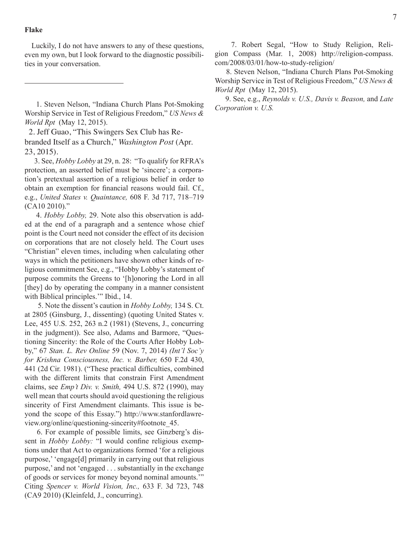### **Flake**

Luckily, I do not have answers to any of these questions, even my own, but I look forward to the diagnostic possibilities in your conversation.

 2. Jeff Guao, "This Swingers Sex Club has Rebranded Itself as a Church," *Washington Post* (Apr. 23, 2015).

 3. See, *Hobby Lobby* at 29, n. 28: "To qualify for RFRA's protection, an asserted belief must be 'sincere'; a corporation's pretextual assertion of a religious belief in order to obtain an exemption for financial reasons would fail. Cf., e.g., *United States v. Quaintance,* 608 F. 3d 717, 718–719 (CA10 2010)."

 4. *Hobby Lobby,* 29. Note also this observation is added at the end of a paragraph and a sentence whose chief point is the Court need not consider the effect of its decision on corporations that are not closely held. The Court uses "Christian" eleven times, including when calculating other ways in which the petitioners have shown other kinds of religious commitment See, e.g., "Hobby Lobby's statement of purpose commits the Greens to '[h]onoring the Lord in all [they] do by operating the company in a manner consistent with Biblical principles." Ibid., 14.

 5. Note the dissent's caution in *Hobby Lobby,* 134 S. Ct. at 2805 (Ginsburg, J., dissenting) (quoting United States v. Lee, 455 U.S. 252, 263 n.2 (1981) (Stevens, J., concurring in the judgment)). See also, Adams and Barmore, "Questioning Sincerity: the Role of the Courts After Hobby Lobby," 67 *Stan. L. Rev Online* 59 (Nov. 7, 2014) *(Int'l Soc'y for Krishna Consciousness, Inc. v. Barber,* 650 F.2d 430, 441 (2d Cir. 1981). ("These practical difficulties, combined with the different limits that constrain First Amendment claims, see *Emp't Div. v. Smith,* 494 U.S. 872 (1990), may well mean that courts should avoid questioning the religious sincerity of First Amendment claimants. This issue is beyond the scope of this Essay.") http://www.stanfordlawreview.org/online/questioning-sincerity#footnote\_45.

 6. For example of possible limits, see Ginzberg's dissent in *Hobby Lobby:* "I would confine religious exemptions under that Act to organizations formed 'for a religious purpose,' 'engage[d] primarily in carrying out that religious purpose,' and not 'engaged . . . substantially in the exchange of goods or services for money beyond nominal amounts.'" Citing *Spencer v. World Vision, Inc.,* 633 F. 3d 723, 748 (CA9 2010) (Kleinfeld, J., concurring).

 7. Robert Segal, "How to Study Religion, Religion Compass (Mar. 1, 2008) http://religion-compass. com/2008/03/01/how-to-study-religion/

 8. Steven Nelson, "Indiana Church Plans Pot-Smoking Worship Service in Test of Religious Freedom," *US News & World Rpt* (May 12, 2015).

 9. See, e.g., *Reynolds v. U.S., Davis v. Beason,* and *Late Corporation v. U.S.*

 <sup>1.</sup> Steven Nelson, "Indiana Church Plans Pot-Smoking Worship Service in Test of Religious Freedom," *US News & World Rpt* (May 12, 2015).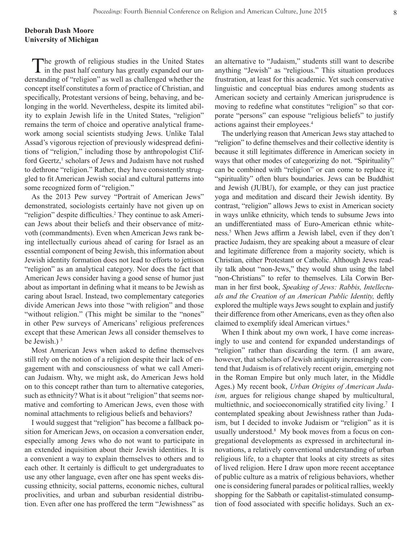## **Deborah Dash Moore University of Michigan**

The growth of religious studies in the United States in the past half century has greatly expanded our understanding of "religion" as well as challenged whether the concept itself constitutes a form of practice of Christian, and specifically, Protestant versions of being, behaving, and belonging in the world. Nevertheless, despite its limited ability to explain Jewish life in the United States, "religion" remains the term of choice and operative analytical framework among social scientists studying Jews. Unlike Talal Assad's vigorous rejection of previously widespread definitions of "religion," including those by anthropologist Clifford Geertz,<sup>1</sup> scholars of Jews and Judaism have not rushed to dethrone "religion." Rather, they have consistently struggled to fit American Jewish social and cultural patterns into some recognized form of "religion."

As the 2013 Pew survey "Portrait of American Jews" demonstrated, sociologists certainly have not given up on "religion" despite difficulties.<sup>2</sup> They continue to ask American Jews about their beliefs and their observance of mitzvoth (commandments). Even when American Jews rank being intellectually curious ahead of caring for Israel as an essential component of being Jewish, this information about Jewish identity formation does not lead to efforts to jettison "religion" as an analytical category. Nor does the fact that American Jews consider having a good sense of humor just about as important in defining what it means to be Jewish as caring about Israel. Instead, two complementary categories divide American Jews into those "with religion" and those "without religion." (This might be similar to the "nones" in other Pew surveys of Americans' religious preferences except that these American Jews all consider themselves to be Jewish.) 3

Most American Jews when asked to define themselves still rely on the notion of a religion despite their lack of engagement with and consciousness of what we call American Judaism. Why, we might ask, do American Jews hold on to this concept rather than turn to alternative categories, such as ethnicity? What is it about "religion" that seems normative and comforting to American Jews, even those with nominal attachments to religious beliefs and behaviors?

I would suggest that "religion" has become a fallback position for American Jews, on occasion a conversation ender, especially among Jews who do not want to participate in an extended inquisition about their Jewish identities. It is a convenient a way to explain themselves to others and to each other. It certainly is difficult to get undergraduates to use any other language, even after one has spent weeks discussing ethnicity, social patterns, economic niches, cultural proclivities, and urban and suburban residential distribution. Even after one has proffered the term "Jewishness" as an alternative to "Judaism," students still want to describe anything "Jewish" as "religious." This situation produces frustration, at least for this academic. Yet such conservative linguistic and conceptual bias endures among students as American society and certainly American jurisprudence is moving to redefine what constitutes "religion" so that corporate "persons" can espouse "religious beliefs" to justify actions against their employees.4

The underlying reason that American Jews stay attached to "religion" to define themselves and their collective identity is because it still legitimates difference in American society in ways that other modes of categorizing do not. "Spirituality" can be combined with "religion" or can come to replace it; "spirituality" often blurs boundaries. Jews can be Buddhist and Jewish (JUBU), for example, or they can just practice yoga and meditation and discard their Jewish identity. By contrast, "religion" allows Jews to exist in American society in ways unlike ethnicity, which tends to subsume Jews into an undifferentiated mass of Euro-American ethnic whiteness.5 When Jews affirm a Jewish label, even if they don't practice Judaism, they are speaking about a measure of clear and legitimate difference from a majority society, which is Christian, either Protestant or Catholic. Although Jews readily talk about "non-Jews," they would shun using the label "non-Christians" to refer to themselves. Lila Corwin Berman in her first book, *Speaking of Jews: Rabbis, Intellectuals and the Creation of an American Public Identity,* deftly explored the multiple ways Jews sought to explain and justify their difference from other Americans, even as they often also claimed to exemplify ideal American virtues.<sup>6</sup>

When I think about my own work, I have come increasingly to use and contend for expanded understandings of "religion" rather than discarding the term. (I am aware, however, that scholars of Jewish antiquity increasingly contend that Judaism is of relatively recent origin, emerging not in the Roman Empire but only much later, in the Middle Ages.) My recent book, *Urban Origins of American Judaism,* argues for religious change shaped by multicultural, multiethnic, and socioeconomically stratified city living.<sup>7</sup> I contemplated speaking about Jewishness rather than Judaism, but I decided to invoke Judaism or "religion" as it is usually understood.8 My book moves from a focus on congregational developments as expressed in architectural innovations, a relatively conventional understanding of urban religious life, to a chapter that looks at city streets as sites of lived religion. Here I draw upon more recent acceptance of public culture as a matrix of religious behaviors, whether one is considering funeral parades or political rallies, weekly shopping for the Sabbath or capitalist-stimulated consumption of food associated with specific holidays. Such an ex-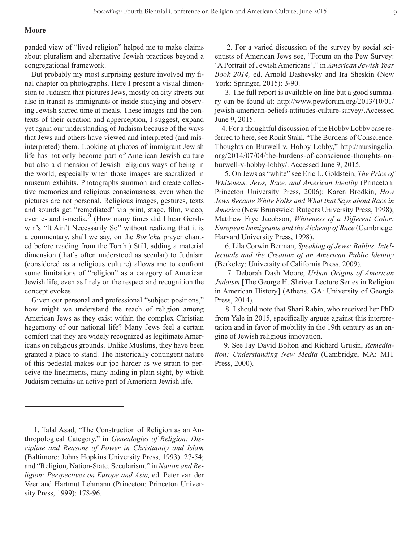#### **Moore**

panded view of "lived religion" helped me to make claims about pluralism and alternative Jewish practices beyond a congregational framework.

But probably my most surprising gesture involved my final chapter on photographs. Here I present a visual dimension to Judaism that pictures Jews, mostly on city streets but also in transit as immigrants or inside studying and observing Jewish sacred time at meals. These images and the contexts of their creation and apperception, I suggest, expand yet again our understanding of Judaism because of the ways that Jews and others have viewed and interpreted (and misinterpreted) them. Looking at photos of immigrant Jewish life has not only become part of American Jewish culture but also a dimension of Jewish religious ways of being in the world, especially when those images are sacralized in museum exhibits. Photographs summon and create collective memories and religious consciousness, even when the pictures are not personal. Religious images, gestures, texts and sounds get "remediated" via print, stage, film, video, even e- and i-media. $\frac{9}{9}$  (How many times did I hear Gershwin's "It Ain't Necessarily So" without realizing that it is a commentary, shall we say, on the *Bor'chu* prayer chanted before reading from the Torah.) Still, adding a material dimension (that's often understood as secular) to Judaism (considered as a religious culture) allows me to confront some limitations of "religion" as a category of American Jewish life, even as I rely on the respect and recognition the concept evokes.

Given our personal and professional "subject positions," how might we understand the reach of religion among American Jews as they exist within the complex Christian hegemony of our national life? Many Jews feel a certain comfort that they are widely recognized as legitimate Americans on religious grounds. Unlike Muslims, they have been granted a place to stand. The historically contingent nature of this pedestal makes our job harder as we strain to perceive the lineaments, many hiding in plain sight, by which Judaism remains an active part of American Jewish life.

 1. Talal Asad, "The Construction of Religion as an Anthropological Category," in *Genealogies of Religion: Discipline and Reasons of Power in Christianity and Islam*  (Baltimore: Johns Hopkins University Press, 1993): 27-54; and "Religion, Nation-State, Secularism," in *Nation and Religion: Perspectives on Europe and Asia,* ed. Peter van der Veer and Hartmut Lehmann (Princeton: Princeton University Press, 1999): 178-96.

 2. For a varied discussion of the survey by social scientists of American Jews see, "Forum on the Pew Survey: 'A Portrait of Jewish Americans'," in *American Jewish Year Book 2014,* ed. Arnold Dashevsky and Ira Sheskin (New York: Springer, 2015): 3-90.

 3. The full report is available on line but a good summary can be found at: http://www.pewforum.org/2013/10/01/ jewish-american-beliefs-attitudes-culture-survey/.Accessed June 9, 2015.

4. For a thoughtful discussion of the Hobby Lobby case referred to here, see Ronit Stahl, "The Burdens of Conscience: Thoughts on Burwell v. Hobby Lobby," http://nursingclio. org/2014/07/04/the-burdens-of-conscience-thoughts-onburwell-v-hobby-lobby/. Accessed June 9, 2015.

 5. On Jews as "white" see Eric L. Goldstein, *The Price of Whiteness: Jews, Race, and American Identity* (Princeton: Princeton University Press, 2006); Karen Brodkin, *How Jews Became White Folks and What that Says about Race in America* (New Brunswick: Rutgers University Press, 1998); Matthew Frye Jacobson, *Whiteness of a Different Color: European Immigrants and the Alchemy of Race* (Cambridge: Harvard University Press, 1998).

 6. Lila Corwin Berman, *Speaking of Jews: Rabbis, Intellectuals and the Creation of an American Public Identity*  (Berkeley: University of California Press, 2009).

 7. Deborah Dash Moore, *Urban Origins of American Judaism* [The George H. Shriver Lecture Series in Religion in American History] (Athens, GA: University of Georgia Press, 2014).

 8. I should note that Shari Rabin, who received her PhD from Yale in 2015, specifically argues against this interpretation and in favor of mobility in the 19th century as an engine of Jewish religious innovation.

 9. See Jay David Bolton and Richard Grusin, *Remediation: Understanding New Media* (Cambridge, MA: MIT Press, 2000).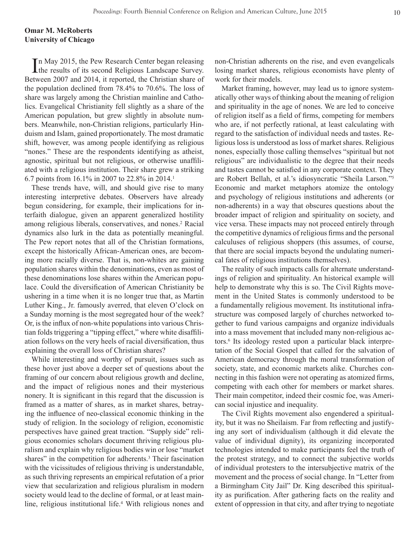## **Omar M. McRoberts University of Chicago**

In May 2015, the Pew Research Center began releasing<br>the results of its second Religious Landscape Survey. the results of its second Religious Landscape Survey. Between 2007 and 2014, it reported, the Christian share of the population declined from 78.4% to 70.6%. The loss of share was largely among the Christian mainline and Catholics. Evangelical Christianity fell slightly as a share of the American population, but grew slightly in absolute numbers. Meanwhile, non-Christian religions, particularly Hinduism and Islam, gained proportionately. The most dramatic shift, however, was among people identifying as religious "nones." These are the respondents identifying as atheist, agnostic, spiritual but not religious, or otherwise unaffiliated with a religious institution. Their share grew a striking 6.7 points from 16.1% in 2007 to 22.8% in 2014.1

These trends have, will, and should give rise to many interesting interpretive debates. Observers have already begun considering, for example, their implications for interfaith dialogue, given an apparent generalized hostility among religious liberals, conservatives, and nones.<sup>2</sup> Racial dynamics also lurk in the data as potentially meaningful. The Pew report notes that all of the Christian formations, except the historically African-American ones, are becoming more racially diverse. That is, non-whites are gaining population shares within the denominations, even as most of these denominations lose shares within the American populace. Could the diversification of American Christianity be ushering in a time when it is no longer true that, as Martin Luther King., Jr. famously averred, that eleven O'clock on a Sunday morning is the most segregated hour of the week? Or, is the influx of non-white populations into various Christian folds triggering a "tipping effect," where white disaffiliation follows on the very heels of racial diversification, thus explaining the overall loss of Christian shares?

While interesting and worthy of pursuit, issues such as these hover just above a deeper set of questions about the framing of our concern about religious growth and decline, and the impact of religious nones and their mysterious nonery. It is significant in this regard that the discussion is framed as a matter of shares, as in market shares, betraying the influence of neo-classical economic thinking in the study of religion. In the sociology of religion, economistic perspectives have gained great traction. "Supply side" religious economies scholars document thriving religious pluralism and explain why religious bodies win or lose "market shares" in the competition for adherents.<sup>3</sup> Their fascination with the vicissitudes of religious thriving is understandable, as such thriving represents an empirical refutation of a prior view that secularization and religious pluralism in modern society would lead to the decline of formal, or at least mainline, religious institutional life.<sup>4</sup> With religious nones and non-Christian adherents on the rise, and even evangelicals losing market shares, religious economists have plenty of work for their models.

Market framing, however, may lead us to ignore systematically other ways of thinking about the meaning of religion and spirituality in the age of nones. We are led to conceive of religion itself as a field of firms, competing for members who are, if not perfectly rational, at least calculating with regard to the satisfaction of individual needs and tastes. Religious loss is understood as loss of market shares. Religious nones, especially those calling themselves "spiritual but not religious" are individualistic to the degree that their needs and tastes cannot be satisfied in any corporate context. They are Robert Bellah, et al.'s idiosyncratic "Sheila Larson."5 Economic and market metaphors atomize the ontology and psychology of religious institutions and adherents (or non-adherents) in a way that obscures questions about the broader impact of religion and spirituality on society, and vice versa. These impacts may not proceed entirely through the competitive dynamics of religious firms and the personal calculuses of religious shoppers (this assumes, of course, that there are social impacts beyond the undulating numerical fates of religious institutions themselves).

The reality of such impacts calls for alternate understandings of religion and spirituality. An historical example will help to demonstrate why this is so. The Civil Rights movement in the United States is commonly understood to be a fundamentally religious movement. Its institutional infrastructure was composed largely of churches networked together to fund various campaigns and organize individuals into a mass movement that included many non-religious actors.6 Its ideology rested upon a particular black interpretation of the Social Gospel that called for the salvation of American democracy through the moral transformation of society, state, and economic markets alike. Churches connecting in this fashion were not operating as atomized firms, competing with each other for members or market shares. Their main competitor, indeed their cosmic foe, was American social injustice and inequality.

The Civil Rights movement also engendered a spirituality, but it was no Sheilaism. Far from reflecting and justifying any sort of individualism (although it did elevate the value of individual dignity), its organizing incorporated technologies intended to make participants feel the truth of the protest strategy, and to connect the subjective worlds of individual protesters to the intersubjective matrix of the movement and the process of social change. In "Letter from a Birmingham City Jail" Dr. King described this spirituality as purification. After gathering facts on the reality and extent of oppression in that city, and after trying to negotiate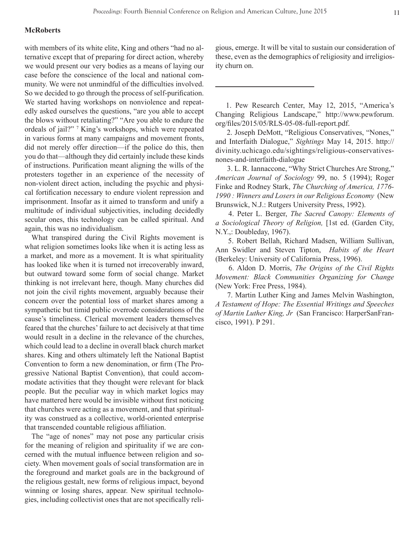#### **McRoberts**

with members of its white elite, King and others "had no alternative except that of preparing for direct action, whereby we would present our very bodies as a means of laying our case before the conscience of the local and national community. We were not unmindful of the difficulties involved. So we decided to go through the process of self-purification. We started having workshops on nonviolence and repeatedly asked ourselves the questions, "are you able to accept the blows without retaliating?" "Are you able to endure the ordeals of jail?" <sup>7</sup> King's workshops, which were repeated in various forms at many campaigns and movement fronts, did not merely offer direction—if the police do this, then you do that—although they did certainly include these kinds of instructions. Purification meant aligning the wills of the protesters together in an experience of the necessity of non-violent direct action, including the psychic and physical fortification necessary to endure violent repression and imprisonment. Insofar as it aimed to transform and unify a multitude of individual subjectivities, including decidedly secular ones, this technology can be called spiritual. And again, this was no individualism.

What transpired during the Civil Rights movement is what religion sometimes looks like when it is acting less as a market, and more as a movement. It is what spirituality has looked like when it is turned not irrecoverably inward, but outward toward some form of social change. Market thinking is not irrelevant here, though. Many churches did not join the civil rights movement, arguably because their concern over the potential loss of market shares among a sympathetic but timid public overrode considerations of the cause's timeliness. Clerical movement leaders themselves feared that the churches' failure to act decisively at that time would result in a decline in the relevance of the churches, which could lead to a decline in overall black church market shares. King and others ultimately left the National Baptist Convention to form a new denomination, or firm (The Progressive National Baptist Convention), that could accommodate activities that they thought were relevant for black people. But the peculiar way in which market logics may have mattered here would be invisible without first noticing that churches were acting as a movement, and that spirituality was construed as a collective, world-oriented enterprise that transcended countable religious affiliation.

The "age of nones" may not pose any particular crisis for the meaning of religion and spirituality if we are concerned with the mutual influence between religion and society. When movement goals of social transformation are in the foreground and market goals are in the background of the religious gestalt, new forms of religious impact, beyond winning or losing shares, appear. New spiritual technologies, including collectivist ones that are not specifically religious, emerge. It will be vital to sustain our consideration of these, even as the demographics of religiosity and irreligiosity churn on.

 1. Pew Research Center, May 12, 2015, "America's Changing Religious Landscape," http://www.pewforum. org/files/2015/05/RLS-05-08-full-report.pdf.

 2. Joseph DeMott, "Religious Conservatives, "Nones," and Interfaith Dialogue," *Sightings* May 14, 2015. http:// divinity.uchicago.edu/sightings/religious-conservativesnones-and-interfaith-dialogue

 3. L. R. Iannaccone, "Why Strict Churches Are Strong," *American Journal of Sociology* 99, no. 5 (1994); Roger Finke and Rodney Stark, *The Churching of America, 1776- 1990 : Winners and Losers in our Religious Economy* (New Brunswick, N.J.: Rutgers University Press, 1992).

 4. Peter L. Berger, *The Sacred Canopy: Elements of a Sociological Theory of Religion,* [1st ed. (Garden City, N.Y.,: Doubleday, 1967).

 5. Robert Bellah, Richard Madsen, William Sullivan, Ann Swidler and Steven Tipton, *Habits of the Heart* (Berkeley: University of California Press, 1996).

 6. Aldon D. Morris, *The Origins of the Civil Rights Movement: Black Communities Organizing for Change*  (New York: Free Press, 1984).

 7. Martin Luther King and James Melvin Washington, *A Testament of Hope: The Essential Writings and Speeches of Martin Luther King, Jr* (San Francisco: HarperSanFrancisco, 1991). P 291.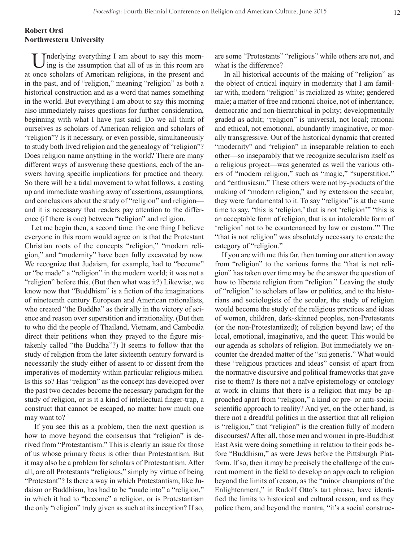## **Robert Orsi Northwestern University**

Inderlying everything I am about to say this morning is the assumption that all of us in this room are at once scholars of American religions, in the present and in the past, and of "religion," meaning "religion" as both a historical construction and as a word that names something in the world. But everything I am about to say this morning also immediately raises questions for further consideration, beginning with what I have just said. Do we all think of ourselves as scholars of American religion and scholars of "religion"? Is it necessary, or even possible, simultaneously to study both lived religion and the genealogy of "religion"? Does religion name anything in the world? There are many different ways of answering these questions, each of the answers having specific implications for practice and theory. So there will be a tidal movement to what follows, a casting up and immediate washing away of assertions, assumptions, and conclusions about the study of "religion" and religion and it is necessary that readers pay attention to the difference (if there is one) between "religion" and religion.

Let me begin then, a second time: the one thing I believe everyone in this room would agree on is that the Protestant Christian roots of the concepts "religion," "modern religion," and "modernity" have been fully excavated by now. We recognize that Judaism, for example, had to "become" or "be made" a "religion" in the modern world; it was not a "religion" before this. (But then what was it?) Likewise, we know now that "Buddhism" is a fiction of the imaginations of nineteenth century European and American rationalists, who created "the Buddha" as their ally in the victory of science and reason over superstition and irrationality. (But then to who did the people of Thailand, Vietnam, and Cambodia direct their petitions when they prayed to the figure mistakenly called "the Buddha"?) It seems to follow that the study of religion from the later sixteenth century forward is necessarily the study either of assent to or dissent from the imperatives of modernity within particular religious milieu. Is this so? Has "religion" as the concept has developed over the past two decades become the necessary paradigm for the study of religion, or is it a kind of intellectual finger-trap, a construct that cannot be escaped, no matter how much one may want to? $1$ 

 If you see this as a problem, then the next question is how to move beyond the consensus that "religion" is derived from "Protestantism." This is clearly an issue for those of us whose primary focus is other than Protestantism. But it may also be a problem for scholars of Protestantism. After all, are all Protestants "religious," simply by virtue of being "Protestant"? Is there a way in which Protestantism, like Judaism or Buddhism, has had to be "made into" a "religion," in which it had to "become" a religion, or is Protestantism the only "religion" truly given as such at its inception? If so, are some "Protestants" "religious" while others are not, and what is the difference?

 In all historical accounts of the making of "religion" as the object of critical inquiry in modernity that I am familiar with, modern "religion" is racialized as white; gendered male; a matter of free and rational choice, not of inheritance; democratic and non-hierarchical in polity; developmentally graded as adult; "religion" is universal, not local; rational and ethical, not emotional, abundantly imaginative, or morally transgressive. Out of the historical dynamic that created "modernity" and "religion" in inseparable relation to each other—so inseparably that we recognize secularism itself as a religious project—was generated as well the various others of "modern religion," such as "magic," "superstition," and "enthusiasm." These others were not by-products of the making of "modern religion," and by extension the secular; they were fundamental to it. To say "religion" is at the same time to say, "this is 'religion,' that is not 'religion'" "this is an acceptable form of religion, that is an intolerable form of 'religion' not to be countenanced by law or custom.'" The "that is not religion" was absolutely necessary to create the category of "religion."

If you are with me this far, then turning our attention away from "religion" to the various forms the "that is not religion" has taken over time may be the answer the question of how to liberate religion from "religion." Leaving the study of "religion" to scholars of law or politics, and to the historians and sociologists of the secular, the study of religion would become the study of the religious practices and ideas of women, children, dark-skinned peoples, non-Protestants (or the non-Protestantized); of religion beyond law; of the local, emotional, imaginative, and the queer. This would be our agenda as scholars of religion. But immediately we encounter the dreaded matter of the "sui generis." What would these "religious practices and ideas" consist of apart from the normative discursive and political frameworks that gave rise to them? Is there not a naïve epistemology or ontology at work in claims that there is a religion that may be approached apart from "religion," a kind or pre- or anti-social scientific approach to reality? And yet, on the other hand, is there not a dreadful politics in the assertion that all religion is "religion," that "religion" is the creation fully of modern discourses? After all, those men and women in pre-Buddhist East Asia were doing something in relation to their gods before "Buddhism," as were Jews before the Pittsburgh Platform. If so, then it may be precisely the challenge of the current moment in the field to develop an approach to religion beyond the limits of reason, as the "minor champions of the Enlightenment," in Rudolf Otto's tart phrase, have identified the limits to historical and cultural reason, and as they police them, and beyond the mantra, "it's a social construc-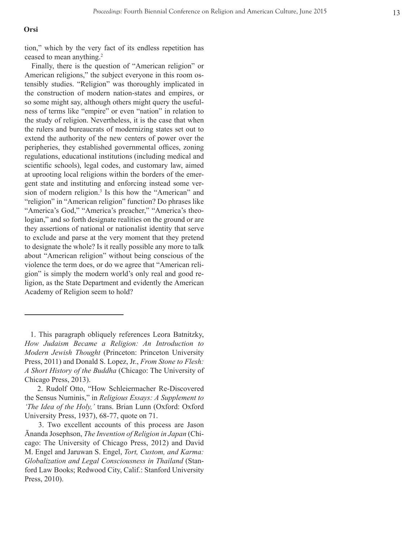#### **Orsi**

tion," which by the very fact of its endless repetition has ceased to mean anything. 2

Finally, there is the question of "American religion" or American religions," the subject everyone in this room os tensibly studies. "Religion" was thoroughly implicated in the construction of modern nation-states and empires, or so some might say, although others might query the useful ness of terms like "empire" or even "nation" in relation to the study of religion. Nevertheless, it is the case that when the rulers and bureaucrats of modernizing states set out to extend the authority of the new centers of power over the peripheries, they established governmental offices, zoning regulations, educational institutions (including medical and scientific schools), legal codes, and customary law, aimed at uprooting local religions within the borders of the emer gent state and instituting and enforcing instead some ver sion of modern religion. 3 Is this how the "American" and "religion" in "American religion" function? Do phrases like "America's God," "America's preacher," "America's theologian," and so forth designate realities on the ground or are they assertions of national or nationalist identity that serve to exclude and parse at the very moment that they pretend to designate the whole? Is it really possible any more to talk about "American religion" without being conscious of the violence the term does, or do we agree that "American reli gion" is simply the modern world's only real and good re ligion, as the State Department and evidently the American Academy of Religion seem to hold?

 <sup>1.</sup> This paragraph obliquely references Leora Batnitzky, *How Judaism Became a Religion: An Introduction to Modern Jewish Thought* (Princeton: Princeton University Press, 2011) and Donald S. Lopez, Jr., *From Stone to Flesh: A Short History of the Buddha* (Chicago: The University of Chicago Press, 2013).

 <sup>2.</sup> Rudolf Otto, "How Schleiermacher Re-Discovered the Sensus Numinis," in *Religious Essays: A Supplement to 'The Idea of the Holy,'* trans. Brian Lunn (Oxford: Oxford University Press, 1937), 68-77, quote on 71.

 <sup>3.</sup> Two excellent accounts of this process are Jason Ānanda Josephson, *The Invention of Religion in Japan* (Chi cago: The University of Chicago Press, 2012) and David M. Engel and Jaruwan S. Engel, *Tort, Custom, and Karma: Globalization and Legal Consciousness in Thailand* (Stan ford Law Books; Redwood City, Calif.: Stanford University Press, 2010).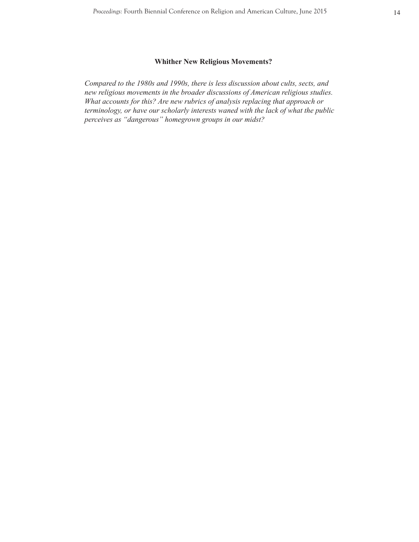## **Whither New Religious Movements?**

*Compared to the 1980s and 1990s, there is less discussion about cults, sects, and new religious movements in the broader discussions of American religious studies. What accounts for this? Are new rubrics of analysis replacing that approach or terminology, or have our scholarly interests waned with the lack of what the public perceives as "dangerous" homegrown groups in our midst?*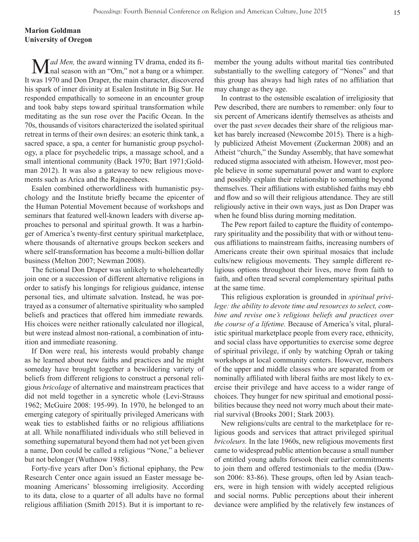## **Marion Goldman University of Oregon**

**M***ad Men*, the award winning TV drama, ended its final season with an "Om," not a bang or a whimper. It was 1970 and Don Draper, the main character, discovered his spark of inner divinity at Esalen Institute in Big Sur. He responded empathically to someone in an encounter group and took baby steps toward spiritual transformation while meditating as the sun rose over the Pacific Ocean. In the 70s, thousands of visitors characterized the isolated spiritual retreat in terms of their own desires: an esoteric think tank, a sacred space, a spa, a center for humanistic group psychology, a place for psychedelic trips, a massage school, and a small intentional community (Back 1970; Bart 1971;Goldman 2012). It was also a gateway to new religious movements such as Arica and the Rajneeshees.

Esalen combined otherworldliness with humanistic psychology and the Institute briefly became the epicenter of the Human Potential Movement because of workshops and seminars that featured well-known leaders with diverse approaches to personal and spiritual growth. It was a harbinger of America's twenty-first century spiritual marketplace, where thousands of alternative groups beckon seekers and where self-transformation has become a multi-billion dollar business (Melton 2007; Newman 2008).

The fictional Don Draper was unlikely to wholeheartedly join one or a succession of different alternative religions in order to satisfy his longings for religious guidance, intense personal ties, and ultimate salvation. Instead, he was portrayed as a consumer of alternative spirituality who sampled beliefs and practices that offered him immediate rewards. His choices were neither rationally calculated nor illogical, but were instead almost non-rational, a combination of intuition and immediate reasoning.

If Don were real, his interests would probably change as he learned about new faiths and practices and he might someday have brought together a bewildering variety of beliefs from different religions to construct a personal religious *bricolage* of alternative and mainstream practices that did not meld together in a syncretic whole (Levi-Strauss 1962; McGuire 2008: 195-99). In 1970, he belonged to an emerging category of spiritually privileged Americans with weak ties to established faiths or no religious affiliations at all. While nonaffiliated individuals who still believed in something supernatural beyond them had not yet been given a name, Don could be called a religious "None," a believer but not belonger (Wuthnow 1988).

Forty-five years after Don's fictional epiphany, the Pew Research Center once again issued an Easter message bemoaning Americans' blossoming irreligiosity. According to its data, close to a quarter of all adults have no formal religious affiliation (Smith 2015). But it is important to remember the young adults without marital ties contributed substantially to the swelling category of "Nones" and that this group has always had high rates of no affiliation that may change as they age.

In contrast to the ostensible escalation of irreligiosity that Pew described, there are numbers to remember: only four to six percent of Americans identify themselves as atheists and over the past *seven* decades their share of the religious market has barely increased (Newcombe 2015). There is a highly publicized Atheist Movement (Zuckerman 2008) and an Atheist "church," the Sunday Assembly, that have somewhat reduced stigma associated with atheism. However, most people believe in some supernatural power and want to explore and possibly explain their relationship to something beyond themselves. Their affiliations with established faiths may ebb and flow and so will their religious attendance. They are still religiously active in their own ways, just as Don Draper was when he found bliss during morning meditation.

The Pew report failed to capture the fluidity of contemporary spirituality and the possibility that with or without tenuous affiliations to mainstream faiths, increasing numbers of Americans create their own spiritual mosaics that include cults/new religious movements. They sample different religious options throughout their lives, move from faith to faith, and often tread several complementary spiritual paths at the same time.

This religious exploration is grounded in *spiritual privilege: the ability to devote time and resources to select, combine and revise one's religious beliefs and practices over the course of a lifetime.* Because of America's vital, pluralistic spiritual marketplace people from every race, ethnicity, and social class have opportunities to exercise some degree of spiritual privilege, if only by watching Oprah or taking workshops at local community centers. However, members of the upper and middle classes who are separated from or nominally affiliated with liberal faiths are most likely to exercise their privilege and have access to a wider range of choices. They hunger for new spiritual and emotional possibilities because they need not worry much about their material survival (Brooks 2001; Stark 2003).

New religions/cults are central to the marketplace for religious goods and services that attract privileged spiritual *bricoleurs.* In the late 1960s, new religious movements first came to widespread public attention because a small number of entitled young adults forsook their earlier commitments to join them and offered testimonials to the media (Dawson 2006: 83-86). These groups, often led by Asian teachers, were in high tension with widely accepted religious and social norms. Public perceptions about their inherent deviance were amplified by the relatively few instances of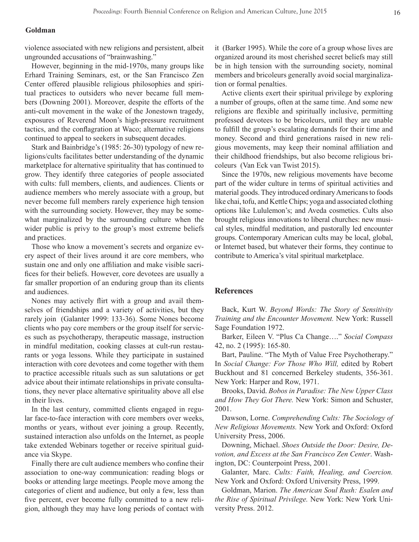#### **Goldman**

violence associated with new religions and persistent, albeit ungrounded accusations of "brainwashing."

However, beginning in the mid-1970s, many groups like Erhard Training Seminars, est, or the San Francisco Zen Center offered plausible religious philosophies and spiritual practices to outsiders who never became full members (Downing 2001). Moreover, despite the efforts of the anti-cult movement in the wake of the Jonestown tragedy, exposures of Reverend Moon's high-pressure recruitment tactics, and the conflagration at Waco; alternative religions continued to appeal to seekers in subsequent decades.

Stark and Bainbridge's (1985: 26-30) typology of new religions/cults facilitates better understanding of the dynamic marketplace for alternative spirituality that has continued to grow. They identify three categories of people associated with cults: full members, clients, and audiences. Clients or audience members who merely associate with a group, but never become full members rarely experience high tension with the surrounding society. However, they may be somewhat marginalized by the surrounding culture when the wider public is privy to the group's most extreme beliefs and practices.

Those who know a movement's secrets and organize every aspect of their lives around it are core members, who sustain one and only one affiliation and make visible sacrifices for their beliefs. However, core devotees are usually a far smaller proportion of an enduring group than its clients and audiences.

Nones may actively flirt with a group and avail themselves of friendships and a variety of activities, but they rarely join (Galanter 1999: 133-36). Some Nones become clients who pay core members or the group itself for services such as psychotherapy, therapeutic massage, instruction in mindful meditation, cooking classes at cult-run restaurants or yoga lessons. While they participate in sustained interaction with core devotees and come together with them to practice accessible rituals such as sun salutations or get advice about their intimate relationships in private consultations, they never place alternative spirituality above all else in their lives.

In the last century, committed clients engaged in regular face-to-face interaction with core members over weeks, months or years, without ever joining a group. Recently, sustained interaction also unfolds on the Internet, as people take extended Webinars together or receive spiritual guidance via Skype.

Finally there are cult audience members who confine their association to one-way communication: reading blogs or books or attending large meetings. People move among the categories of client and audience, but only a few, less than five percent, ever become fully committed to a new religion, although they may have long periods of contact with

it (Barker 1995). While the core of a group whose lives are organized around its most cherished secret beliefs may still be in high tension with the surrounding society, nominal members and bricoleurs generally avoid social marginalization or formal penalties.

Active clients exert their spiritual privilege by exploring a number of groups, often at the same time. And some new religions are flexible and spiritually inclusive, permitting professed devotees to be bricoleurs, until they are unable to fulfill the group's escalating demands for their time and money. Second and third generations raised in new religious movements, may keep their nominal affiliation and their childhood friendships, but also become religious bricoleurs (Van Eck van Twist 2015).

Since the 1970s, new religious movements have become part of the wider culture in terms of spiritual activities and material goods. They introduced ordinary Americans to foods like chai, tofu, and Kettle Chips; yoga and associated clothing options like Lululemon's; and Aveda cosmetics. Cults also brought religious innovations to liberal churches: new musical styles, mindful meditation, and pastorally led encounter groups. Contemporary American cults may be local, global, or Internet based, but whatever their forms, they continue to contribute to America's vital spiritual marketplace.

#### **References**

Back, Kurt W. *Beyond Words: The Story of Sensitivity Training and the Encounter Movement.* New York: Russell Sage Foundation 1972.

Barker, Eileen V. "Plus Ca Change…." *Social Compass*  42, no. 2 (1995): 165-80.

Bart, Pauline. "The Myth of Value Free Psychotherapy." In *Social Change: For Those Who Will,* edited by Robert Buckhout and 81 concerned Berkeley students, 356-361. New York: Harper and Row, 1971.

Brooks, David. *Bobos in Paradise: The New Upper Class and How They Got There.* New York: Simon and Schuster, 2001.

Dawson, Lorne. *Comprehending Cults: The Sociology of New Religious Movements.* New York and Oxford: Oxford University Press, 2006.

Downing, Michael. *Shoes Outside the Door: Desire, Devotion, and Excess at the San Francisco Zen Center*. Washington, DC: Counterpoint Press, 2001.

Galanter, Marc. *Cults: Faith, Healing, and Coercion.* New York and Oxford: Oxford University Press, 1999.

Goldman, Marion. *The American Soul Rush: Esalen and the Rise of Spiritual Privilege.* New York: New York University Press. 2012.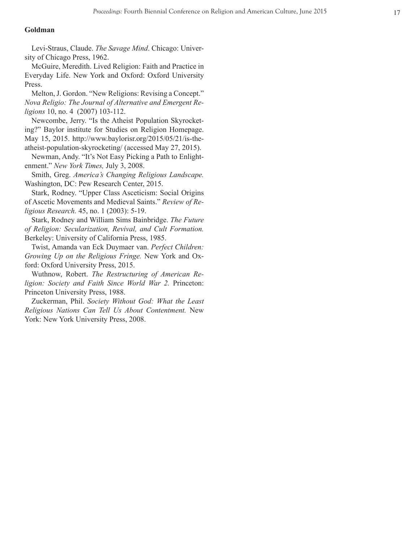#### **Goldman**

Levi-Straus, Claude. *The Savage Mind*. Chicago: Univer sity of Chicago Press, 1962.

McGuire, Meredith. Lived Religion: Faith and Practice in Everyday Life. New York and Oxford: Oxford University Press.

Melton, J. Gordon. "New Religions: Revising a Concept." *Nova Religio: The Journal of Alternative and Emergent Re ligions* 10, no. 4 (2007) 103-112.

Newcombe, Jerry. "Is the Atheist Population Skyrocket ing?" Baylor institute for Studies on Religion Homepage. May 15, 2015. http://www.baylorisr.org/2015/05/21/is-theatheist-population-skyrocketing/ (accessed May 27, 2015).

Newman, Andy. "It's Not Easy Picking a Path to Enlight enment." *New York Times,* July 3, 2008.

Smith, Greg. *America's Changing Religious Landscape.*  Washington, DC: Pew Research Center, 2015.

Stark, Rodney. "Upper Class Asceticism: Social Origins of Ascetic Movements and Medieval Saints." *Review of Re ligious Research.* 45, no. 1 (2003): 5-19.

Stark, Rodney and William Sims Bainbridge. *The Future of Religion: Secularization, Revival, and Cult Formation.*  Berkeley: University of California Press, 1985.

Twist, Amanda van Eck Duymaer van. *Perfect Children: Growing Up on the Religious Fringe.* New York and Ox ford: Oxford University Press, 2015.

Wuthnow, Robert. *The Restructuring of American Re ligion: Society and Faith Since World War 2.* Princeton: Princeton University Press, 1988.

Zuckerman, Phil. *Society Without God: What the Least Religious Nations Can Tell Us About Contentment.* New York: New York University Press, 2008.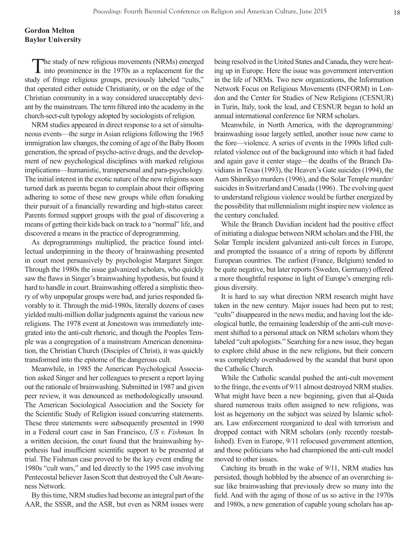### **Gordon Melton Baylor University**

The study of new religious movements (NRMs) emerged into prominence in the 1970s as a replacement for the w study of fringe religious groups, previously labeled "cults," that operated either outside Christianity, or on the edge of the Christian community in a way considered unacceptably deviant by the mainstream. The term filtered into the academy in the church-sect-cult typology adopted by sociologists of religion.

NRM studies appeared in direct response to a set of simultaneous events—the surge in Asian religions following the 1965 immigration law changes, the coming of age of the Baby Boom generation, the spread of psycho-active drugs, and the development of new psychological disciplines with marked religious implications—humanistic, transpersonal and para-psychology. The initial interest in the exotic nature of the new religions soon turned dark as parents began to complain about their offspring adhering to some of these new groups while often forsaking their pursuit of a financially rewarding and high-status career. Parents formed support groups with the goal of discovering a means of getting their kids back on track to a "normal" life, and discovered a means in the practice of deprogramming.

As deprogrammings multiplied, the practice found intellectual underpinning in the theory of brainwashing presented in court most persuasively by psychologist Margaret Singer. Through the 1980s the issue galvanized scholars, who quickly saw the flaws in Singer's brainwashing hypothesis, but found it hard to handle in court. Brainwashing offered a simplistic theory of why unpopular groups were bad, and juries responded favorably to it. Through the mid-1980s, literally dozens of cases yielded multi-million dollar judgments against the various new religions. The 1978 event at Jonestown was immediately integrated into the anti-cult rhetoric, and though the Peoples Temple was a congregation of a mainstream American denomination, the Christian Church (Disciples of Christ), it was quickly transformed into the epitome of the dangerous cult.

Meanwhile, in 1985 the American Psychological Association asked Singer and her colleagues to present a report laying out the rationale of brainwashing. Submitted in 1987 and given peer review, it was denounced as methodologically unsound. The American Sociological Association and the Society for the Scientific Study of Religion issued concurring statements. These three statements were subsequently presented in 1990 in a Federal court case in San Francisco, *US v. Fishman.* In a written decision, the court found that the brainwashing hypothesis had insufficient scientific support to be presented at trial. The Fishman case proved to be the key event ending the 1980s "cult wars," and led directly to the 1995 case involving Pentecostal believer Jason Scott that destroyed the Cult Awareness Network.

By this time, NRM studies had become an integral part of the AAR, the SSSR, and the ASR, but even as NRM issues were

being resolved in the United States and Canada, they were heating up in Europe. Here the issue was government intervention in the life of NRMs. Two new organizations, the Information Network Focus on Religious Movements (INFORM) in London and the Center for Studies of New Religions (CESNUR) in Turin, Italy, took the lead, and CESNUR began to hold an annual international conference for NRM scholars.

Meanwhile, in North America, with the deprogramming/ brainwashing issue largely settled, another issue now came to the fore—violence. A series of events in the 1990s lifted cultrelated violence out of the background into which it had faded and again gave it center stage—the deaths of the Branch Davidians in Texas (1993), the Heaven's Gate suicides (1994), the Aum Shinrikyo murders (1996), and the Solar Temple murder/ suicides in Switzerland and Canada (1996) . The evolving quest to understand religious violence would be further energized by the possibility that millennialism might inspire new violence as the century concluded.

While the Branch Davidian incident had the positive effect of initiating a dialogue between NRM scholars and the FBI, the Solar Temple incident galvanized anti-cult forces in Europe, and prompted the issuance of a string of reports by different European countries. The earliest (France, Belgium) tended to be quite negative, but later reports (Sweden, Germany) offered a more thoughtful response in light of Europe's emerging religious diversity.

It is hard to say what direction NRM research might have taken in the new century. Major issues had been put to rest; "cults" disappeared in the news media; and having lost the ideological battle, the remaining leadership of the anti-cult movement shifted to a personal attack on NRM scholars whom they labeled "cult apologists." Searching for a new issue, they began to explore child abuse in the new religions, but their concern was completely overshadowed by the scandal that burst upon the Catholic Church.

While the Catholic scandal pushed the anti-cult movement to the fringe, the events of 9/11 almost destroyed NRM studies. What might have been a new beginning, given that al-Qaida shared numerous traits often assigned to new religions, was lost as hegemony on the subject was seized by Islamic scholars. Law enforcement reorganized to deal with terrorism and dropped contact with NRM scholars (only recently reestablished). Even in Europe, 9/11 refocused government attention, and those politicians who had championed the anti-cult model moved to other issues.

Catching its breath in the wake of 9/11, NRM studies has persisted, though hobbled by the absence of an overarching issue like brainwashing that previously drew so many into the field. And with the aging of those of us so active in the 1970s and 1980s, a new generation of capable young scholars has ap-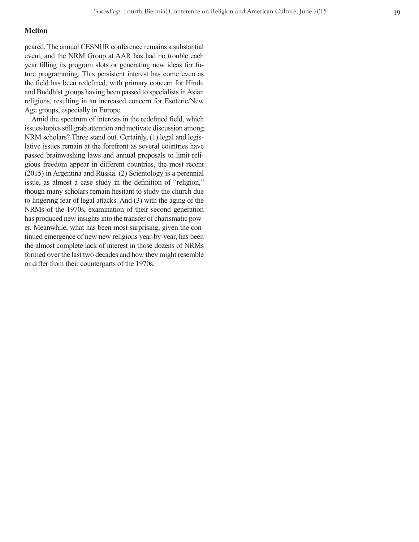#### **Melton**

peared. The annual CESNUR conference remains a substantial event, and the NRM Group at AAR has had no trouble each year filling its program slots or generating new ideas for fu ture programming. This persistent interest has come even as the field has been redefined, with primary concern for Hindu and Buddhist groups having been passed to specialists in Asian religions, resulting in an increased concern for Esoteric/New Age groups, especially in Europe.

Amid the spectrum of interests in the redefined field, which issues/topics still grab attention and motivate discussion among NRM scholars? Three stand out. Certainly, (1) legal and legislative issues remain at the forefront as several countries have passed brainwashing laws and annual proposals to limit reli gious freedom appear in different countries, the most recent (2015) in Argentina and Russia. (2) Scientology is a perennial issue, as almost a case study in the definition of "religion," though many scholars remain hesitant to study the church due to lingering fear of legal attacks. And (3) with the aging of the NRMs of the 1970s, examination of their second generation has produced new insights into the transfer of charismatic pow er. Meanwhile, what has been most surprising, given the con tinued emergence of new new religions year-by-year, has been the almost complete lack of interest in those dozens of NRMs formed over the last two decades and how they might resemble or differ from their counterparts of the 1970s.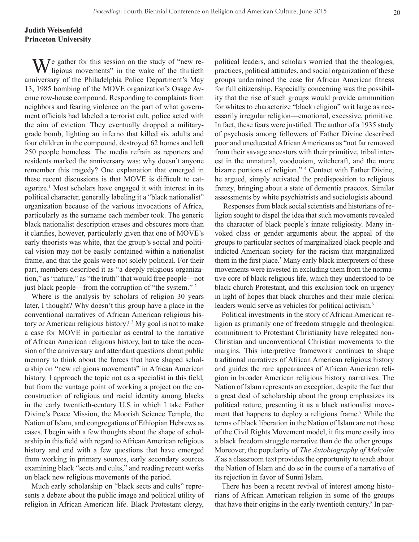## **Judith Weisenfeld Princeton University**

 $\mathbf{W}$ <sup>e</sup> gather for this session on the study of "new religious movements" in the wake of the thirtieth anniversary of the Philadelphia Police Department's May 13, 1985 bombing of the MOVE organization's Osage Avenue row-house compound. Responding to complaints from neighbors and fearing violence on the part of what government officials had labeled a terrorist cult, police acted with the aim of eviction. They eventually dropped a militarygrade bomb, lighting an inferno that killed six adults and four children in the compound, destroyed 62 homes and left 250 people homeless. The media refrain as reporters and residents marked the anniversary was: why doesn't anyone remember this tragedy? One explanation that emerged in these recent discussions is that MOVE is difficult to categorize.1 Most scholars have engaged it with interest in its political character, generally labeling it a "black nationalist" organization because of the various invocations of Africa, particularly as the surname each member took. The generic black nationalist description erases and obscures more than it clarifies, however, particularly given that one of MOVE's early theorists was white, that the group's social and political vision may not be easily contained within a nationalist frame, and that the goals were not solely political. For their part, members described it as "a deeply religious organization," as "nature," as "the truth" that would free people—not just black people—from the corruption of "the system." 2

Where is the analysis by scholars of religion 30 years later, I thought? Why doesn't this group have a place in the conventional narratives of African American religious history or American religious history? <sup>3</sup> My goal is not to make a case for MOVE in particular as central to the narrative of African American religious history, but to take the occasion of the anniversary and attendant questions about public memory to think about the forces that have shaped scholarship on "new religious movements" in African American history. I approach the topic not as a specialist in this field, but from the vantage point of working a project on the coconstruction of religious and racial identity among blacks in the early twentieth-century U.S in which I take Father Divine's Peace Mission, the Moorish Science Temple, the Nation of Islam, and congregations of Ethiopian Hebrews as cases. I begin with a few thoughts about the shape of scholarship in this field with regard to African American religious history and end with a few questions that have emerged from working in primary sources, early secondary sources examining black "sects and cults," and reading recent works on black new religious movements of the period.

Much early scholarship on "black sects and cults" represents a debate about the public image and political utility of religion in African American life. Black Protestant clergy,

political leaders, and scholars worried that the theologies, practices, political attitudes, and social organization of these groups undermined the case for African American fitness for full citizenship. Especially concerning was the possibility that the rise of such groups would provide ammunition for whites to characterize "black religion" writ large as necessarily irregular religion—emotional, excessive, primitive. In fact, these fears were justified. The author of a 1935 study of psychosis among followers of Father Divine described poor and uneducated African Americans as "not far removed from their savage ancestors with their primitive, tribal interest in the unnatural, voodooism, witchcraft, and the more bizarre portions of religion." 4 Contact with Father Divine, he argued, simply activated the predisposition to religious frenzy, bringing about a state of dementia praecox. Similar assessments by white psychiatrists and sociologists abound.

 Responses from black social scientists and historians of religion sought to dispel the idea that such movements revealed the character of black people's innate religiosity. Many invoked class or gender arguments about the appeal of the groups to particular sectors of marginalized black people and indicted American society for the racism that marginalized them in the first place.<sup>5</sup> Many early black interpreters of these movements were invested in excluding them from the normative core of black religious life, which they understood to be black church Protestant, and this exclusion took on urgency in light of hopes that black churches and their male clerical leaders would serve as vehicles for political activism.<sup>6</sup>

Political investments in the story of African American religion as primarily one of freedom struggle and theological commitment to Protestant Christianity have relegated non-Christian and unconventional Christian movements to the margins. This interpretive framework continues to shape traditional narratives of African American religious history and guides the rare appearances of African American religion in broader American religious history narratives. The Nation of Islam represents an exception, despite the fact that a great deal of scholarship about the group emphasizes its political nature, presenting it as a black nationalist movement that happens to deploy a religious frame.<sup>7</sup> While the terms of black liberation in the Nation of Islam are not those of the Civil Rights Movement model, it fits more easily into a black freedom struggle narrative than do the other groups. Moreover, the popularity of *The Autobiography of Malcolm X* as a classroom text provides the opportunity to teach about the Nation of Islam and do so in the course of a narrative of its rejection in favor of Sunni Islam.

There has been a recent revival of interest among historians of African American religion in some of the groups that have their origins in the early twentieth century.<sup>8</sup> In par-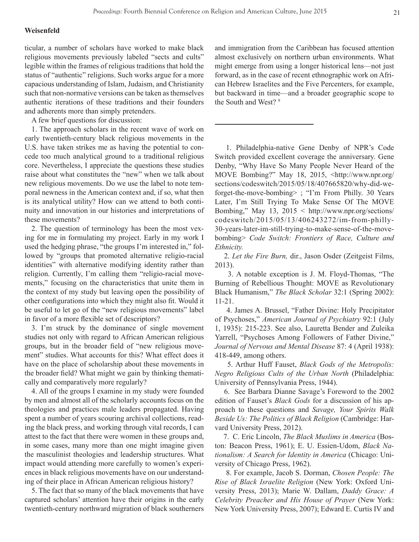#### **Weisenfeld**

ticular, a number of scholars have worked to make black religious movements previously labeled "sects and cults" legible within the frames of religious traditions that hold the status of "authentic" religions. Such works argue for a more capacious understanding of Islam, Judaism, and Christianity such that non-normative versions can be taken as themselves authentic iterations of these traditions and their founders and adherents more than simply pretenders.

A few brief questions for discussion:

1. The approach scholars in the recent wave of work on early twentieth-century black religious movements in the U.S. have taken strikes me as having the potential to concede too much analytical ground to a traditional religious core. Nevertheless, I appreciate the questions these studies raise about what constitutes the "new" when we talk about new religious movements. Do we use the label to note temporal newness in the American context and, if so, what then is its analytical utility? How can we attend to both continuity and innovation in our histories and interpretations of these movements?

2. The question of terminology has been the most vexing for me in formulating my project. Early in my work I used the hedging phrase, "the groups I'm interested in," followed by "groups that promoted alternative religio-racial identities" with alternative modifying identity rather than religion. Currently, I'm calling them "religio-racial movements," focusing on the characteristics that unite them in the context of my study but leaving open the possibility of other configurations into which they might also fit. Would it be useful to let go of the "new religious movements" label in favor of a more flexible set of descriptors?

3. I'm struck by the dominance of single movement studies not only with regard to African American religious groups, but in the broader field of "new religious movement" studies. What accounts for this? What effect does it have on the place of scholarship about these movements in the broader field? What might we gain by thinking thematically and comparatively more regularly?

4. All of the groups I examine in my study were founded by men and almost all of the scholarly accounts focus on the theologies and practices male leaders propagated. Having spent a number of years scouring archival collections, reading the black press, and working through vital records, I can attest to the fact that there were women in these groups and, in some cases, many more than one might imagine given the masculinist theologies and leadership structures. What impact would attending more carefully to women's experiences in black religious movements have on our understanding of their place in African American religious history?

5. The fact that so many of the black movements that have captured scholars' attention have their origins in the early twentieth-century northward migration of black southerners and immigration from the Caribbean has focused attention almost exclusively on northern urban environments. What might emerge from using a longer historical lens—not just forward, as in the case of recent ethnographic work on African Hebrew Israelites and the Five Percenters, for example, but backward in time—and a broader geographic scope to the South and West?<sup>9</sup>

 1. Philadelphia-native Gene Denby of NPR's Code Switch provided excellent coverage the anniversary. Gene Denby, "Why Have So Many People Never Heard of the MOVE Bombing?" May 18, 2015, <http://www.npr.org/ sections/codeswitch/2015/05/18/407665820/why-did-weforget-the-move-bombing> ; "I'm From Philly. 30 Years Later, I'm Still Trying To Make Sense Of The MOVE Bombing," May 13, 2015 < http://www.npr.org/sections/ codeswitch/2015/05/13/406243272/im-from-philly-30-years-later-im-still-trying-to-make-sense-of-the-movebombing> *Code Switch: Frontiers of Race, Culture and Ethnicity.*

 2. *Let the Fire Burn,* dir., Jason Osder (Zeitgeist Films, 2013).

 3. A notable exception is J. M. Floyd-Thomas, "The Burning of Rebellious Thought: MOVE as Revolutionary Black Humanism," *The Black Scholar* 32:1 (Spring 2002): 11-21.

 4. James A. Brussel, "Father Divine: Holy Precipitator of Psychoses," *American Journal of Psychiatry* 92:1 (July 1, 1935): 215-223. See also, Lauretta Bender and Zuleika Yarrell, "Psychoses Among Followers of Father Divine," *Journal of Nervous and Mental Disease* 87: 4 (April 1938): 418-449, among others.

 5. Arthur Huff Fauset, *Black Gods of the Metropolis: Negro Religious Cults of the Urban North* (Philadelphia: University of Pennsylvania Press, 1944).

 6. See Barbara Dianne Savage's Foreword to the 2002 edition of Fauset's *Black Gods* for a discussion of his approach to these questions and *Savage, Your Spirits Walk Beside Us: The Politics of Black Religion* (Cambridge: Harvard University Press, 2012).

 7. C. Eric Lincoln, *The Black Muslims in America* (Boston: Beacon Press, 1961); E. U. Essien-Udom, *Black Nationalism: A Search for Identity in America* (Chicago: University of Chicago Press, 1962).

 8. For example, Jacob S. Dorman, *Chosen People: The Rise of Black Israelite Religion* (New York: Oxford University Press, 2013); Marie W. Dallam, *Daddy Grace: A Celebrity Preacher and His House of Prayer* (New York: New York University Press, 2007); Edward E. Curtis IV and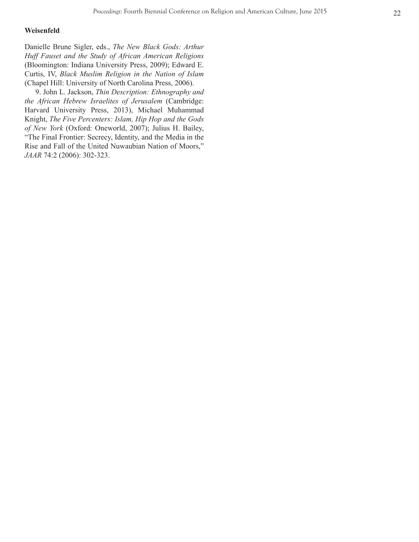#### **Weisenfeld**

Danielle Brune Sigler, eds., *The New Black Gods: Arthur Huff Fauset and the Study of African American Religions*  (Bloomington: Indiana University Press, 2009); Edward E. Curtis, IV, *Black Muslim Religion in the Nation of Islam*  (Chapel Hill: University of North Carolina Press, 2006).

 9. John L. Jackson, *Thin Description: Ethnography and the African Hebrew Israelites of Jerusalem* (Cambridge: Harvard University Press, 2013), Michael Muhammad Knight, *The Five Percenters: Islam, Hip Hop and the Gods of New York* (Oxford: Oneworld, 2007); Julius H. Bailey, "The Final Frontier: Secrecy, Identity, and the Media in the Rise and Fall of the United Nuwaubian Nation of Moors," *JAAR* 74:2 (2006): 302-323.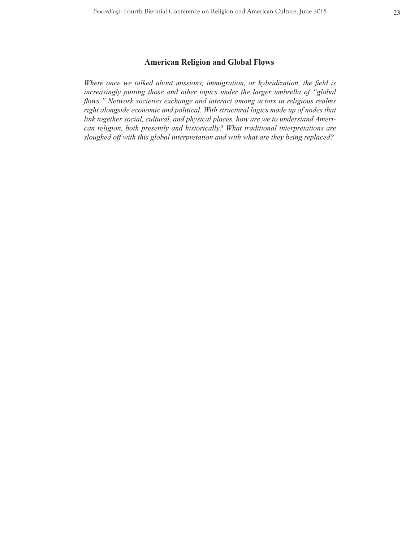## **American Religion and Global Flows**

*Where once we talked about missions, immigration, or hybridization, the field is increasingly putting those and other topics under the larger umbrella of "global flows." Network societies exchange and interact among actors in religious realms right alongside economic and political. With structural logics made up of nodes that link together social, cultural, and physical places, how are we to understand American religion, both presently and historically? What traditional interpretations are sloughed off with this global interpretation and with what are they being replaced?*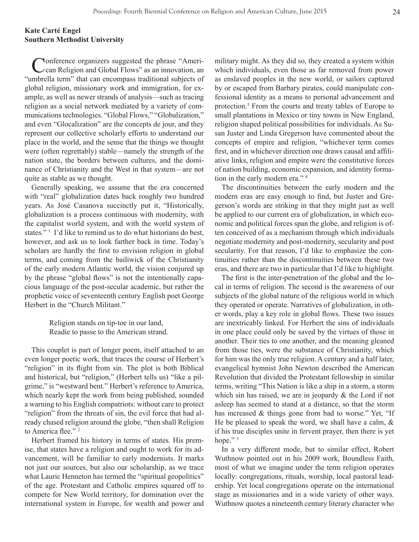## **Kate Carté Engel Southern Methodist University**

Conference organizers suggested the phrase "Ameri-<br>Can Religion and Global Flows" as an innovation, an "umbrella term" that can encompass traditional subjects of global religion, missionary work and immigration, for example, as well as newer strands of analysis—such as tracing religion as a social network mediated by a variety of communications technologies. "Global Flows," "Globalization," and even "Glocalization" are the concepts de jour, and they represent our collective scholarly efforts to understand our place in the world, and the sense that the things we thought were (often regrettably) stable—namely the strength of the nation state, the borders between cultures, and the dominance of Christianity and the West in that system—are not quite as stable as we thought.

Generally speaking, we assume that the era concerned with "real" globalization dates back roughly two hundred years. As José Casanova succinctly put it, "Historically, globalization is a process continuous with modernity, with the capitalist world system, and with the world system of states."<sup>1</sup> I'd like to remind us to do what historians do best, however, and ask us to look farther back in time. Today's scholars are hardly the first to envision religion in global terms, and coming from the bailiwick of the Christianity of the early modern Atlantic world, the vision conjured up by the phrase "global flows" is not the intentionally capacious language of the post-secular academic, but rather the prophetic voice of seventeenth century English poet George Herbert in the "Church Militant."

> Religion stands on tip-toe in our land, Readie to passe to the American strand.

This couplet is part of longer poem, itself attached to an even longer poetic work, that traces the course of Herbert's "religion" in its flight from sin. The plot is both Biblical and historical, but "religion," (Herbert tells us) "like a pilgrime," is "westward bent." Herbert's reference to America, which nearly kept the work from being published, sounded a warning to his English compatriots: without care to protect "religion" from the threats of sin, the evil force that had already chased religion around the globe, "then shall Religion to America flee."<sup>2</sup>

Herbert framed his history in terms of states. His premise, that states have a religion and ought to work for its advancement, will be familiar to early modernists. It marks not just our sources, but also our scholarship, as we trace what Lauric Henneton has termed the "spiritual geopolitics" of the age. Protestant and Catholic empires squared off to compete for New World territory, for domination over the international system in Europe, for wealth and power and military might. As they did so, they created a system within which individuals, even those as far removed from power as enslaved peoples in the new world, or sailors captured by or escaped from Barbary pirates, could manipulate confessional identity as a means to personal advancement and protection.3 From the courts and treaty tables of Europe to small plantations in Mexico or tiny towns in New England, religion shaped political possibilities for individuals. As Susan Juster and Linda Gregerson have commented about the concepts of empire and religion, "whichever term comes first, and in whichever direction one draws causal and affiliative links, religion and empire were the constitutive forces of nation building, economic expansion, and identity formation in the early modern era." 4

The discontinuities between the early modern and the modern eras are easy enough to find, but Juster and Gregerson's words are striking in that they might just as well be applied to our current era of globalization, in which economic and political forces span the globe, and religion is often conceived of as a mechanism through which individuals negotiate modernity and post-modernity, secularity and post secularity. For that reason, I'd like to emphasize the continuities rather than the discontinuities between these two eras, and there are two in particular that I'd like to highlight.

The first is the inter-penetration of the global and the local in terms of religion. The second is the awareness of our subjects of the global nature of the religious world in which they operated or operate. Narratives of globalization, in other words, play a key role in global flows. These two issues are inextricably linked. For Herbert the sins of individuals in one place could only be saved by the virtues of those in another. Their ties to one another, and the meaning gleaned from those ties, were the substance of Christianity, which for him was the only true religion. A century and a half later, evangelical hymnist John Newton described the American Revolution that divided the Protestant fellowship in similar terms, writing "This Nation is like a ship in a storm, a storm which sin has raised, we are in jeopardy  $\&$  the Lord if not asleep has seemed to stand at a distance, so that the storm has increased & things gone from bad to worse." Yet, "If He be pleased to speak the word, we shall have a calm,  $\&$ if his true disciples unite in fervent prayer, then there is yet hope."<sup>5</sup>

In a very different mode, but to similar effect, Robert Wuthnow pointed out in his 2009 work, Boundless Faith, most of what we imagine under the term religion operates locally: congregations, rituals, worship, local pastoral leadership. Yet local congregations operate on the international stage as missionaries and in a wide variety of other ways. Wuthnow quotes a nineteenth century literary character who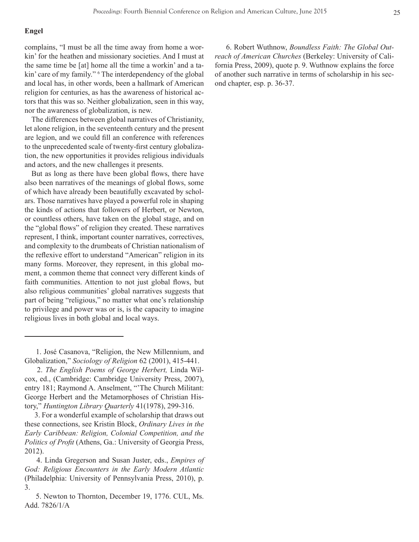#### **Engel**

complains, "I must be all the time away from home a workin' for the heathen and missionary societies. And I must at the same time be [at] home all the time a workin' and a takin' care of my family." <sup>6</sup> The interdependency of the global and local has, in other words, been a hallmark of American religion for centuries, as has the awareness of historical actors that this was so. Neither globalization, seen in this way, nor the awareness of globalization, is new.

The differences between global narratives of Christianity, let alone religion, in the seventeenth century and the present are legion, and we could fill an conference with references to the unprecedented scale of twenty-first century globalization, the new opportunities it provides religious individuals and actors, and the new challenges it presents.

But as long as there have been global flows, there have also been narratives of the meanings of global flows, some of which have already been beautifully excavated by scholars. Those narratives have played a powerful role in shaping the kinds of actions that followers of Herbert, or Newton, or countless others, have taken on the global stage, and on the "global flows" of religion they created. These narratives represent, I think, important counter narratives, correctives, and complexity to the drumbeats of Christian nationalism of the reflexive effort to understand "American" religion in its many forms. Moreover, they represent, in this global moment, a common theme that connect very different kinds of faith communities. Attention to not just global flows, but also religious communities' global narratives suggests that part of being "religious," no matter what one's relationship to privilege and power was or is, is the capacity to imagine religious lives in both global and local ways.

 3. For a wonderful example of scholarship that draws out these connections, see Kristin Block, *Ordinary Lives in the Early Caribbean: Religion, Colonial Competition, and the Politics of Profit* (Athens, Ga.: University of Georgia Press, 2012).

 6. Robert Wuthnow, *Boundless Faith: The Global Outreach of American Churches* (Berkeley: University of California Press, 2009), quote p. 9. Wuthnow explains the force of another such narrative in terms of scholarship in his second chapter, esp. p. 36-37.

 <sup>1.</sup> José Casanova, "Religion, the New Millennium, and Globalization," *Sociology of Religion* 62 (2001), 415-441.

 <sup>2.</sup> *The English Poems of George Herbert,* Linda Wilcox, ed., (Cambridge: Cambridge University Press, 2007), entry 181; Raymond A. Anselment, "'The Church Militant: George Herbert and the Metamorphoses of Christian History," *Huntington Library Quarterly* 41(1978), 299-316.

 <sup>4.</sup> Linda Gregerson and Susan Juster, eds., *Empires of God: Religious Encounters in the Early Modern Atlantic*  (Philadelphia: University of Pennsylvania Press, 2010), p. 3.

 <sup>5.</sup> Newton to Thornton, December 19, 1776. CUL, Ms. Add. 7826/1/A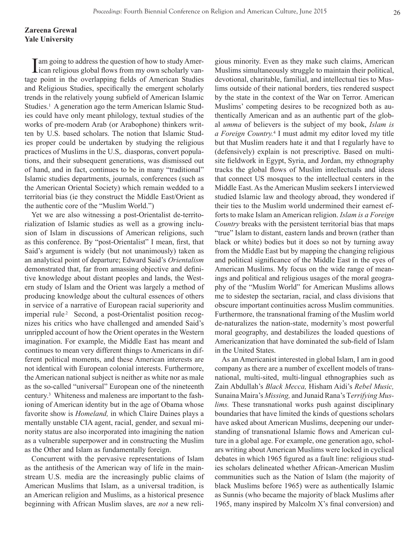## **Zareena Grewal Yale University**

I am going to address the question of how to study Amer-<br>ican religious global flows from my own scholarly vantage point in the overlapping fields of American Studies and Religious Studies, specifically the emergent scholarly trends in the relatively young subfield of American Islamic Studies.<sup>1</sup> A generation ago the term American Islamic Studies could have only meant philology, textual studies of the works of pre-modern Arab (or Arabophone) thinkers written by U.S. based scholars. The notion that Islamic Studies proper could be undertaken by studying the religious practices of Muslims in the U.S,. diasporas, convert populations, and their subsequent generations, was dismissed out of hand, and in fact, continues to be in many "traditional" Islamic studies departments, journals, conferences (such as the American Oriental Society) which remain wedded to a territorial bias (ie they construct the Middle East/Orient as the authentic core of the "Muslim World.")

Yet we are also witnessing a post-Orientalist de-territorialization of Islamic studies as well as a growing inclusion of Islam in discussions of American religions, such as this conference. By "post-Orientalist" I mean, first, that Said's argument is widely (but not unanimously) taken as an analytical point of departure; Edward Said's *Orientalism* demonstrated that, far from amassing objective and definitive knowledge about distant peoples and lands, the Western study of Islam and the Orient was largely a method of producing knowledge about the cultural essences of others in service of a narrative of European racial superiority and imperial rule<sup>2</sup> Second, a post-Orientalist position recognizes his critics who have challenged and amended Said's unrippled account of how the Orient operates in the Western imagination. For example, the Middle East has meant and continues to mean very different things to Americans in different political moments, and these American interests are not identical with European colonial interests. Furthermore, the American national subject is neither as white nor as male as the so-called "universal" European one of the nineteenth century.3 Whiteness and maleness are important to the fashioning of American identity but in the age of Obama whose favorite show is *Homeland,* in which Claire Daines plays a mentally unstable CIA agent, racial, gender, and sexual minority status are also incorporated into imagining the nation as a vulnerable superpower and in constructing the Muslim as the Other and Islam as fundamentally foreign.

Concurrent with the pervasive representations of Islam as the antithesis of the American way of life in the mainstream U.S. media are the increasingly public claims of American Muslims that Islam, as a universal tradition, is an American religion and Muslims, as a historical presence beginning with African Muslim slaves, are *not* a new religious minority. Even as they make such claims, American Muslims simultaneously struggle to maintain their political, devotional, charitable, familial, and intellectual ties to Muslims outside of their national borders, ties rendered suspect by the state in the context of the War on Terror. American Muslims' competing desires to be recognized both as authentically American and as an authentic part of the global *umma* of believers is the subject of my book, *Islam is a Foreign Country.*<sup>4</sup> I must admit my editor loved my title but that Muslim readers hate it and that I regularly have to (defensively) explain is not prescriptive. Based on multisite fieldwork in Egypt, Syria, and Jordan, my ethnography tracks the global flows of Muslim intellectuals and ideas that connect US mosques to the intellectual centers in the Middle East. As the American Muslim seekers I interviewed studied Islamic law and theology abroad, they wondered if their ties to the Muslim world undermined their earnest efforts to make Islam an American religion. *Islam is a Foreign Country* breaks with the persistent territorial bias that maps "true" Islam to distant, eastern lands and brown (rather than black or white) bodies but it does so not by turning away from the Middle East but by mapping the changing religious and political significance of the Middle East in the eyes of American Muslims. My focus on the wide range of meanings and political and religious usages of the moral geography of the "Muslim World" for American Muslims allows me to sidestep the sectarian, racial, and class divisions that obscure important continuities across Muslim communities. Furthermore, the transnational framing of the Muslim world de-naturalizes the nation-state, modernity's most powerful moral geography, and destabilizes the loaded questions of Americanization that have dominated the sub-field of Islam in the United States.

As an Americanist interested in global Islam, I am in good company as there are a number of excellent models of transnational, multi-sited, multi-lingual ethnographies such as Zain Abdullah's *Black Mecca,* Hisham Aidi's *Rebel Music,*  Sunaina Maira's *Missing,* and Junaid Rana's T*errifying Muslims.* These transnational works push against disciplinary boundaries that have limited the kinds of questions scholars have asked about American Muslims, deepening our understanding of transnational Islamic flows and American culture in a global age. For example, one generation ago, scholars writing about American Muslims were locked in cyclical debates in which 1965 figured as a fault line: religious studies scholars delineated whether African-American Muslim communities such as the Nation of Islam (the majority of black Muslims before 1965) were as authentically Islamic as Sunnis (who became the majority of black Muslims after 1965, many inspired by Malcolm X's final conversion) and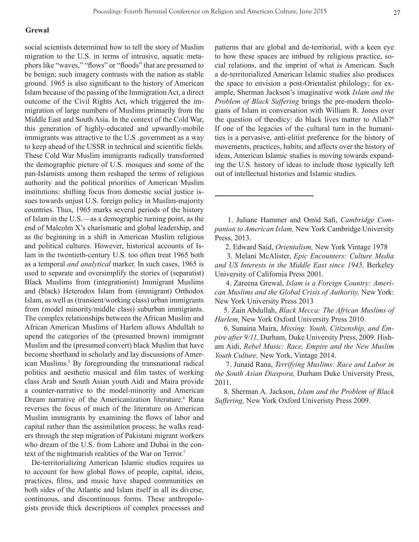#### **Grewal**

social scientists determined how to tell the story of Muslim migration to the U.S. in terms of intrusive, aquatic metaphors like "waves," "flows" or "floods" that are presumed to be benign; such imagery contrasts with the nation as stable ground. 1965 is also significant to the history of American Islam because of the passing of the Immigration Act, a direct outcome of the Civil Rights Act, which triggered the immigration of large numbers of Muslims primarily from the Middle East and South Asia. In the context of the Cold War, this generation of highly-educated and upwardly-mobile immigrants was attractive to the U.S .government as a way to keep ahead of the USSR in technical and scientific fields. These Cold War Muslim immigrants radically transformed the demographic picture of U.S. mosques and some of the pan-Islamists among them reshaped the terms of religious authority and the political priorities of American Muslim institutions: shifting focus from domestic social justice issues towards unjust U.S. foreign policy in Muslim-majority countries. Thus, 1965 marks several periods of the history of Islam in the U.S.—as a demographic turning point, as the end of Malcolm X's charismatic and global leadership, and as the beginning in a shift in American Muslim religious and political cultures. However, historical accounts of Islam in the twentieth-century U.S. too often treat 1965 both as a temporal *and analytical* marker. In such cases, 1965 is used to separate and oversimplify the stories of (separatist) Black Muslims from (integrationist) Immigrant Muslims and (black) Heterodox Islam from (immigrant) Orthodox Islam, as well as (transient/working class) urban immigrants from (model minority/middle class) suburban immigrants. The complex relationships between the African Muslim and African American Muslims of Harlem allows Abdullah to upend the categories of the (presumed brown) immigrant Muslim and the (presumed convert) black Muslim that have become shorthand in scholarly and lay discussions of American Muslims.<sup>5</sup> By foregrounding the transnational radical politics and aesthetic musical and film tastes of working class Arab and South Asian youth Aidi and Maira provide a counter-narrative to the model-minority and American Dream narrative of the Americanization literature.<sup>6</sup> Rana reverses the focus of much of the literature on American Muslim immigrants by examining the flows of labor and capital rather than the assimilation process; he walks readers through the step migration of Pakistani migrant workers who dream of the U.S. from Lahore and Dubai in the context of the nightmarish realities of the War on Terror.<sup>7</sup>

De-territorializing American Islamic studies requires us to account for how global flows of people, capital, ideas, practices, films, and music have shaped communities on both sides of the Atlantic and Islam itself in all its diverse, continuous, and discontinuous forms. These anthropologists provide thick descriptions of complex processes and

patterns that are global and de-territorial, with a keen eye to how these spaces are imbued by religious practice, social relations, and the imprint of what is American. Such a de-territorialized American Islamic studies also produces the space to envision a post-Orientalist philology; for example, Sherman Jackson's imaginative work *Islam and the Problem of Black Suffering* brings the pre-modern theologians of Islam in conversation with William R. Jones over the question of theodicy: do black lives matter to Allah?<sup>8</sup> If one of the legacies of the cultural turn in the humanities is a pervasive, anti-elitist preference for the history of movements, practices, habits, and affects over the history of ideas, American Islamic studies is moving towards expanding the U.S. history of ideas to include those typically left out of intellectual histories and Islamic studies.

 1. Juliane Hammer and Omid Safi, *Cambridge Companion to American Islam,* New York Cambridge University Press, 2013.

2. Edward Said, *Orientalism,* New York Vintage 1978

 3. Melani McAlister, *Epic Encounters: Culture Media and US Interests in the Middle East since 1945,* Berkeley University of California Press 2001.

 4. Zareena Grewal, *Islam is a Foreign Country: American Muslims and the Global Crisis of Authority,* New York: New York University Press 2013

 5. Zain Abdullah, *Black Mecca: The African Muslims of Harlem,* New York Oxford University Press 2010.

 6. Sunaina Maira, *Missing: Youth, Citizenship, and Empire after 9/11,* Durham, Duke University Press, 2009. Hisham Aidi, *Rebel Music: Race, Empire and the New Muslim Youth Culture,* New York, Vintage 2014.

 7. Junaid Rana, *Terrifying Muslims: Race and Labor in the South Asian Diaspora,* Durham Duke University Press, 2011.

 8. Sherman A. Jackson, *Islam and the Problem of Black Suffering,* New York Oxford Univeristy Press 2009.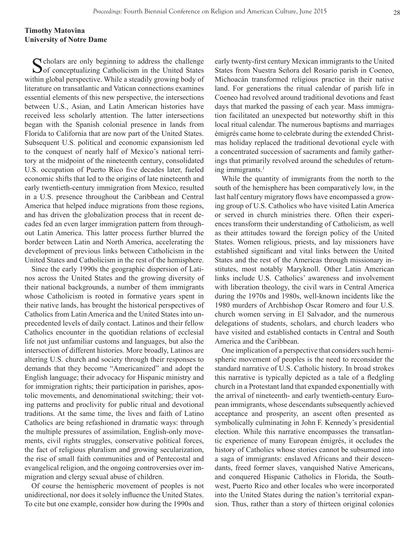## **Timothy Matovina University of Notre Dame**

C cholars are only beginning to address the challenge  $\bigcup$  of conceptualizing Catholicism in the United States within global perspective. While a steadily growing body of literature on transatlantic and Vatican connections examines essential elements of this new perspective, the intersections between U.S., Asian, and Latin American histories have received less scholarly attention. The latter intersections began with the Spanish colonial presence in lands from Florida to California that are now part of the United States. Subsequent U.S. political and economic expansionism led to the conquest of nearly half of Mexico's national territory at the midpoint of the nineteenth century, consolidated U.S. occupation of Puerto Rico five decades later, fueled economic shifts that led to the origins of late nineteenth and early twentieth-century immigration from Mexico, resulted in a U.S. presence throughout the Caribbean and Central America that helped induce migrations from those regions, and has driven the globalization process that in recent decades fed an even larger immigration pattern from throughout Latin America. This latter process further blurred the border between Latin and North America, accelerating the development of previous links between Catholicism in the United States and Catholicism in the rest of the hemisphere.

Since the early 1990s the geographic dispersion of Latinos across the United States and the growing diversity of their national backgrounds, a number of them immigrants whose Catholicism is rooted in formative years spent in their native lands, has brought the historical perspectives of Catholics from Latin America and the United States into unprecedented levels of daily contact. Latinos and their fellow Catholics encounter in the quotidian relations of ecclesial life not just unfamiliar customs and languages, but also the intersection of different histories. More broadly, Latinos are altering U.S. church and society through their responses to demands that they become "Americanized" and adopt the English language; their advocacy for Hispanic ministry and for immigration rights; their participation in parishes, apostolic movements, and denominational switching; their voting patterns and proclivity for public ritual and devotional traditions. At the same time, the lives and faith of Latino Catholics are being refashioned in dramatic ways: through the multiple pressures of assimilation, English-only movements, civil rights struggles, conservative political forces, the fact of religious pluralism and growing secularization, the rise of small faith communities and of Pentecostal and evangelical religion, and the ongoing controversies over immigration and clergy sexual abuse of children.

Of course the hemispheric movement of peoples is not unidirectional, nor does it solely influence the United States. To cite but one example, consider how during the 1990s and early twenty-first century Mexican immigrants to the United States from Nuestra Señora del Rosario parish in Coeneo, Michoacán transformed religious practice in their native land. For generations the ritual calendar of parish life in Coeneo had revolved around traditional devotions and feast days that marked the passing of each year. Mass immigration facilitated an unexpected but noteworthy shift in this local ritual calendar. The numerous baptisms and marriages émigrés came home to celebrate during the extended Christmas holiday replaced the traditional devotional cycle with a concentrated succession of sacraments and family gatherings that primarily revolved around the schedules of returning immigrants.<sup>1</sup>

While the quantity of immigrants from the north to the south of the hemisphere has been comparatively low, in the last half century migratory flows have encompassed a growing group of U.S. Catholics who have visited Latin America or served in church ministries there. Often their experiences transform their understanding of Catholicism, as well as their attitudes toward the foreign policy of the United States. Women religious, priests, and lay missioners have established significant and vital links between the United States and the rest of the Americas through missionary institutes, most notably Maryknoll. Other Latin American links include U.S. Catholics' awareness and involvement with liberation theology, the civil wars in Central America during the 1970s and 1980s, well-known incidents like the 1980 murders of Archbishop Oscar Romero and four U.S. church women serving in El Salvador, and the numerous delegations of students, scholars, and church leaders who have visited and established contacts in Central and South America and the Caribbean.

One implication of a perspective that considers such hemispheric movement of peoples is the need to reconsider the standard narrative of U.S. Catholic history. In broad strokes this narrative is typically depicted as a tale of a fledgling church in a Protestant land that expanded exponentially with the arrival of nineteenth- and early twentieth-century European immigrants, whose descendants subsequently achieved acceptance and prosperity, an ascent often presented as symbolically culminating in John F. Kennedy's presidential election. While this narrative encompasses the transatlantic experience of many European émigrés, it occludes the history of Catholics whose stories cannot be subsumed into a saga of immigrants: enslaved Africans and their descendants, freed former slaves, vanquished Native Americans, and conquered Hispanic Catholics in Florida, the Southwest, Puerto Rico and other locales who were incorporated into the United States during the nation's territorial expansion. Thus, rather than a story of thirteen original colonies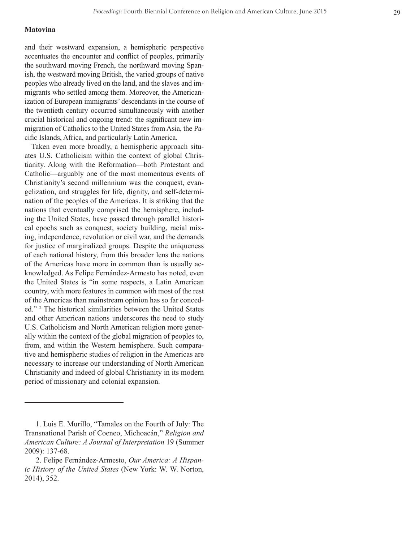#### **Matovina**

and their westward expansion, a hemispheric perspective accentuates the encounter and conflict of peoples, primarily the southward moving French, the northward moving Span ish, the westward moving British, the varied groups of native peoples who already lived on the land, and the slaves and im migrants who settled among them. Moreover, the American ization of European immigrants' descendants in the course of the twentieth century occurred simultaneously with another crucial historical and ongoing trend: the significant new im migration of Catholics to the United States from Asia, the Pa cific Islands, Africa, and particularly Latin America.

Taken even more broadly, a hemispheric approach situ ates U.S. Catholicism within the context of global Chris tianity. Along with the Reformation—both Protestant and Catholic—arguably one of the most momentous events of Christianity's second millennium was the conquest, evan gelization, and struggles for life, dignity, and self-determi nation of the peoples of the Americas. It is striking that the nations that eventually comprised the hemisphere, includ ing the United States, have passed through parallel histori cal epochs such as conquest, society building, racial mix ing, independence, revolution or civil war, and the demands for justice of marginalized groups. Despite the uniqueness of each national history, from this broader lens the nations of the Americas have more in common than is usually ac knowledged. As Felipe Fernández-Armesto has noted, even the United States is "in some respects, a Latin American country, with more features in common with most of the rest of the Americas than mainstream opinion has so far conced ed." 2 The historical similarities between the United States and other American nations underscores the need to study U.S. Catholicism and North American religion more generally within the context of the global migration of peoples to, from, and within the Western hemisphere. Such compara tive and hemispheric studies of religion in the Americas are necessary to increase our understanding of North American Christianity and indeed of global Christianity in its modern period of missionary and colonial expansion.

 <sup>1.</sup> Luis E. Murillo, "Tamales on the Fourth of July: The Transnational Parish of Coeneo, Michoacán," *Religion and American Culture: A Journal of Interpretation* 19 (Summer 2009): 137-68.

 <sup>2.</sup> Felipe Fernández-Armesto, *Our America: A Hispan ic History of the United States* (New York: W. W. Norton, 2014), 352.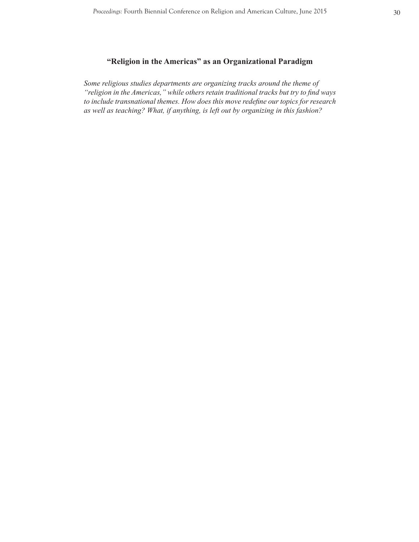## **"Religion in the Americas" as an Organizational Paradigm**

*Some religious studies departments are organizing tracks around the theme of "religion in the Americas," while others retain traditional tracks but try to find ways to include transnational themes. How does this move redefine our topics for research as well as teaching? What, if anything, is left out by organizing in this fashion?*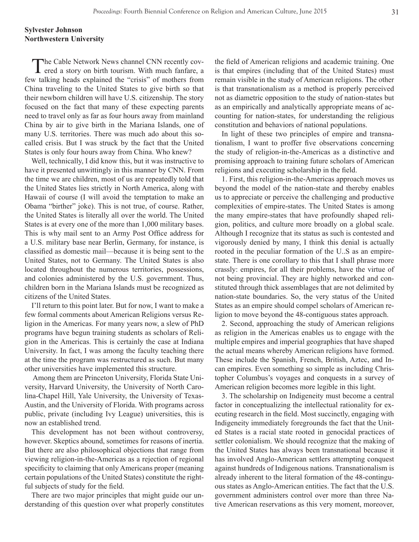## **Sylvester Johnson Northwestern University**

The Cable Network News channel CNN recently covered a story on birth tourism. With much fanfare, a few talking heads explained the "crisis" of mothers from China traveling to the United States to give birth so that their newborn children will have U.S. citizenship. The story focused on the fact that many of these expecting parents need to travel only as far as four hours away from mainland China by air to give birth in the Mariana Islands, one of many U.S. territories. There was much ado about this socalled crisis. But I was struck by the fact that the United States is only four hours away from China. Who knew?

Well, technically, I did know this, but it was instructive to have it presented unwittingly in this manner by CNN. From the time we are children, most of us are repeatedly told that the United States lies strictly in North America, along with Hawaii of course (I will avoid the temptation to make an Obama "birther" joke). This is not true, of course. Rather, the United States is literally all over the world. The United States is at every one of the more than 1,000 military bases. This is why mail sent to an Army Post Office address for a U.S. military base near Berlin, Germany, for instance, is classified as domestic mail—because it is being sent to the United States, not to Germany. The United States is also located throughout the numerous territories, possessions, and colonies administered by the U.S. government. Thus, children born in the Mariana Islands must be recognized as citizens of the United States.

I'll return to this point later. But for now, I want to make a few formal comments about American Religions versus Religion in the Americas. For many years now, a slew of PhD programs have begun training students as scholars of Religion in the Americas. This is certainly the case at Indiana University. In fact, I was among the faculty teaching there at the time the program was restructured as such. But many other universities have implemented this structure.

 Among them are Princeton University, Florida State University, Harvard University, the University of North Carolina-Chapel Hill, Yale University, the University of Texas-Austin, and the University of Florida. With programs across public, private (including Ivy League) universities, this is now an established trend.

This development has not been without controversy, however. Skeptics abound, sometimes for reasons of inertia. But there are also philosophical objections that range from viewing religion-in-the-Americas as a rejection of regional specificity to claiming that only Americans proper (meaning certain populations of the United States) constitute the rightful subjects of study for the field.

There are two major principles that might guide our understanding of this question over what properly constitutes the field of American religions and academic training. One is that empires (including that of the United States) must remain visible in the study of American religions. The other is that transnationalism as a method is properly perceived not as diametric opposition to the study of nation-states but as an empirically and analytically appropriate means of accounting for nation-states, for understanding the religious constitution and behaviors of national populations.

In light of these two principles of empire and transnationalism, I want to proffer five observations concerning the study of religion-in-the-Americas as a distinctive and promising approach to training future scholars of American religions and executing scholarship in the field.

1. First, this religion-in-the-Americas approach moves us beyond the model of the nation-state and thereby enables us to appreciate or perceive the challenging and productive complexities of empire-states. The United States is among the many empire-states that have profoundly shaped religion, politics, and culture more broadly on a global scale. Although I recognize that its status as such is contested and vigorously denied by many, I think this denial is actually rooted in the peculiar formation of the U..S as an empirestate. There is one corollary to this that I shall phrase more crassly: empires, for all their problems, have the virtue of not being provincial. They are highly networked and constituted through thick assemblages that are not delimited by nation-state boundaries. So, the very status of the United States as an empire should compel scholars of American religion to move beyond the 48-contiguous states approach.

2. Second, approaching the study of American religions as religion in the Americas enables us to engage with the multiple empires and imperial geographies that have shaped the actual means whereby American religions have formed. These include the Spanish, French, British, Aztec, and Incan empires. Even something so simple as including Christopher Columbus's voyages and conquests in a survey of American religion becomes more legible in this light.

3. The scholarship on Indigeneity must become a central factor in conceptualizing the intellectual rationality for executing research in the field. Most succinctly, engaging with Indigeneity immediately foregrounds the fact that the United States is a racial state rooted in genocidal practices of settler colonialism. We should recognize that the making of the United States has always been transnational because it has involved Anglo-American settlers attempting conquest against hundreds of Indigenous nations. Transnationalism is already inherent to the literal formation of the 48-continguous states as Anglo-American entities. The fact that the U.S. government administers control over more than three Native American reservations as this very moment, moreover,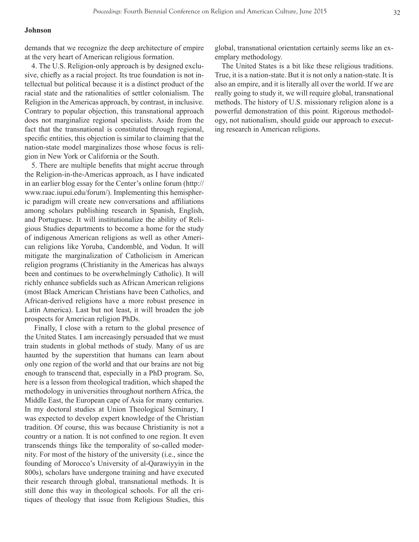#### **Johnson**

demands that we recognize the deep architecture of empire at the very heart of American religious formation.

4. The U.S. Religion-only approach is by designed exclusive, chiefly as a racial project. Its true foundation is not intellectual but political because it is a distinct product of the racial state and the rationalities of settler colonialism. The Religion in the Americas approach, by contrast, in inclusive. Contrary to popular objection, this transnational approach does not marginalize regional specialists. Aside from the fact that the transnational is constituted through regional, specific entities, this objection is similar to claiming that the nation-state model marginalizes those whose focus is religion in New York or California or the South.

5. There are multiple benefits that might accrue through the Religion-in-the-Americas approach, as I have indicated in an earlier blog essay for the Center's online forum (http:// www.raac.iupui.edu/forum/). Implementing this hemispheric paradigm will create new conversations and affiliations among scholars publishing research in Spanish, English, and Portuguese. It will institutionalize the ability of Religious Studies departments to become a home for the study of indigenous American religions as well as other American religions like Yoruba, Candomblé, and Vodun. It will mitigate the marginalization of Catholicism in American religion programs (Christianity in the Americas has always been and continues to be overwhelmingly Catholic). It will richly enhance subfields such as African American religions (most Black American Christians have been Catholics, and African-derived religions have a more robust presence in Latin America). Last but not least, it will broaden the job prospects for American religion PhDs.

 Finally, I close with a return to the global presence of the United States. I am increasingly persuaded that we must train students in global methods of study. Many of us are haunted by the superstition that humans can learn about only one region of the world and that our brains are not big enough to transcend that, especially in a PhD program. So, here is a lesson from theological tradition, which shaped the methodology in universities throughout northern Africa, the Middle East, the European cape of Asia for many centuries. In my doctoral studies at Union Theological Seminary, I was expected to develop expert knowledge of the Christian tradition. Of course, this was because Christianity is not a country or a nation. It is not confined to one region. It even transcends things like the temporality of so-called modernity. For most of the history of the university (i.e., since the founding of Morocco's University of al-Qarawiyyin in the 800s), scholars have undergone training and have executed their research through global, transnational methods. It is still done this way in theological schools. For all the critiques of theology that issue from Religious Studies, this

global, transnational orientation certainly seems like an exemplary methodology.

The United States is a bit like these religious traditions. True, it is a nation-state. But it is not only a nation-state. It is also an empire, and it is literally all over the world. If we are really going to study it, we will require global, transnational methods. The history of U.S. missionary religion alone is a powerful demonstration of this point. Rigorous methodology, not nationalism, should guide our approach to executing research in American religions.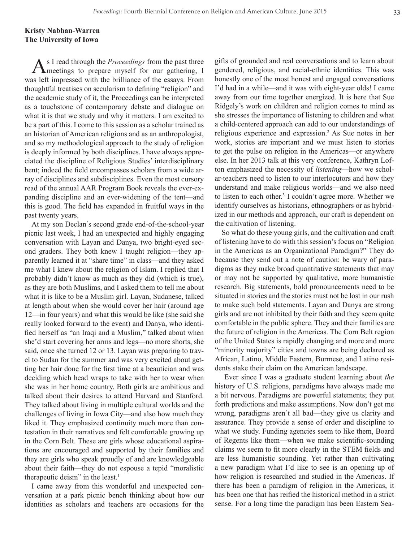## **Kristy Nabhan-Warren The University of Iowa**

As I read through the *Proceedings* from the past three<br>meetings to prepare myself for our gathering, I was left impressed with the brilliance of the essays. From thoughtful treatises on secularism to defining "religion" and the academic study of it, the Proceedings can be interpreted as a touchstone of contemporary debate and dialogue on what it is that we study and why it matters. I am excited to be a part of this. I come to this session as a scholar trained as an historian of American religions and as an anthropologist, and so my methodological approach to the study of religion is deeply informed by both disciplines. I have always appreciated the discipline of Religious Studies' interdisciplinary bent; indeed the field encompasses scholars from a wide array of disciplines and subdisciplines. Even the most cursory read of the annual AAR Program Book reveals the ever-expanding discipline and an ever-widening of the tent—and this is good. The field has expanded in fruitful ways in the past twenty years.

At my son Declan's second grade end-of-the-school-year picnic last week, I had an unexpected and highly engaging conversation with Layan and Danya, two bright-eyed second graders. They both knew I taught religion—they apparently learned it at "share time" in class—and they asked me what I knew about the religion of Islam. I replied that I probably didn't know as much as they did (which is true), as they are both Muslims, and I asked them to tell me about what it is like to be a Muslim girl. Layan, Sudanese, talked at length about when she would cover her hair (around age 12—in four years) and what this would be like (she said she really looked forward to the event) and Danya, who identified herself as "an Iraqi and a Muslim," talked about when she'd start covering her arms and legs—no more shorts, she said, once she turned 12 or 13. Layan was preparing to travel to Sudan for the summer and was very excited about getting her hair done for the first time at a beautician and was deciding which head wraps to take with her to wear when she was in her home country. Both girls are ambitious and talked about their desires to attend Harvard and Stanford. They talked about living in multiple cultural worlds and the challenges of living in Iowa City—and also how much they liked it. They emphasized continuity much more than contestation in their narratives and felt comfortable growing up in the Corn Belt. These are girls whose educational aspirations are encouraged and supported by their families and they are girls who speak proudly of and are knowledgeable about their faith—they do not espouse a tepid "moralistic therapeutic deism" in the least.<sup>1</sup>

I came away from this wonderful and unexpected conversation at a park picnic bench thinking about how our identities as scholars and teachers are occasions for the gifts of grounded and real conversations and to learn about gendered, religious, and racial-ethnic identities. This was honestly one of the most honest and engaged conversations I'd had in a while—and it was with eight-year olds! I came away from our time together energized. It is here that Sue Ridgely's work on children and religion comes to mind as she stresses the importance of listening to children and what a child-centered approach can add to our understandings of religious experience and expression.2 As Sue notes in her work, stories are important and we must listen to stories to get the pulse on religion in the Americas—or anywhere else. In her 2013 talk at this very conference, Kathryn Lofton emphasized the necessity of *listening*—how we scholar-teachers need to listen to our interlocutors and how they understand and make religious worlds—and we also need to listen to each other.<sup>3</sup> I couldn't agree more. Whether we identify ourselves as historians, ethnographers or as hybridized in our methods and approach, our craft is dependent on the cultivation of listening.

So what do these young girls, and the cultivation and craft of listening have to do with this session's focus on "Religion in the Americas as an Organizational Paradigm?" They do because they send out a note of caution: be wary of paradigms as they make broad quantitative statements that may or may not be supported by qualitative, more humanistic research. Big statements, bold pronouncements need to be situated in stories and the stories must not be lost in our rush to make such bold statements. Layan and Danya are strong girls and are not inhibited by their faith and they seem quite comfortable in the public sphere. They and their families are the future of religion in the Americas. The Corn Belt region of the United States is rapidly changing and more and more "minority majority" cities and towns are being declared as African, Latino, Middle Eastern, Burmese, and Latino residents stake their claim on the American landscape.

 Ever since I was a graduate student learning about *the*  history of U.S. religions, paradigms have always made me a bit nervous. Paradigms are powerful statements; they put forth predictions and make assumptions. Now don't get me wrong, paradigms aren't all bad—they give us clarity and assurance. They provide a sense of order and discipline to what we study. Funding agencies seem to like them, Board of Regents like them—when we make scientific-sounding claims we seem to fit more clearly in the STEM fields and are less humanistic sounding. Yet rather than cultivating a new paradigm what I'd like to see is an opening up of how religion is researched and studied in the Americas. If there has been a paradigm of religion in the Americas, it has been one that has reified the historical method in a strict sense. For a long time the paradigm has been Eastern Sea-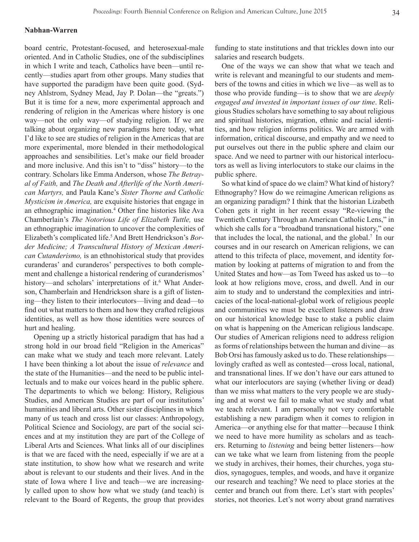#### **Nabhan-Warren**

board centric, Protestant-focused, and heterosexual-male oriented. And in Catholic Studies, one of the subdisciplines in which I write and teach, Catholics have been—until recently—studies apart from other groups. Many studies that have supported the paradigm have been quite good. (Sydney Ahlstrom, Sydney Mead, Jay P. Dolan—the "greats.") But it is time for a new, more experimental approach and rendering of religion in the Americas where history is one way—not the only way—of studying religion. If we are talking about organizing new paradigms here today, what I'd like to see are studies of religion in the Americas that are more experimental, more blended in their methodological approaches and sensibilities. Let's make our field broader and more inclusive. And this isn't to "diss" history—to the contrary. Scholars like Emma Anderson, whose *The Betrayal of Faith,* and *The Death and Afterlife of the North American Martyrs,* and Paula Kane's *Sister Thorne and Catholic Mysticism in America,* are exquisite histories that engage in an ethnographic imagination.4 Other fine histories like Ava Chamberlain's *The Notorious Life of Elizabeth Tuttle,* use an ethnographic imagination to uncover the complexities of Elizabeth's complicated life.5 And Brett Hendrickson's *Border Medicine; A Transcultural History of Mexican American Cutanderismo,* is an ethnohistorical study that provides curanderas' and curanderos' perspectives to both complement and challenge a historical rendering of curanderismos' history—and scholars' interpretations of it.<sup>6</sup> What Anderson, Chamberlain and Hendrickson share is a gift of listening—they listen to their interlocutors—living and dead—to find out what matters to them and how they crafted religious identities, as well as how those identities were sources of hurt and healing.

 Opening up a strictly historical paradigm that has had a strong hold in our broad field "Religion in the Americas" can make what we study and teach more relevant. Lately I have been thinking a lot about the issue of *relevance* and the state of the Humanities—and the need to be public intellectuals and to make our voices heard in the public sphere. The departments to which we belong: History, Religious Studies, and American Studies are part of our institutions' humanities and liberal arts. Other sister disciplines in which many of us teach and cross list our classes: Anthropology, Political Science and Sociology, are part of the social sciences and at my institution they are part of the College of Liberal Arts and Sciences. What links all of our disciplines is that we are faced with the need, especially if we are at a state institution, to show how what we research and write about is relevant to our students and their lives. And in the state of Iowa where I live and teach—we are increasingly called upon to show how what we study (and teach) is relevant to the Board of Regents, the group that provides

funding to state institutions and that trickles down into our salaries and research budgets.

One of the ways we can show that what we teach and write is relevant and meaningful to our students and members of the towns and cities in which we live—as well as to those who provide funding—is to show that we are *deeply engaged and invested in important issues of our time*. Religious Studies scholars have something to say about religious and spiritual histories, migration, ethnic and racial identities, and how religion informs politics. We are armed with information, critical discourse, and empathy and we need to put ourselves out there in the public sphere and claim our space. And we need to partner with our historical interlocutors as well as living interlocutors to stake our claims in the public sphere.

So what kind of space do we claim? What kind of history? Ethnography? How do we reimagine American religions as an organizing paradigm? I think that the historian Lizabeth Cohen gets it right in her recent essay "Re-viewing the Twentieth Century Through an American Catholic Lens," in which she calls for a "broadband transnational history," one that includes the local, the national, and the global.7 In our courses and in our research on American religions, we can attend to this trifecta of place, movement, and identity formation by looking at patterns of migration to and from the United States and how—as Tom Tweed has asked us to—to look at how religions move, cross, and dwell. And in our aim to study and to understand the complexities and intricacies of the local-national-global work of religious people and communities we must be excellent listeners and draw on our historical knowledge base to stake a public claim on what is happening on the American religious landscape. Our studies of American religions need to address religion as forms of relationships between the human and divine—as Bob Orsi has famously asked us to do. These relationships lovingly crafted as well as contested—cross local, national, and transnational lines. If we don't have our ears attuned to what our interlocutors are saying (whether living or dead) than we miss what matters to the very people we are studying and at worst we fail to make what we study and what we teach relevant. I am personally not very comfortable establishing a new paradigm when it comes to religion in America—or anything else for that matter—because I think we need to have more humility as scholars and as teachers. Returning to *listening* and being better listeners—how can we take what we learn from listening from the people we study in archives, their homes, their churches, yoga studios, synagogues, temples, and woods, and have it organize our research and teaching? We need to place stories at the center and branch out from there. Let's start with peoples' stories, not theories. Let's not worry about grand narratives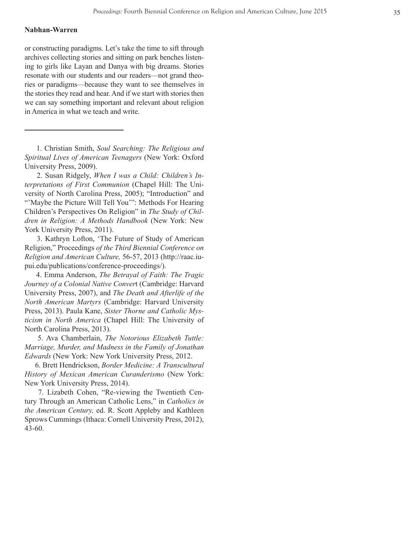## **Nabhan-Warren**

or constructing paradigms. Let's take the time to sift through archives collecting stories and sitting on park benches listen ing to girls like Layan and Danya with big dreams. Stories resonate with our students and our readers—not grand theories or paradigms—because they want to see themselves in the stories they read and hear. And if we start with stories then we can say something important and relevant about religion in America in what we teach and write.

 1. Christian Smith, *Soul Searching: The Religious and Spiritual Lives of American Teenagers* (New York: Oxford University Press, 2009).

 2. Susan Ridgely, *When I was a Child: Children's In terpretations of First Communion* (Chapel Hill: The Uni versity of North Carolina Press, 2005); "Introduction" and "'Maybe the Picture Will Tell You'": Methods For Hearing Children's Perspectives On Religion" in *The Study of Chil dren in Religion: A Methods Handbook* (New York: New York University Press, 2011).

 3. Kathryn Lofton, 'The Future of Study of American Religion," Proceedings *of the Third Biennial Conference on Religion and American Culture,* 56-57, 2013 (http://raac.iu pui.edu/publications/conference-proceedings/).

 4. Emma Anderson, *The Betrayal of Faith: The Tragic Journey of a Colonial Native Conver*t (Cambridge: Harvard University Press, 2007), and *The Death and Afterlife of the North American Martyrs* (Cambridge: Harvard University Press, 2013). Paula Kane, *Sister Thorne and Catholic Mys ticism in North America* (Chapel Hill: The University of North Carolina Press, 2013).

 5. Ava Chamberlain, *The Notorious Elizabeth Tuttle: Marriage, Murder, and Madness in the Family of Jonathan Edwards* (New York: New York University Press, 2012.

 6. Brett Hendrickson, *Border Medicine: A Transcultural History of Mexican American Curanderismo* (New York: New York University Press, 2014).

 7. Lizabeth Cohen, "Re-viewing the Twentieth Cen tury Through an American Catholic Lens," in *Catholics in the American Century,* ed. R. Scott Appleby and Kathleen Sprows Cummings (Ithaca: Cornell University Press, 2012), 43-60.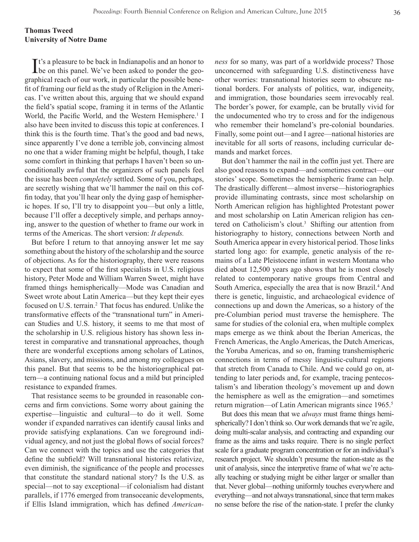## **Thomas Tweed University of Notre Dame**

It's a pleasure to be back in Indianapolis and an honor to be on this panel. We've been asked to ponder the geobe on this panel. We've been asked to ponder the geographical reach of our work, in particular the possible benefit of framing our field as the study of Religion in the Americas. I've written about this, arguing that we should expand the field's spatial scope, framing it in terms of the Atlantic World, the Pacific World, and the Western Hemisphere.<sup>1</sup> I also have been invited to discuss this topic at conferences. I think this is the fourth time. That's the good and bad news, since apparently I've done a terrible job, convincing almost no one that a wider framing might be helpful, though, I take some comfort in thinking that perhaps I haven't been so unconditionally awful that the organizers of such panels feel the issue has been *completely* settled. Some of you, perhaps, are secretly wishing that we'll hammer the nail on this coffin today, that you'll hear only the dying gasp of hemispheric hopes. If so, I'll try to disappoint you—but only a little, because I'll offer a deceptively simple, and perhaps annoying, answer to the question of whether to frame our work in terms of the Americas. The short version: *It depends.*

But before I return to that annoying answer let me say something about the history of the scholarship and the source of objections. As for the historiography, there were reasons to expect that some of the first specialists in U.S. religious history, Peter Mode and William Warren Sweet, might have framed things hemispherically—Mode was Canadian and Sweet wrote about Latin America—but they kept their eyes focused on U.S. terrain.<sup>2</sup> That focus has endured. Unlike the transformative effects of the "transnational turn" in American Studies and U.S. history, it seems to me that most of the scholarship in U.S. religious history has shown less interest in comparative and transnational approaches, though there are wonderful exceptions among scholars of Latinos, Asians, slavery, and missions, and among my colleagues on this panel. But that seems to be the historiographical pattern—a continuing national focus and a mild but principled resistance to expanded frames.

That resistance seems to be grounded in reasonable concerns and firm convictions. Some worry about gaining the expertise—linguistic and cultural—to do it well. Some wonder if expanded narratives can identify causal links and provide satisfying explanations. Can we foreground individual agency, and not just the global flows of social forces? Can we connect with the topics and use the categories that define the subfield? Will transnational histories relativize, even diminish, the significance of the people and processes that constitute the standard national story? Is the U.S. as special—not to say exceptional—if colonialism had distant parallels, if 1776 emerged from transoceanic developments, if Ellis Island immigration, which has defined *American-* *ness* for so many, was part of a worldwide process? Those unconcerned with safeguarding U.S. distinctiveness have other worries: transnational histories seem to obscure national borders. For analysts of politics, war, indigeneity, and immigration, those boundaries seem irrevocably real. The border's power, for example, can be brutally vivid for the undocumented who try to cross and for the indigenous who remember their homeland's pre-colonial boundaries. Finally, some point out—and I agree—national histories are inevitable for all sorts of reasons, including curricular demands and market forces.

But don't hammer the nail in the coffin just yet. There are also good reasons to expand—and sometimes contract—our stories' scope. Sometimes the hemispheric frame can help. The drastically different—almost inverse—historiographies provide illuminating contrasts, since most scholarship on North American religion has highlighted Protestant power and most scholarship on Latin American religion has centered on Catholicism's clout.<sup>3</sup> Shifting our attention from historiography to history, connections between North and South America appear in every historical period. Those links started long ago: for example, genetic analysis of the remains of a Late Pleistocene infant in western Montana who died about 12,500 years ago shows that he is most closely related to contemporary native groups from Central and South America, especially the area that is now Brazil.<sup>4</sup> And there is genetic, linguistic, and archaeological evidence of connections up and down the Americas, so a history of the pre-Columbian period must traverse the hemisphere. The same for studies of the colonial era, when multiple complex maps emerge as we think about the Iberian Americas, the French Americas, the Anglo Americas, the Dutch Americas, the Yoruba Americas, and so on, framing transhemispheric connections in terms of messy linguistic-cultural regions that stretch from Canada to Chile. And we could go on, attending to later periods and, for example, tracing pentecostalism's and liberation theology's movement up and down the hemisphere as well as the emigration—and sometimes return migration—of Latin American migrants since 1965.5

But does this mean that we *always* must frame things hemispherically? I don't think so. Our work demands that we're agile, doing multi-scalar analysis, and contracting and expanding our frame as the aims and tasks require. There is no single perfect scale for a graduate program concentration or for an individual's research project. We shouldn't presume the nation-state as the unit of analysis, since the interpretive frame of what we're actually teaching or studying might be either larger or smaller than that. Never global—nothing uniformly touches everywhere and everything—and not always transnational, since that term makes no sense before the rise of the nation-state. I prefer the clunky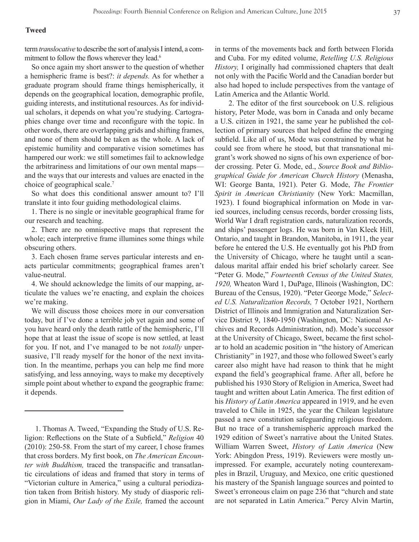#### **Tweed**

term *translocative* to describe the sort of analysis I intend, a commitment to follow the flows wherever they lead.<sup>6</sup>

So once again my short answer to the question of whether a hemispheric frame is best?: *it depends.* As for whether a graduate program should frame things hemispherically, it depends on the geographical location, demographic profile, guiding interests, and institutional resources. As for individual scholars, it depends on what you're studying. Cartographies change over time and reconfigure with the topic. In other words, there are overlapping grids and shifting frames, and none of them should be taken as the whole. A lack of epistemic humility and comparative vision sometimes has hampered our work: we still sometimes fail to acknowledge the arbitrariness and limitations of our own mental maps and the ways that our interests and values are enacted in the choice of geographical scale.<sup>7</sup>

So what does this conditional answer amount to? I'll translate it into four guiding methodological claims.

1. There is no single or inevitable geographical frame for our research and teaching.

2. There are no omnispective maps that represent the whole; each interpretive frame illumines some things while obscuring others.

3. Each chosen frame serves particular interests and enacts particular commitments; geographical frames aren't value-neutral.

4. We should acknowledge the limits of our mapping, articulate the values we're enacting, and explain the choices we're making.

We will discuss those choices more in our conversation today, but if I've done a terrible job yet again and some of you have heard only the death rattle of the hemispheric, I'll hope that at least the issue of scope is now settled, at least for you. If not, and I've managed to be not *totally* unpersuasive, I'll ready myself for the honor of the next invitation. In the meantime, perhaps you can help me find more satisfying, and less annoying, ways to make my deceptively simple point about whether to expand the geographic frame: it depends.

in terms of the movements back and forth between Florida and Cuba. For my edited volume, *Retelling U.S. Religious History,* I originally had commissioned chapters that dealt not only with the Pacific World and the Canadian border but also had hoped to include perspectives from the vantage of Latin America and the Atlantic World.

 2. The editor of the first sourcebook on U.S. religious history, Peter Mode, was born in Canada and only became a U.S. citizen in 1921, the same year he published the collection of primary sources that helped define the emerging subfield. Like all of us, Mode was constrained by what he could see from where he stood, but that transnational migrant's work showed no signs of his own experience of border crossing. Peter G. Mode, ed., *Source Book and Bibliographical Guide for American Church History* (Menasha, WI: George Banta, 1921). Peter G. Mode, *The Frontier Spirit in American Christianity* (New York: Macmillan, 1923). I found biographical information on Mode in varied sources, including census records, border crossing lists, World War I draft registration cards, naturalization records, and ships' passenger logs. He was born in Van Kleek Hill, Ontario, and taught in Brandon, Manitoba, in 1911, the year before he entered the U.S. He eventually got his PhD from the University of Chicago, where he taught until a scandalous marital affair ended his brief scholarly career. See "Peter G. Mode," *Fourteenth Census of the United States, 1920,* Wheaton Ward 1, DuPage, Illinois (Washington, DC: Bureau of the Census, 1920). "Peter George Mode," *Selected U.S. Naturalization Records,* 7 October 1921, Northern District of Illinois and Immigration and Naturalization Service District 9, 1840-1950 (Washington, DC: National Archives and Records Administration, nd). Mode's successor at the University of Chicago, Sweet, became the first scholar to hold an academic position in "the history of American Christianity" in 1927, and those who followed Sweet's early career also might have had reason to think that he might expand the field's geographical frame. After all, before he published his 1930 Story of Religion in America, Sweet had taught and written about Latin America. The first edition of his *History of Latin America* appeared in 1919, and he even traveled to Chile in 1925, the year the Chilean legislature passed a new constitution safeguarding religious freedom. But no trace of a transhemispheric approach marked the 1929 edition of Sweet's narrative about the United States. William Warren Sweet, *History of Latin America* (New York: Abingdon Press, 1919). Reviewers were mostly unimpressed. For example, accurately noting counterexamples in Brazil, Uruguay, and Mexico, one critic questioned his mastery of the Spanish language sources and pointed to Sweet's erroneous claim on page 236 that "church and state are not separated in Latin America." Percy Alvin Martin,

 <sup>1.</sup> Thomas A. Tweed, "Expanding the Study of U.S. Religion: Reflections on the State of a Subfield," *Religion* 40 (2010): 250-58. From the start of my career, I chose frames that cross borders. My first book, on *The American Encounter with Buddhism,* traced the transpacific and transatlantic circulations of ideas and framed that story in terms of "Victorian culture in America," using a cultural periodization taken from British history. My study of diasporic religion in Miami, *Our Lady of the Exile,* framed the account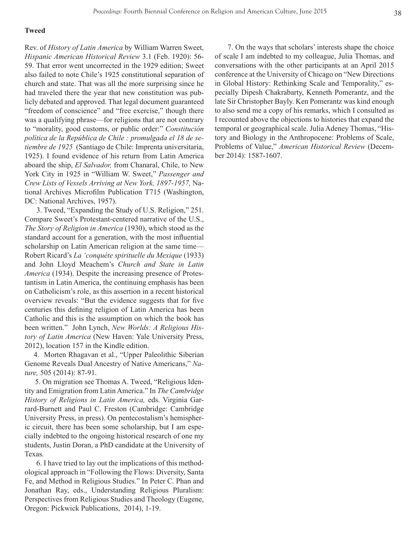#### **Tweed**

Rev. of *History of Latin America* by William Warren Sweet, *Hispanic American Historical Review* 3.1 (Feb. 1920): 56- 59. That error went uncorrected in the 1929 edition; Sweet also failed to note Chile's 1925 constitutional separation of church and state. That was all the more surprising since he had traveled there the year that new constitution was publicly debated and approved. That legal document guaranteed "freedom of conscience" and "free exercise," though there was a qualifying phrase—for religions that are not contrary to "morality, good customs, or public order:" *Constitución política de la República de Chile : promulgada el 18 de setiembre de 1925* (Santiago de Chile: Imprenta universitaria, 1925). I found evidence of his return from Latin America aboard the ship, *El Salvador,* from Chanaral, Chile, to New York City in 1925 in "William W. Sweet," *Passenger and Crew Lists of Vessels Arriving at New York, 1897-1957,* National Archives Microfilm Publication T715 (Washington, DC: National Archives, 1957).

 3. Tweed, "Expanding the Study of U.S. Religion," 251. Compare Sweet's Protestant-centered narrative of the U.S., *The Story of Religion in America* (1930), which stood as the standard account for a generation, with the most influential scholarship on Latin American religion at the same time— Robert Ricard's *La 'conquète spirituelle du Mexique* (1933) and John Lloyd Meachem's *Church and State in Latin America* (1934). Despite the increasing presence of Protestantism in Latin America, the continuing emphasis has been on Catholicism's role, as this assertion in a recent historical overview reveals: "But the evidence suggests that for five centuries this defining religion of Latin America has been Catholic and this is the assumption on which the book has been written." John Lynch, *New Worlds: A Religious History of Latin America* (New Haven: Yale University Press, 2012), location 157 in the Kindle edition.

 4. Morten Rhagavan et al., "Upper Paleolithic Siberian Genome Reveals Dual Ancestry of Native Americans," *Nature,* 505 (2014): 87-91.

 5. On migration see Thomas A. Tweed, "Religious Identity and Emigration from Latin America." In *The Cambridge History of Religions in Latin America,* eds. Virginia Garrard-Burnett and Paul C. Freston (Cambridge: Cambridge University Press, in press). On pentecostalism's hemispheric circuit, there has been some scholarship, but I am especially indebted to the ongoing historical research of one my students, Justin Doran, a PhD candidate at the University of Texas.

 6. I have tried to lay out the implications of this methodological approach in "Following the Flows: Diversity, Santa Fe, and Method in Religious Studies." In Peter C. Phan and Jonathan Ray, eds., Understanding Religious Pluralism: Perspectives from Religious Studies and Theology (Eugene, Oregon: Pickwick Publications, 2014), 1-19.

 7. On the ways that scholars' interests shape the choice of scale I am indebted to my colleague, Julia Thomas, and conversations with the other participants at an April 2015 conference at the University of Chicago on "New Directions in Global History: Rethinking Scale and Temporality," especially Dipesh Chakrabarty, Kenneth Pomerantz, and the late Sir Christopher Bayly. Ken Pomerantz was kind enough to also send me a copy of his remarks, which I consulted as I recounted above the objections to histories that expand the temporal or geographical scale. Julia Adeney Thomas, "History and Biology in the Anthropocene: Problems of Scale, Problems of Value," *American Historical Review* (December 2014): 1587-1607.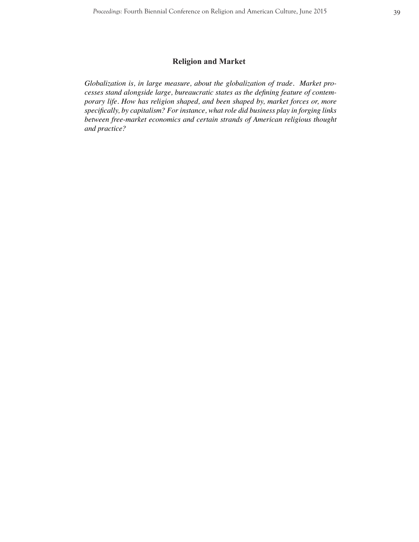# **Religion and Market**

*Globalization is, in large measure, about the globalization of trade. Market processes stand alongside large, bureaucratic states as the defining feature of contemporary life. How has religion shaped, and been shaped by, market forces or, more specifically, by capitalism? For instance, what role did business play in forging links between free-market economics and certain strands of American religious thought and practice?*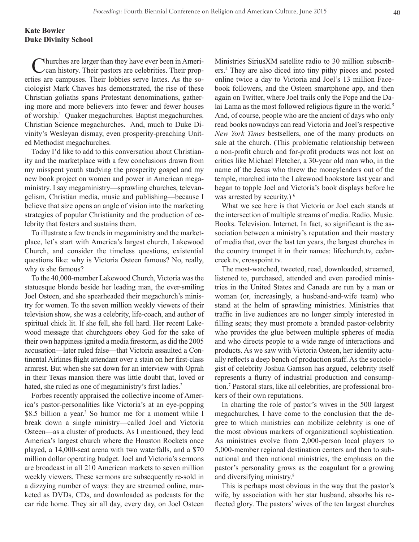Churches are larger than they have ever been in Ameri- $\angle$  can history. Their pastors are celebrities. Their properties are campuses. Their lobbies serve lattes. As the sociologist Mark Chaves has demonstrated, the rise of these Christian goliaths spans Protestant denominations, gathering more and more believers into fewer and fewer houses of worship.1 Quaker megachurches. Baptist megachurches. Christian Science megachurches. And, much to Duke Divinity's Wesleyan dismay, even prosperity-preaching United Methodist megachurches.

Today I'd like to add to this conversation about Christianity and the marketplace with a few conclusions drawn from my misspent youth studying the prosperity gospel and my new book project on women and power in American megaministry. I say megaministry—sprawling churches, televangelism, Christian media, music and publishing—because I believe that size opens an angle of vision into the marketing strategies of popular Christianity and the production of celebrity that fosters and sustains them.

To illustrate a few trends in megaministry and the marketplace, let's start with America's largest church, Lakewood Church, and consider the timeless questions, existential questions like: why is Victoria Osteen famous? No, really, why *is* she famous?

To the 40,000-member Lakewood Church, Victoria was the statuesque blonde beside her leading man, the ever-smiling Joel Osteen, and she spearheaded their megachurch's ministry for women. To the seven million weekly viewers of their television show, she was a celebrity, life-coach, and author of spiritual chick lit. If she fell, she fell hard. Her recent Lakewood message that churchgoers obey God for the sake of their own happiness ignited a media firestorm, as did the 2005 accusation—later ruled false—that Victoria assaulted a Continental Airlines flight attendant over a stain on her first-class armrest. But when she sat down for an interview with Oprah in their Texas mansion there was little doubt that, loved or hated, she ruled as one of megaministry's first ladies.<sup>2</sup>

Forbes recently appraised the collective income of America's pastor-personalities like Victoria's at an eye-popping \$8.5 billion a year.<sup>3</sup> So humor me for a moment while I break down a single ministry—called Joel and Victoria Osteen—as a cluster of products. As I mentioned, they lead America's largest church where the Houston Rockets once played, a 14,000-seat arena with two waterfalls, and a \$70 million dollar operating budget. Joel and Victoria's sermons are broadcast in all 210 American markets to seven million weekly viewers. These sermons are subsequently re-sold in a dizzying number of ways: they are streamed online, marketed as DVDs, CDs, and downloaded as podcasts for the car ride home. They air all day, every day, on Joel Osteen

Ministries SiriusXM satellite radio to 30 million subscribers.4 They are also diced into tiny pithy pieces and posted online twice a day to Victoria and Joel's 13 million Facebook followers, and the Osteen smartphone app, and then again on Twitter, where Joel trails only the Pope and the Dalai Lama as the most followed religious figure in the world.<sup>5</sup> And, of course, people who are the ancient of days who only read books nowadays can read Victoria and Joel's respective *New York Times* bestsellers, one of the many products on sale at the church. (This problematic relationship between a non-profit church and for-profit products was not lost on critics like Michael Fletcher, a 30-year old man who, in the name of the Jesus who threw the moneylenders out of the temple, marched into the Lakewood bookstore last year and began to topple Joel and Victoria's book displays before he was arrested by security.)<sup>6</sup>

What we see here is that Victoria or Joel each stands at the intersection of multiple streams of media. Radio. Music. Books. Television. Internet. In fact, so significant is the association between a ministry's reputation and their mastery of media that, over the last ten years, the largest churches in the country trumpet it in their names: lifechurch.tv, cedarcreek.tv, crosspoint.tv.

The most-watched, tweeted, read, downloaded, streamed, listened to, purchased, attended and even parodied ministries in the United States and Canada are run by a man or woman (or, increasingly, a husband-and-wife team) who stand at the helm of sprawling ministries. Ministries that traffic in live audiences are no longer simply interested in filling seats; they must promote a branded pastor-celebrity who provides the glue between multiple spheres of media and who directs people to a wide range of interactions and products. As we saw with Victoria Osteen, her identity actually reflects a deep bench of production staff. As the sociologist of celebrity Joshua Gamson has argued, celebrity itself represents a flurry of industrial production and consumption.7 Pastoral stars, like all celebrities, are professional brokers of their own reputations.

In charting the role of pastor's wives in the 500 largest megachurches, I have come to the conclusion that the degree to which ministries can mobilize celebrity is one of the most obvious markers of organizational sophistication. As ministries evolve from 2,000-person local players to 5,000-member regional destination centers and then to subnational and then national ministries, the emphasis on the pastor's personality grows as the coagulant for a growing and diversifying ministry.<sup>8</sup>

This is perhaps most obvious in the way that the pastor's wife, by association with her star husband, absorbs his reflected glory. The pastors' wives of the ten largest churches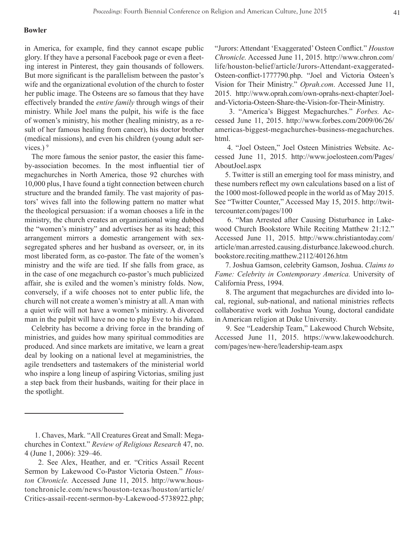### **Bowler**

in America, for example, find they cannot escape public glory. If they have a personal Facebook page or even a fleeting interest in Pinterest, they gain thousands of followers. But more significant is the parallelism between the pastor's wife and the organizational evolution of the church to foster her public image. The Osteens are so famous that they have effectively branded the *entire family* through wings of their ministry. While Joel mans the pulpit, his wife is the face of women's ministry, his mother (healing ministry, as a result of her famous healing from cancer), his doctor brother (medical missions), and even his children (young adult services.) $9$ 

The more famous the senior pastor, the easier this fameby-association becomes. In the most influential tier of megachurches in North America, those 92 churches with 10,000 plus, I have found a tight connection between church structure and the branded family. The vast majority of pastors' wives fall into the following pattern no matter what the theological persuasion: if a woman chooses a life in the ministry, the church creates an organizational wing dubbed the "women's ministry" and advertises her as its head; this arrangement mirrors a domestic arrangement with sexsegregated spheres and her husband as overseer, or, in its most liberated form, as co-pastor. The fate of the women's ministry and the wife are tied. If she falls from grace, as in the case of one megachurch co-pastor's much publicized affair, she is exiled and the women's ministry folds. Now, conversely, if a wife chooses not to enter public life, the church will not create a women's ministry at all. A man with a quiet wife will not have a women's ministry. A divorced man in the pulpit will have no one to play Eve to his Adam.

Celebrity has become a driving force in the branding of ministries, and guides how many spiritual commodities are produced. And since markets are imitative, we learn a great deal by looking on a national level at megaministries, the agile trendsetters and tastemakers of the ministerial world who inspire a long lineup of aspiring Victorias, smiling just a step back from their husbands, waiting for their place in the spotlight.

"Jurors: Attendant 'Exaggerated' Osteen Conflict." *Houston Chronicle.* Accessed June 11, 2015. http://www.chron.com/ life/houston-belief/article/Jurors-Attendant-exaggerated-Osteen-conflict-1777790.php. "Joel and Victoria Osteen's Vision for Their Ministry." *Oprah.com*. Accessed June 11, 2015. http://www.oprah.com/own-oprahs-next-chapter/Joeland-Victoria-Osteen-Share-the-Vision-for-Their-Ministry.

 3. "America's Biggest Megachurches." *Forbes.* Accessed June 11, 2015. http://www.forbes.com/2009/06/26/ americas-biggest-megachurches-business-megachurches. html.

 4. "Joel Osteen," Joel Osteen Ministries Website. Accessed June 11, 2015. http://www.joelosteen.com/Pages/ AboutJoel.aspx

 5. Twitter is still an emerging tool for mass ministry, and these numbers reflect my own calculations based on a list of the 1000 most-followed people in the world as of May 2015. See "Twitter Counter," Accessed May 15, 2015. http://twittercounter.com/pages/100

 6. "Man Arrested after Causing Disturbance in Lakewood Church Bookstore While Reciting Matthew 21:12." Accessed June 11, 2015. http://www.christiantoday.com/ article/man.arrested.causing.disturbance.lakewood.church. bookstore.reciting.matthew.2112/40126.htm

 7. Joshua Gamson, celebrity Gamson, Joshua. *Claims to Fame: Celebrity in Contemporary America.* University of California Press, 1994.

 8. The argument that megachurches are divided into local, regional, sub-national, and national ministries reflects collaborative work with Joshua Young, doctoral candidate in American religion at Duke University.

 9. See "Leadership Team," Lakewood Church Website, Accessed June 11, 2015. https://www.lakewoodchurch. com/pages/new-here/leadership-team.aspx

 <sup>1.</sup> Chaves, Mark. "All Creatures Great and Small: Megachurches in Context." *Review of Religious Research* 47, no. 4 (June 1, 2006): 329–46.

 <sup>2.</sup> See Alex, Heather, and er. "Critics Assail Recent Sermon by Lakewood Co-Pastor Victoria Osteen." *Houston Chronicle.* Accessed June 11, 2015. http://www.houstonchronicle.com/news/houston-texas/houston/article/ Critics-assail-recent-sermon-by-Lakewood-5738922.php;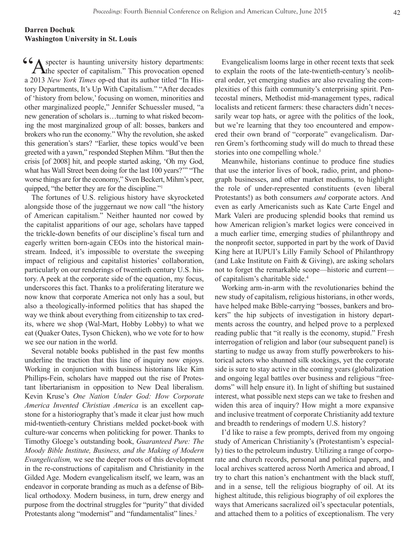# **Darren Dochuk Washington University in St. Louis**

Compared is haunting university history departments:<br>  $\Delta$  the specter of capitalism." This provocation opened  $\Gamma$  the specter of capitalism." This provocation opened a 2013 *New York Times* op-ed that its author titled "In History Departments, It's Up With Capitalism." "After decades of 'history from below,' focusing on women, minorities and other marginalized people," Jennifer Schuessler mused, "a new generation of scholars is…turning to what risked becoming the most marginalized group of all: bosses, bankers and brokers who run the economy." Why the revolution, she asked this generation's stars? "Earlier, these topics would've been greeted with a yawn," responded Stephen Mihm. "But then the crisis [of 2008] hit, and people started asking, 'Oh my God, what has Wall Street been doing for the last 100 years?'" "The worse things are for the economy," Sven Beckert, Mihm's peer, quipped, "the better they are for the discipline."1

The fortunes of U.S. religious history have skyrocketed alongside those of the juggernaut we now call "the history of American capitalism." Neither haunted nor cowed by the capitalist apparitions of our age, scholars have tapped the trickle-down benefits of our discipline's fiscal turn and eagerly written born-again CEOs into the historical mainstream. Indeed, it's impossible to overstate the sweeping impact of religious and capitalist histories' collaboration, particularly on our renderings of twentieth century U.S. history. A peek at the corporate side of the equation, my focus, underscores this fact. Thanks to a proliferating literature we now know that corporate America not only has a soul, but also a theologically-informed politics that has shaped the way we think about everything from citizenship to tax credits, where we shop (Wal-Mart, Hobby Lobby) to what we eat (Quaker Oates, Tyson Chicken), who we vote for to how we see our nation in the world.

Several notable books published in the past few months underline the traction that this line of inquiry now enjoys. Working in conjunction with business historians like Kim Phillips-Fein, scholars have mapped out the rise of Protestant libertarianism in opposition to New Deal liberalism. Kevin Kruse's *One Nation Under God: How Corporate America Invented Christian America* is an excellent capstone for a historiography that's made it clear just how much mid-twentieth-century Christians melded pocket-book with culture-war concerns when politicking for power. Thanks to Timothy Gloege's outstanding book, *Guaranteed Pure: The Moody Bible Institute, Business, and the Making of Modern Evangelicalism,* we see the deeper roots of this development in the re-constructions of capitalism and Christianity in the Gilded Age. Modern evangelicalism itself, we learn, was an endeavor in corporate branding as much as a defense of Biblical orthodoxy. Modern business, in turn, drew energy and purpose from the doctrinal struggles for "purity" that divided Protestants along "modernist" and "fundamentalist" lines.<sup>2</sup>

Evangelicalism looms large in other recent texts that seek to explain the roots of the late-twentieth-century's neoliberal order, yet emerging studies are also revealing the complexities of this faith community's enterprising spirit. Pentecostal miners, Methodist mid-management types, radical localists and reticent farmers: these characters didn't necessarily wear top hats, or agree with the politics of the look, but we're learning that they too encountered and empowered their own brand of "corporate" evangelicalism. Darren Grem's forthcoming study will do much to thread these stories into one compelling whole.<sup>3</sup>

Meanwhile, historians continue to produce fine studies that use the interior lives of book, radio, print, and phonograph businesses, and other market mediums, to highlight the role of under-represented constituents (even liberal Protestants!) as both consumers *and* corporate actors. And even as early Americanists such as Kate Carte Engel and Mark Valeri are producing splendid books that remind us how American religion's market logics were conceived in a much earlier time, emerging studies of philanthropy and the nonprofit sector, supported in part by the work of David King here at IUPUI's Lilly Family School of Philanthropy (and Lake Institute on Faith & Giving), are asking scholars not to forget the remarkable scope—historic and current of capitalism's charitable side.<sup>4</sup>

Working arm-in-arm with the revolutionaries behind the new study of capitalism, religious historians, in other words, have helped make Bible-carrying "bosses, bankers and brokers" the hip subjects of investigation in history departments across the country, and helped prove to a perplexed reading public that "it really is the economy, stupid." Fresh interrogation of religion and labor (our subsequent panel) is starting to nudge us away from stuffy powerbrokers to historical actors who shunned silk stockings, yet the corporate side is sure to stay active in the coming years (globalization and ongoing legal battles over business and religious "freedoms" will help ensure it). In light of shifting but sustained interest, what possible next steps can we take to freshen and widen this area of inquiry? How might a more expansive and inclusive treatment of corporate Christianity add texture and breadth to renderings of modern U.S. history?

I'd like to raise a few prompts, derived from my ongoing study of American Christianity's (Protestantism's especially) ties to the petroleum industry. Utilizing a range of corporate and church records, personal and political papers, and local archives scattered across North America and abroad, I try to chart this nation's enchantment with the black stuff, and in a sense, tell the religious biography of oil. At its highest altitude, this religious biography of oil explores the ways that Americans sacralized oil's spectacular potentials, and attached them to a politics of exceptionalism. The very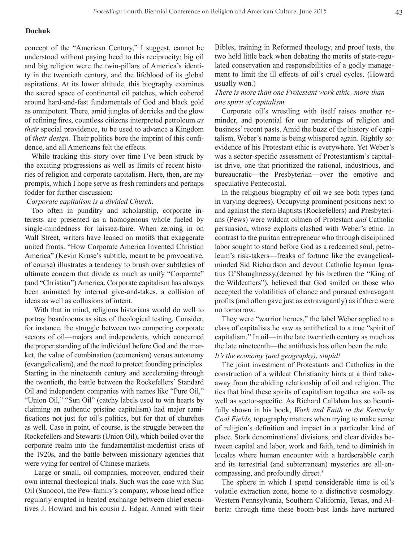## **Dochuk**

concept of the "American Century," I suggest, cannot be understood without paying heed to this reciprocity: big oil and big religion were the twin-pillars of America's identity in the twentieth century, and the lifeblood of its global aspirations. At its lower altitude, this biography examines the sacred space of continental oil patches, which cohered around hard-and-fast fundamentals of God and black gold as omnipotent. There, amid jungles of derricks and the glow of refining fires, countless citizens interpreted petroleum *as their* special providence, to be used to advance a Kingdom of *their design.* Their politics bore the imprint of this confidence, and all Americans felt the effects.

While tracking this story over time I've been struck by the exciting progressions as well as limits of recent histories of religion and corporate capitalism. Here, then, are my prompts, which I hope serve as fresh reminders and perhaps fodder for further discussion:

## *Corporate capitalism is a divided Church.*

Too often in punditry and scholarship, corporate interests are presented as a homogenous whole fueled by single-mindedness for laissez-faire. When zeroing in on Wall Street, writers have leaned on motifs that exaggerate united fronts. "How Corporate America Invented Christian America" (Kevin Kruse's subtitle, meant to be provocative, of course) illustrates a tendency to brush over subtleties of ultimate concern that divide as much as unify "Corporate" (and "Christian") America. Corporate capitalism has always been animated by internal give-and-takes, a collision of ideas as well as collusions of intent.

 With that in mind, religious historians would do well to portray boardrooms as sites of theological testing. Consider, for instance, the struggle between two competing corporate sectors of oil—majors and independents, which concerned the proper standing of the individual before God and the market, the value of combination (ecumenism) versus autonomy (evangelicalism), and the need to protect founding principles. Starting in the nineteenth century and accelerating through the twentieth, the battle between the Rockefellers' Standard Oil and independent companies with names like "Pure Oil," "Union Oil," "Sun Oil" (catchy labels used to win hearts by claiming an authentic pristine capitalism) had major ramifications not just for oil's politics, but for that of churches as well. Case in point, of course, is the struggle between the Rockefellers and Stewarts (Union Oil), which boiled over the corporate realm into the fundamentalist-modernist crisis of the 1920s, and the battle between missionary agencies that were vying for control of Chinese markets.

 Large or small, oil companies, moreover, endured their own internal theological trials. Such was the case with Sun Oil (Sunoco), the Pew-family's company, whose head office regularly erupted in heated exchange between chief executives J. Howard and his cousin J. Edgar. Armed with their Bibles, training in Reformed theology, and proof texts, the two held little back when debating the merits of state-regulated conservation and responsibilities of a godly management to limit the ill effects of oil's cruel cycles. (Howard usually won.)

## *There is more than one Protestant work ethic, more than one spirit of capitalism.*

Corporate oil's wrestling with itself raises another reminder, and potential for our renderings of religion and business' recent pasts. Amid the buzz of the history of capitalism, Weber's name is being whispered again. Rightly so: evidence of his Protestant ethic is everywhere. Yet Weber's was a sector-specific assessment of Protestantism's capitalist drive, one that prioritized the rational, industrious, and bureaucratic—the Presbyterian—over the emotive and speculative Pentecostal.

In the religious biography of oil we see both types (and in varying degrees). Occupying prominent positions next to and against the stern Baptists (Rockefellers) and Presbyterians (Pews) were wildcat oilmen of Protestant *and* Catholic persuasion, whose exploits clashed with Weber's ethic. In contrast to the puritan entrepreneur who through disciplined labor sought to stand before God as a redeemed soul, petroleum's risk-takers—freaks of fortune like the evangelicalminded Sid Richardson and devout Catholic layman Ignatius O'Shaughnessy,(deemed by his brethren the "King of the Wildcatters"), believed that God smiled on those who accepted the volatilities of chance and pursued extravagant profits (and often gave just as extravagantly) as if there were no tomorrow.

They were "warrior heroes," the label Weber applied to a class of capitalists he saw as antithetical to a true "spirit of capitalism." In oil—in the late twentieth century as much as the late nineteenth—the antithesis has often been the rule. *It's the economy (and geography), stupid!*

The joint investment of Protestants and Catholics in the construction of a wildcat Christianity hints at a third takeaway from the abiding relationship of oil and religion. The ties that bind these spirits of capitalism together are soil- as well as sector-specific. As Richard Callahan has so beautifully shown in his book, *Work and Faith in the Kentucky Coal Fields,* topography matters when trying to make sense of religion's definition and impact in a particular kind of place. Stark denominational divisions, and clear divides between capital and labor, work and faith, tend to diminish in locales where human encounter with a hardscrabble earth and its terrestrial (and subterranean) mysteries are all-encompassing, and profoundly direct.<sup>5</sup>

The sphere in which I spend considerable time is oil's volatile extraction zone, home to a distinctive cosmology. Western Pennsylvania, Southern California, Texas, and Alberta: through time these boom-bust lands have nurtured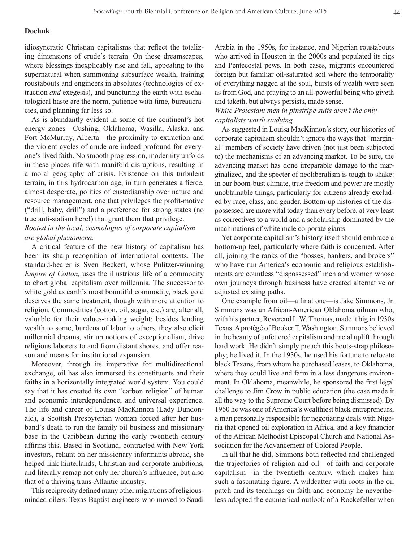## **Dochuk**

idiosyncratic Christian capitalisms that reflect the totalizing dimensions of crude's terrain. On these dreamscapes, where blessings inexplicably rise and fall, appealing to the supernatural when summoning subsurface wealth, training roustabouts and engineers in absolutes (technologies of extraction *and* exegesis), and puncturing the earth with eschatological haste are the norm, patience with time, bureaucracies, and planning far less so.

As is abundantly evident in some of the continent's hot energy zones—Cushing, Oklahoma, Wasilla, Alaska, and Fort McMurray, Alberta—the proximity to extraction and the violent cycles of crude are indeed profound for everyone's lived faith. No smooth progression, modernity unfolds in these places rife with manifold disruptions, resulting in a moral geography of crisis. Existence on this turbulent terrain, in this hydrocarbon age, in turn generates a fierce, almost desperate, politics of custodianship over nature and resource management, one that privileges the profit-motive ("drill, baby, drill") and a preference for strong states (no true anti-statism here!) that grant them that privilege. *Rooted in the local, cosmologies of corporate capitalism* 

## *are global phenomena.*

A critical feature of the new history of capitalism has been its sharp recognition of international contexts. The standard-bearer is Sven Beckert, whose Pulitzer-winning *Empire of Cotton,* uses the illustrious life of a commodity to chart global capitalism over millennia. The successor to white gold as earth's most bountiful commodity, black gold deserves the same treatment, though with more attention to religion. Commodities (cotton, oil, sugar, etc.) are, after all, valuable for their values-making weight: besides lending wealth to some, burdens of labor to others, they also elicit millennial dreams, stir up notions of exceptionalism, drive religious laborers to and from distant shores, and offer reason and means for institutional expansion.

Moreover, through its imperative for multidirectional exchange, oil has also immersed its constituents and their faiths in a horizontally integrated world system. You could say that it has created its own "carbon religion" of human and economic interdependence, and universal experience. The life and career of Louisa MacKinnon (Lady Dundonald), a Scottish Presbyterian woman forced after her husband's death to run the family oil business and missionary base in the Caribbean during the early twentieth century affirms this. Based in Scotland, contracted with New York investors, reliant on her missionary informants abroad, she helped link hinterlands, Christian and corporate ambitions, and literally remap not only her church's influence, but also that of a thriving trans-Atlantic industry.

This reciprocity defined many other migrations of religiousminded oilers: Texas Baptist engineers who moved to Saudi Arabia in the 1950s, for instance, and Nigerian roustabouts who arrived in Houston in the 2000s and populated its rigs and Pentecostal pews. In both cases, migrants encountered foreign but familiar oil-saturated soil where the temporality of everything nagged at the soul, bursts of wealth were seen as from God, and praying to an all-powerful being who giveth and taketh, but always persists, made sense.

# *White Protestant men in pinstripe suits aren't the only capitalists worth studying.*

As suggested in Louisa MacKinnon's story, our histories of corporate capitalism shouldn't ignore the ways that "marginal" members of society have driven (not just been subjected to) the mechanisms of an advancing market. To be sure, the advancing market has done irreparable damage to the marginalized, and the specter of neoliberalism is tough to shake: in our boom-bust climate, true freedom and power are mostly unobtainable things, particularly for citizens already excluded by race, class, and gender. Bottom-up histories of the dispossessed are more vital today than every before, at very least as correctives to a world and a scholarship dominated by the machinations of white male corporate giants.

Yet corporate capitalism's history itself should embrace a bottom-up feel, particularly where faith is concerned. After all, joining the ranks of the "bosses, bankers, and brokers" who have run America's economic and religious establishments are countless "dispossessed" men and women whose own journeys through business have created alternative or adjusted existing paths.

One example from oil—a final one—is Jake Simmons, Jr. Simmons was an African-American Oklahoma oilman who, with his partner, Reverend L.W. Thomas, made it big in 1930s Texas. A protégé of Booker T. Washington, Simmons believed in the beauty of unfettered capitalism and racial uplift through hard work. He didn't simply preach this boots-strap philosophy; he lived it. In the 1930s, he used his fortune to relocate black Texans, from whom he purchased leases, to Oklahoma, where they could live and farm in a less dangerous environment. In Oklahoma, meanwhile, he sponsored the first legal challenge to Jim Crow in public education (the case made it all the way to the Supreme Court before being dismissed). By 1960 he was one of America's wealthiest black entrepreneurs, a man personally responsible for negotiating deals with Nigeria that opened oil exploration in Africa, and a key financier of the African Methodist Episcopal Church and National Association for the Advancement of Colored People.

In all that he did, Simmons both reflected and challenged the trajectories of religion and oil—of faith and corporate capitalism—in the twentieth century, which makes him such a fascinating figure. A wildcatter with roots in the oil patch and its teachings on faith and economy he nevertheless adopted the ecumenical outlook of a Rockefeller when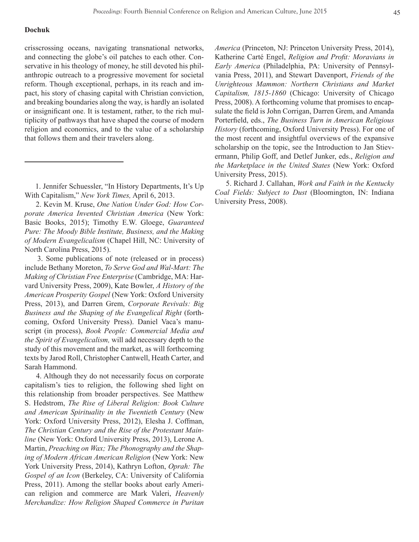## **Dochuk**

crisscrossing oceans, navigating transnational networks, and connecting the globe's oil patches to each other. Conservative in his theology of money, he still devoted his philanthropic outreach to a progressive movement for societal reform. Though exceptional, perhaps, in its reach and impact, his story of chasing capital with Christian conviction, and breaking boundaries along the way, is hardly an isolated or insignificant one. It is testament, rather, to the rich multiplicity of pathways that have shaped the course of modern religion and economics, and to the value of a scholarship that follows them and their travelers along.

 2. Kevin M. Kruse, *One Nation Under God: How Corporate America Invented Christian America* (New York: Basic Books, 2015); Timothy E.W. Gloege, *Guaranteed Pure: The Moody Bible Institute, Business, and the Making of Modern Evangelicalism* (Chapel Hill, NC: University of North Carolina Press, 2015).

 3. Some publications of note (released or in process) include Bethany Moreton, *To Serve God and Wal-Mart: The Making of Christian Free Enterprise* (Cambridge, MA: Harvard University Press, 2009), Kate Bowler, *A History of the American Prosperity Gospel* (New York: Oxford University Press, 2013), and Darren Grem, *Corporate Revivals: Big Business and the Shaping of the Evangelical Right* (forthcoming, Oxford University Press). Daniel Vaca's manuscript (in process), *Book People: Commercial Media and the Spirit of Evangelicalism,* will add necessary depth to the study of this movement and the market, as will forthcoming texts by Jarod Roll, Christopher Cantwell, Heath Carter, and Sarah Hammond.

 4. Although they do not necessarily focus on corporate capitalism's ties to religion, the following shed light on this relationship from broader perspectives. See Matthew S. Hedstrom, *The Rise of Liberal Religion: Book Culture and American Spirituality in the Twentieth Century* (New York: Oxford University Press, 2012), Elesha J. Coffman, *The Christian Century and the Rise of the Protestant Mainline* (New York: Oxford University Press, 2013), Lerone A. Martin, *Preaching on Wax; The Phonography and the Shaping of Modern African American Religion* (New York: New York University Press, 2014), Kathryn Lofton, *Oprah: The Gospel of an Icon* (Berkeley, CA: University of California Press, 2011). Among the stellar books about early American religion and commerce are Mark Valeri, *Heavenly Merchandize: How Religion Shaped Commerce in Puritan* 

*America* (Princeton, NJ: Princeton University Press, 2014), Katherine Carté Engel, *Religion and Profit: Moravians in Early America* (Philadelphia, PA: University of Pennsylvania Press, 2011), and Stewart Davenport, *Friends of the Unrighteous Mammon: Northern Christians and Market Capitalism, 1815-1860* (Chicago: University of Chicago Press, 2008). A forthcoming volume that promises to encapsulate the field is John Corrigan, Darren Grem, and Amanda Porterfield, eds., *The Business Turn in American Religious History* (forthcoming, Oxford University Press). For one of the most recent and insightful overviews of the expansive scholarship on the topic, see the Introduction to Jan Stievermann, Philip Goff, and Detlef Junker, eds., *Religion and the Marketplace in the United States* (New York: Oxford University Press, 2015).

 5. Richard J. Callahan, *Work and Faith in the Kentucky Coal Fields: Subject to Dust* (Bloomington, IN: Indiana University Press, 2008).

 <sup>1.</sup> Jennifer Schuessler, "In History Departments, It's Up With Capitalism," *New York Times,* April 6, 2013.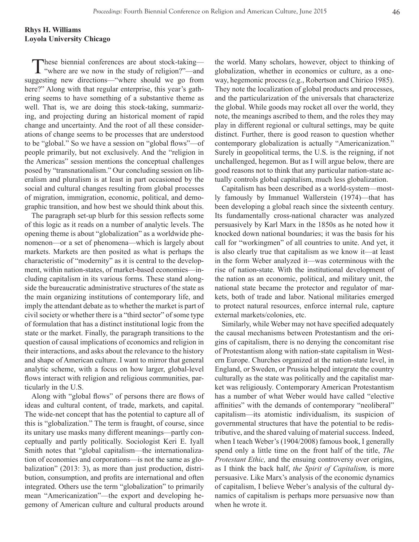These biennial conferences are about stock-taking-"where are we now in the study of religion?"—and suggesting new directions—"where should we go from here?" Along with that regular enterprise, this year's gathering seems to have something of a substantive theme as well. That is, we are doing this stock-taking, summarizing, and projecting during an historical moment of rapid change and uncertainty. And the root of all these considerations of change seems to be processes that are understood to be "global." So we have a session on "global flows"—of people primarily, but not exclusively. And the "religion in the Americas" session mentions the conceptual challenges posed by "transnationalism." Our concluding session on liberalism and pluralism is at least in part occasioned by the social and cultural changes resulting from global processes of migration, immigration, economic, political, and demographic transition, and how best we should think about this.

The paragraph set-up blurb for this session reflects some of this logic as it reads on a number of analytic levels. The opening theme is about "globalization" as a worldwide phenomenon—or a set of phenomena—which is largely about markets. Markets are then posited as what is perhaps the characteristic of "modernity" as it is central to the development, within nation-states, of market-based economies—including capitalism in its various forms. These stand alongside the bureaucratic administrative structures of the state as the main organizing institutions of contemporary life, and imply the attendant debate as to whether the market is part of civil society or whether there is a "third sector" of some type of formulation that has a distinct institutional logic from the state or the market. Finally, the paragraph transitions to the question of causal implications of economics and religion in their interactions, and asks about the relevance to the history and shape of American culture. I want to mirror that general analytic scheme, with a focus on how larger, global-level flows interact with religion and religious communities, particularly in the U.S.

Along with "global flows" of persons there are flows of ideas and cultural content, of trade, markets, and capital. The wide-net concept that has the potential to capture all of this is "globalization." The term is fraught, of course, since its unitary use masks many different meanings—partly conceptually and partly politically. Sociologist Keri E. Iyall Smith notes that "global capitalism—the internationalization of economies and corporations—is not the same as globalization" (2013: 3), as more than just production, distribution, consumption, and profits are international and often integrated. Others use the term "globalization" to primarily mean "Americanization"—the export and developing hegemony of American culture and cultural products around

the world. Many scholars, however, object to thinking of globalization, whether in economics or culture, as a oneway, hegemonic process (e.g., Robertson and Chirico 1985). They note the localization of global products and processes, and the particularization of the universals that characterize the global. While goods may rocket all over the world, they note, the meanings ascribed to them, and the roles they may play in different regional or cultural settings, may be quite distinct. Further, there is good reason to question whether contemporary globalization is actually "Americanization." Surely in geopolitical terms, the U.S. is the reigning, if not unchallenged, hegemon. But as I will argue below, there are good reasons not to think that any particular nation-state actually controls global capitalism, much less globalization.

Capitalism has been described as a world-system—mostly famously by Immanuel Wallerstein (1974)—that has been developing a global reach since the sixteenth century. Its fundamentally cross-national character was analyzed persuasively by Karl Marx in the 1850s as he noted how it knocked down national boundaries; it was the basis for his call for "workingmen" of all countries to unite. And yet, it is also clearly true that capitalism as we know it—at least in the form Weber analyzed it—was coterminous with the rise of nation-state. With the institutional development of the nation as an economic, political, and military unit, the national state became the protector and regulator of markets, both of trade and labor. National militaries emerged to protect natural resources, enforce internal rule, capture external markets/colonies, etc.

Similarly, while Weber may not have specified adequately the causal mechanisms between Protestantism and the origins of capitalism, there is no denying the concomitant rise of Protestantism along with nation-state capitalism in Western Europe. Churches organized at the nation-state level, in England, or Sweden, or Prussia helped integrate the country culturally as the state was politically and the capitalist market was religiously. Contemporary American Protestantism has a number of what Weber would have called "elective affinities" with the demands of contemporary "neoliberal" capitalism—its atomistic individualism, its suspicion of governmental structures that have the potential to be redistributive, and the shared valuing of material success. Indeed, when I teach Weber's (1904/2008) famous book, I generally spend only a little time on the front half of the title, *The Protestant Ethic,* and the ensuing controversy over origins, as I think the back half, *the Spirit of Capitalism,* is more persuasive. Like Marx's analysis of the economic dynamics of capitalism, I believe Weber's analysis of the cultural dynamics of capitalism is perhaps more persuasive now than when he wrote it.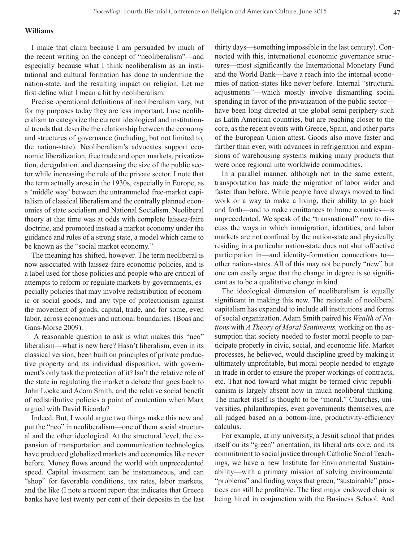## **Williams**

I make that claim because I am persuaded by much of the recent writing on the concept of "neoliberalism"—and especially because what I think neoliberalism as an institutional and cultural formation has done to undermine the nation-state, and the resulting impact on religion. Let me first define what I mean a bit by neoliberalism.

Precise operational definitions of neoliberalism vary, but for my purposes today they are less important. I use neoliberalism to categorize the current ideological and institutional trends that describe the relationship between the economy and structures of governance (including, but not limited to, the nation-state). Neoliberalism's advocates support economic liberalization, free trade and open markets, privatization, deregulation, and decreasing the size of the public sector while increasing the role of the private sector. I note that the term actually arose in the 1930s, especially in Europe, as a 'middle way' between the untrammeled free-market capitalism of classical liberalism and the centrally planned economies of state socialism and National Socialism. Neoliberal theory at that time was at odds with complete laissez-faire doctrine, and promoted instead a market economy under the guidance and rules of a strong state, a model which came to be known as the "social market economy."

The meaning has shifted, however. The term neoliberal is now associated with laissez-faire economic policies, and is a label used for those policies and people who are critical of attempts to reform or regulate markets by governments, especially policies that may involve redistribution of economic or social goods, and any type of protectionism against the movement of goods, capital, trade, and for some, even labor, across economies and national boundaries. (Boas and Gans-Morse 2009).

 A reasonable question to ask is what makes this "neo" liberalism—what is new here? Hasn't liberalism, even in its classical version, been built on principles of private productive property and its individual disposition, with government's only task the protection of it? Isn't the relative role of the state in regulating the market a debate that goes back to John Locke and Adam Smith, and the relative social benefit of redistributive policies a point of contention when Marx argued with David Ricardo?

Indeed. But, I would argue two things make this new and put the "neo" in neoliberalism—one of them social structural and the other ideological. At the structural level, the expansion of transportation and communication technologies have produced globalized markets and economies like never before. Money flows around the world with unprecedented speed. Capital investment can be instantaneous, and can "shop" for favorable conditions, tax rates, labor markets, and the like (I note a recent report that indicates that Greece banks have lost twenty per cent of their deposits in the last

thirty days—something impossible in the last century). Connected with this, international economic governance structures—most significantly the International Monetary Fund and the World Bank—have a reach into the internal economies of nation-states like never before. Internal "structural adjustments"—which mostly involve dismantling social spending in favor of the privatization of the public sector have been long directed at the global semi-periphery such as Latin American countries, but are reaching closer to the core, as the recent events with Greece, Spain, and other parts of the European Union attest. Goods also move faster and farther than ever, with advances in refrigeration and expansions of warehousing systems making many products that were once regional into worldwide commodities.

In a parallel manner, although not to the same extent, transportation has made the migration of labor wider and faster than before. While people have always moved to find work or a way to make a living, their ability to go back and forth—and to make remittances to home countries—is unprecedented. We speak of the "transnational" now to discuss the ways in which immigration, identities, and labor markets are not confined by the nation-state and physically residing in a particular nation-state does not shut off active participation in—and identity-formation connections to other nation-states. All of this may not be purely "new" but one can easily argue that the change in degree is so significant as to be a qualitative change in kind.

The ideological dimension of neoliberalism is equally significant in making this new. The rationale of neoliberal capitalism has expanded to include all institutions and forms of social organization. Adam Smith paired his *Wealth of Nations* with *A Theory of Moral Sentiments,* working on the assumption that society needed to foster moral people to participate properly in civic, social, and economic life. Market processes, he believed, would discipline greed by making it ultimately unprofitable, but moral people needed to engage in trade in order to ensure the proper workings of contracts, etc. That nod toward what might be termed civic republicanism is largely absent now in much neoliberal thinking. The market itself is thought to be "moral." Churches, universities, philanthropies, even governments themselves, are all judged based on a bottom-line, productivity-efficiency calculus.

For example, at my university, a Jesuit school that prides itself on its "green" orientation, its liberal arts core, and its commitment to social justice through Catholic Social Teachings, we have a new Institute for Environmental Sustainability—with a primary mission of solving environmental "problems" and finding ways that green, "sustainable" practices can still be profitable. The first major endowed chair is being hired in conjunction with the Business School. And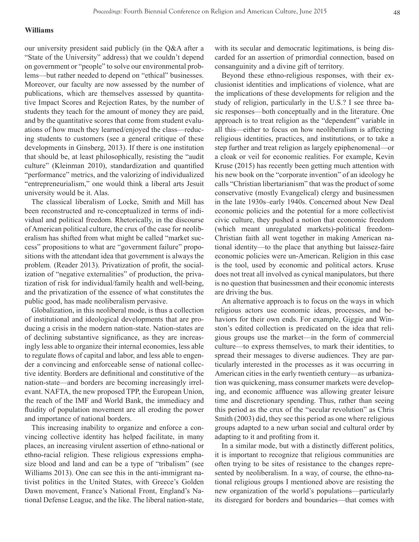## **Williams**

our university president said publicly (in the Q&A after a "State of the University" address) that we couldn't depend on government or "people" to solve our environmental problems—but rather needed to depend on "ethical" businesses. Moreover, our faculty are now assessed by the number of publications, which are themselves assessed by quantitative Impact Scores and Rejection Rates, by the number of students they teach for the amount of money they are paid, and by the quantitative scores that come from student evaluations of how much they learned/enjoyed the class—reducing students to customers (see a general critique of these developments in Ginsberg, 2013). If there is one institution that should be, at least philosophically, resisting the "audit culture" (Kleinman 2010), standardization and quantified "performance" metrics, and the valorizing of individualized "entrepreneurialism," one would think a liberal arts Jesuit university would be it. Alas.

The classical liberalism of Locke, Smith and Mill has been reconstructed and re-conceptualized in terms of individual and political freedom. Rhetorically, in the discourse of American political culture, the crux of the case for neoliberalism has shifted from what might be called "market success" propositions to what are "government failure" propositions with the attendant idea that government is always the problem. (Reader 2013). Privatization of profit, the socialization of "negative externalities" of production, the privatization of risk for individual/family health and well-being, and the privatization of the essence of what constitutes the public good, has made neoliberalism pervasive.

Globalization, in this neoliberal mode, is thus a collection of institutional and ideological developments that are producing a crisis in the modern nation-state. Nation-states are of declining substantive significance, as they are increasingly less able to organize their internal economies, less able to regulate flows of capital and labor, and less able to engender a convincing and enforceable sense of national collective identity. Borders are definitional and constitutive of the nation-state—and borders are becoming increasingly irrelevant. NAFTA, the new proposed TPP, the European Union, the reach of the IMF and World Bank, the immediacy and fluidity of population movement are all eroding the power and importance of national borders.

This increasing inability to organize and enforce a convincing collective identity has helped facilitate, in many places, an increasing virulent assertion of ethno-national or ethno-racial religion. These religious expressions emphasize blood and land and can be a type of "tribalism" (see Williams 2013). One can see this in the anti-immigrant nativist politics in the United States, with Greece's Golden Dawn movement, France's National Front, England's National Defense League, and the like. The liberal nation-state, with its secular and democratic legitimations, is being discarded for an assertion of primordial connection, based on consanguinity and a divine gift of territory.

Beyond these ethno-religious responses, with their exclusionist identities and implications of violence, what are the implications of these developments for religion and the study of religion, particularly in the U.S.? I see three basic responses—both conceptually and in the literature. One approach is to treat religion as the "dependent" variable in all this—either to focus on how neoliberalism is affecting religious identities, practices, and institutions, or to take a step further and treat religion as largely epiphenomenal—or a cloak or veil for economic realities. For example, Kevin Kruse (2015) has recently been getting much attention with his new book on the "corporate invention" of an ideology he calls "Christian libertarianism" that was the product of some conservative (mostly Evangelical) clergy and businessmen in the late 1930s–early 1940s. Concerned about New Deal economic policies and the potential for a more collectivist civic culture, they pushed a notion that economic freedom (which meant unregulated markets)-political freedom-Christian faith all went together in making American national identity—to the place that anything but laissez-faire economic policies were un-American. Religion in this case is the tool, used by economic and political actors. Kruse does not treat all involved as cynical manipulators, but there is no question that businessmen and their economic interests are driving the bus.

An alternative approach is to focus on the ways in which religious actors use economic ideas, processes, and behaviors for their own ends. For example, Giggie and Winston's edited collection is predicated on the idea that religious groups use the market—in the form of commercial culture—to express themselves, to mark their identities, to spread their messages to diverse audiences. They are particularly interested in the processes as it was occurring in American cities in the early twentieth century—as urbanization was quickening, mass consumer markets were developing, and economic affluence was allowing greater leisure time and discretionary spending. Thus, rather than seeing this period as the crux of the "secular revolution" as Chris Smith (2003) did, they see this period as one where religious groups adapted to a new urban social and cultural order by adapting to it and profiting from it.

In a similar mode, but with a distinctly different politics, it is important to recognize that religious communities are often trying to be sites of resistance to the changes represented by neoliberalism. In a way, of course, the ethno-national religious groups I mentioned above are resisting the new organization of the world's populations—particularly its disregard for borders and boundaries—that comes with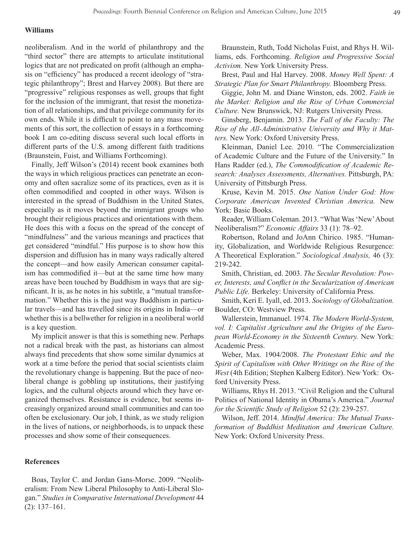## **Williams**

neoliberalism. And in the world of philanthropy and the "third sector" there are attempts to articulate institutional logics that are not predicated on profit (although an emphasis on "efficiency" has produced a recent ideology of "strategic philanthropy"; Brest and Harvey 2008). But there are "progressive" religious responses as well, groups that fight for the inclusion of the immigrant, that resist the monetization of all relationships, and that privilege community for its own ends. While it is difficult to point to any mass movements of this sort, the collection of essays in a forthcoming book I am co-editing discuss several such local efforts in different parts of the U.S. among different faith traditions (Braunstein, Fuist, and Williams Forthcoming).

Finally, Jeff Wilson's (2014) recent book examines both the ways in which religious practices can penetrate an economy and often sacralize some of its practices, even as it is often commodified and coopted in other ways. Wilson is interested in the spread of Buddhism in the United States, especially as it moves beyond the immigrant groups who brought their religious practices and orientations with them. He does this with a focus on the spread of the concept of "mindfulness" and the various meanings and practices that get considered "mindful." His purpose is to show how this dispersion and diffusion has in many ways radically altered the concept—and how easily American consumer capitalism has commodified it—but at the same time how many areas have been touched by Buddhism in ways that are significant. It is, as he notes in his subtitle, a "mutual transformation." Whether this is the just way Buddhism in particular travels—and has travelled since its origins in India—or whether this is a bellwether for religion in a neoliberal world is a key question.

My implicit answer is that this is something new. Perhaps not a radical break with the past, as historians can almost always find precedents that show some similar dynamics at work at a time before the period that social scientists claim the revolutionary change is happening. But the pace of neoliberal change is gobbling up institutions, their justifying logics, and the cultural objects around which they have organized themselves. Resistance is evidence, but seems increasingly organized around small communities and can too often be exclusionary. Our job, I think, as we study religion in the lives of nations, or neighborhoods, is to unpack these processes and show some of their consequences.

## **References**

Boas, Taylor C. and Jordan Gans-Morse. 2009. "Neoliberalism: From New Liberal Philosophy to Anti-Liberal Slogan." *Studies in Comparative International Development* 44 (2): 137–161.

Braunstein, Ruth, Todd Nicholas Fuist, and Rhys H. Williams, eds. Forthcoming. *Religion and Progressive Social Activism.* New York University Press.

Brest, Paul and Hal Harvey. 2008. *Money Well Spent: A Strategic Plan for Smart Philanthropy.* Bloomberg Press.

Giggie, John M. and Diane Winston, eds. 2002. *Faith in the Market: Religion and the Rise of Urban Commercial Culture.* New Brunswick, NJ: Rutgers University Press.

Ginsberg, Benjamin. 2013. *The Fall of the Faculty: The Rise of the All-Administrative University and Why it Matters.* New York: Oxford University Press.

Kleinman, Daniel Lee. 2010. "The Commercialization of Academic Culture and the Future of the University." In Hans Radder (ed.), *The Commodification of Academic Research: Analyses Assessments, Alternatives.* Pittsburgh, PA: University of Pittsburgh Press.

Kruse, Kevin M. 2015. *One Nation Under God: How Corporate American Invented Christian America.* New York: Basic Books.

Reader, William Coleman. 2013. "What Was 'New' About Neoliberalism?" *Economic Affairs* 33 (1): 78–92.

Robertson, Roland and JoAnn Chirico. 1985. "Humanity, Globalization, and Worldwide Religious Resurgence: A Theoretical Exploration." *Sociological Analysis,* 46 (3): 219-242.

Smith, Christian, ed. 2003. *The Secular Revolution: Power, Interests, and Conflict in the Secularization of American Public Life.* Berkeley: University of California Press.

Smith, Keri E. Iyall, ed. 2013. *Sociology of Globalization.* Boulder, CO: Westview Press.

Wallerstein, Immanuel. 1974. *The Modern World-System, vol. I: Capitalist Agriculture and the Origins of the European World-Economy in the Sixteenth Century.* New York: Academic Press.

Weber, Max. 1904/2008. *The Protestant Ethic and the Spirit of Capitalism with Other Writings on the Rise of the West* (4th Edition; Stephen Kalberg Editor). New York: Oxford University Press.

Williams, Rhys H. 2013. "Civil Religion and the Cultural Politics of National Identity in Obama's America." *Journal for the Scientific Study of Religion* 52 (2): 239-257.

Wilson, Jeff. 2014. *Mindful America: The Mutual Transformation of Buddhist Meditation and American Culture.* New York: Oxford University Press.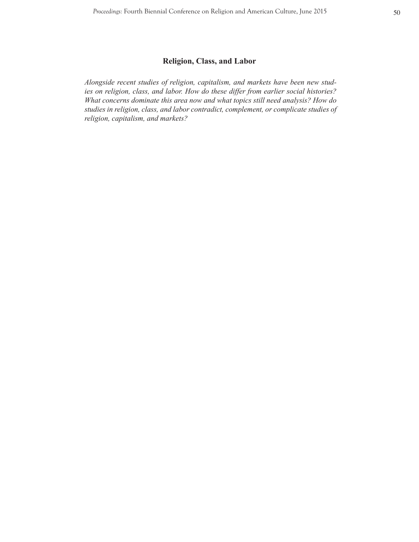# **Religion, Class, and Labor**

*Alongside recent studies of religion, capitalism, and markets have been new studies on religion, class, and labor. How do these differ from earlier social histories? What concerns dominate this area now and what topics still need analysis? How do studies in religion, class, and labor contradict, complement, or complicate studies of religion, capitalism, and markets?*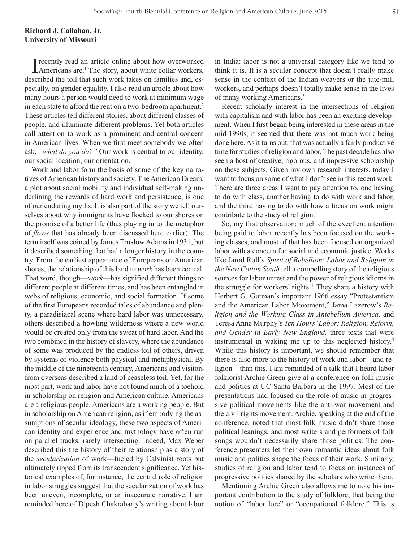## **Richard J. Callahan, Jr. University of Missouri**

I recently read an article online about how overworked Americans are.<sup>1</sup> The story, about white collar workers, described the toll that such work takes on families and, especially, on gender equality. I also read an article about how many hours a person would need to work at minimum wage in each state to afford the rent on a two-bedroom apartment.<sup>2</sup> These articles tell different stories, about different classes of people, and illuminate different problems. Yet both articles call attention to work as a prominent and central concern in American lives. When we first meet somebody we often ask, *"what do you do?"* Our work is central to our identity, our social location, our orientation.

Work and labor form the basis of some of the key narratives of American history and society. The American Dream, a plot about social mobility and individual self-making underlining the rewards of hard work and persistence, is one of our enduring myths. It is also part of the story we tell ourselves about why immigrants have flocked to our shores on the promise of a better life (thus playing in to the metaphor of *flows* that has already been discussed here earlier). The term itself was coined by James Truslow Adams in 1931, but it described something that had a longer history in the country. From the earliest appearance of Europeans on American shores, the relationship of this land to *work* has been central. That word, though—*work*—has signified different things to different people at different times, and has been entangled in webs of religious, economic, and social formation. If some of the first Europeans recorded tales of abundance and plenty, a paradisiacal scene where hard labor was unnecessary, others described a howling wilderness where a new world would be created only from the sweat of hard labor. And the two combined in the history of slavery, where the abundance of some was produced by the endless toil of others, driven by systems of violence both physical and metaphysical. By the middle of the nineteenth century, Americans and visitors from overseas described a land of ceaseless toil. Yet, for the most part, work and labor have not found much of a toehold in scholarship on religion and American culture. Americans are a religious people. Americans are a working people. But in scholarship on American religion, as if embodying the assumptions of secular ideology, these two aspects of American identity and experience and mythology have often run on parallel tracks, rarely intersecting. Indeed, Max Weber described this the history of their relationship as a story of the *secularization* of work—fueled by Calvinist roots but ultimately ripped from its transcendent significance. Yet historical examples of, for instance, the central role of religion in labor struggles suggest that the secularization of work has been uneven, incomplete, or an inaccurate narrative. I am reminded here of Dipesh Chakrabarty's writing about labor in India: labor is not a universal category like we tend to think it is. It is a secular concept that doesn't really make sense in the context of the Indian weavers or the jute-mill workers, and perhaps doesn't totally make sense in the lives of many working Americans.3

Recent scholarly interest in the intersections of religion with capitalism and with labor has been an exciting development. When I first began being interested in these areas in the mid-1990s, it seemed that there was not much work being done here. As it turns out, that was actually a fairly productive time for studies of religion and labor. The past decade has also seen a host of creative, rigorous, and impressive scholarship on these subjects. Given my own research interests, today I want to focus on some of what I don't see in this recent work. There are three areas I want to pay attention to, one having to do with class, another having to do with work and labor, and the third having to do with how a focus on work might contribute to the study of religion.

So, my first observation: much of the excellent attention being paid to labor recently has been focused on the working classes, and most of that has been focused on organized labor with a concern for social and economic justice. Works like Jarod Roll's *Spirit of Rebellion: Labor and Religion in the New Cotton South* tell a compelling story of the religious sources for labor unrest and the power of religious idioms in the struggle for workers' rights.4 They share a history with Herbert G. Gutman's important 1966 essay "Protestantism and the American Labor Movement," Jama Lazerow's *Religion and the Working Class in Antebellum America,* and Teresa Anne Murphy's *Ten Hours' Labor: Religion, Reform, and Gender in Early New England,* three texts that were instrumental in waking me up to this neglected history.<sup>5</sup> While this history is important, we should remember that there is also more to the history of work and labor—and religion—than this. I am reminded of a talk that I heard labor folklorist Archie Green give at a conference on folk music and politics at UC Santa Barbara in the 1997. Most of the presentations had focused on the role of music in progressive political movements like the anti-war movement and the civil rights movement. Archie, speaking at the end of the conference, noted that most folk music didn't share those political leanings, and most writers and performers of folk songs wouldn't necessarily share those politics. The conference presenters let their own romantic ideas about folk music and politics shape the focus of their work. Similarly, studies of religion and labor tend to focus on instances of progressive politics shared by the scholars who write them.

Mentioning Archie Green also allows me to note his important contribution to the study of folklore, that being the notion of "labor lore" or "occupational folklore." This is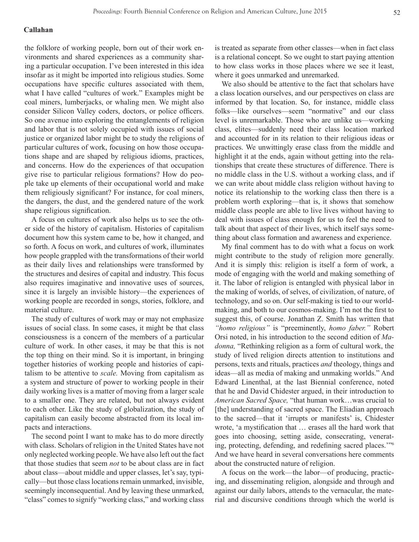## **Callahan**

the folklore of working people, born out of their work environments and shared experiences as a community sharing a particular occupation. I've been interested in this idea insofar as it might be imported into religious studies. Some occupations have specific cultures associated with them, what I have called "cultures of work." Examples might be coal miners, lumberjacks, or whaling men. We might also consider Silicon Valley coders, doctors, or police officers. So one avenue into exploring the entanglements of religion and labor that is not solely occupied with issues of social justice or organized labor might be to study the religions of particular cultures of work, focusing on how those occupations shape and are shaped by religious idioms, practices, and concerns. How do the experiences of that occupation give rise to particular religious formations? How do people take up elements of their occupational world and make them religiously significant? For instance, for coal miners, the dangers, the dust, and the gendered nature of the work shape religious signification.

A focus on cultures of work also helps us to see the other side of the history of capitalism. Histories of capitalism document how this system came to be, how it changed, and so forth. A focus on work, and cultures of work, illuminates how people grappled with the transformations of their world as their daily lives and relationships were transformed by the structures and desires of capital and industry. This focus also requires imaginative and innovative uses of sources, since it is largely an invisible history—the experiences of working people are recorded in songs, stories, folklore, and material culture.

The study of cultures of work may or may not emphasize issues of social class. In some cases, it might be that class consciousness is a concern of the members of a particular culture of work. In other cases, it may be that this is not the top thing on their mind. So it is important, in bringing together histories of working people and histories of capitalism to be attentive to *scale.* Moving from capitalism as a system and structure of power to working people in their daily working lives is a matter of moving from a larger scale to a smaller one. They are related, but not always evident to each other. Like the study of globalization, the study of capitalism can easily become abstracted from its local impacts and interactions.

The second point I want to make has to do more directly with class. Scholars of religion in the United States have not only neglected working people. We have also left out the fact that those studies that seem *not* to be about class are in fact about class—about middle and upper classes, let's say, typically—but those class locations remain unmarked, invisible, seemingly inconsequential. And by leaving these unmarked, "class" comes to signify "working class," and working class

is treated as separate from other classes—when in fact class is a relational concept. So we ought to start paying attention to how class works in those places where we see it least, where it goes unmarked and unremarked.

We also should be attentive to the fact that scholars have a class location ourselves, and our perspectives on class are informed by that location. So, for instance, middle class folks—like ourselves—seem "normative" and our class level is unremarkable. Those who are unlike us—working class, elites—suddenly need their class location marked and accounted for in its relation to their religious ideas or practices. We unwittingly erase class from the middle and highlight it at the ends, again without getting into the relationships that create these structures of difference. There is no middle class in the U.S. without a working class, and if we can write about middle class religion without having to notice its relationship to the working class then there is a problem worth exploring—that is, it shows that somehow middle class people are able to live lives without having to deal with issues of class enough for us to feel the need to talk about that aspect of their lives, which itself says something about class formation and awareness and experience.

My final comment has to do with what a focus on work might contribute to the study of religion more generally. And it is simply this: religion is itself a form of work, a mode of engaging with the world and making something of it. The labor of religion is entangled with physical labor in the making of worlds, of selves, of civilization, of nature, of technology, and so on. Our self-making is tied to our worldmaking, and both to our cosmos-making. I'm not the first to suggest this, of course. Jonathan Z. Smith has written that *"homo religious"* is "preeminently, *homo faber."* Robert Orsi noted, in his introduction to the second edition of *Madonna,* "Rethinking religion as a form of cultural work, the study of lived religion directs attention to institutions and persons, texts and rituals, practices *and* theology, things and ideas—all as media of making and unmaking worlds." And Edward Linenthal, at the last Biennial conference, noted that he and David Chidester argued, in their introduction to *American Sacred Space,* "that human work…was crucial to [the] understanding of sacred space. The Eliadian approach to the sacred—that it 'irrupts or manifests' is, Chidester wrote, 'a mystification that … erases all the hard work that goes into choosing, setting aside, consecrating, venerating, protecting, defending, and redefining sacred places.'"<sup>6</sup> And we have heard in several conversations here comments about the constructed nature of religion.

A focus on the work—the labor—of producing, practicing, and disseminating religion, alongside and through and against our daily labors, attends to the vernacular, the material and discursive conditions through which the world is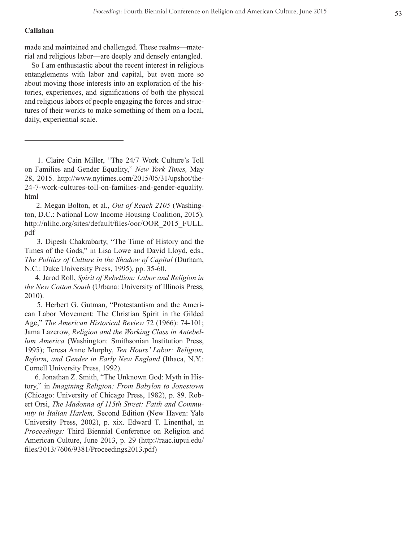## **Callahan**

made and maintained and challenged. These realms—material and religious labor—are deeply and densely entangled.

So I am enthusiastic about the recent interest in religious entanglements with labor and capital, but even more so about moving those interests into an exploration of the his tories, experiences, and significations of both the physical and religious labors of people engaging the forces and struc tures of their worlds to make something of them on a local, daily, experiential scale.

 1. Claire Cain Miller, "The 24/7 Work Culture's Toll on Families and Gender Equality," *New York Times,* May 28, 2015. http://www.nytimes.com/2015/05/31/upshot/the-24-7-work-cultures-toll-on-families-and-gender-equality. html

 2. Megan Bolton, et al., *Out of Reach 2105* (Washing ton, D.C.: National Low Income Housing Coalition, 2015). http://nlihc.org/sites/default/files/oor/OOR\_2015\_FULL. pdf

 3. Dipesh Chakrabarty, "The Time of History and the Times of the Gods," in Lisa Lowe and David Lloyd, eds., *The Politics of Culture in the Shadow of Capital* (Durham, N.C.: Duke University Press, 1995), pp. 35-60.

 4. Jarod Roll, *Spirit of Rebellion: Labor and Religion in the New Cotton South* (Urbana: University of Illinois Press, 2010).

 5. Herbert G. Gutman, "Protestantism and the Ameri can Labor Movement: The Christian Spirit in the Gilded Age," *The American Historical Review* 72 (1966): 74-101; Jama Lazerow, *Religion and the Working Class in Antebel lum America* (Washington: Smithsonian Institution Press, 1995); Teresa Anne Murphy, *Ten Hours' Labor: Religion, Reform, and Gender in Early New England* (Ithaca, N.Y.: Cornell University Press, 1992).

 6. Jonathan Z. Smith, "The Unknown God: Myth in His tory," in *Imagining Religion: From Babylon to Jonestown*  (Chicago: University of Chicago Press, 1982), p. 89. Rob ert Orsi, *The Madonna of 115th Street: Faith and Commu nity in Italian Harlem,* Second Edition (New Haven: Yale University Press, 2002), p. xix. Edward T. Linenthal, in *Proceedings:* Third Biennial Conference on Religion and American Culture, June 2013, p. 29 (http://raac.iupui.edu/ files/3013/7606/9381/Proceedings2013.pdf)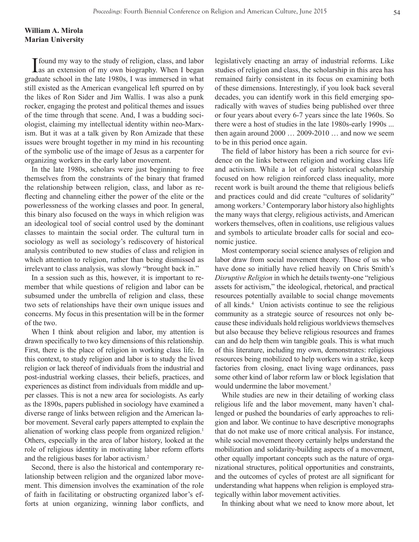## **William A. Mirola Marian University**

I found my way to the study of religion, class, and labor as an extension of my own biography. When I began graduate school in the late 1980s, I was immersed in what still existed as the American evangelical left spurred on by the likes of Ron Sider and Jim Wallis. I was also a punk rocker, engaging the protest and political themes and issues of the time through that scene. And, I was a budding sociologist, claiming my intellectual identity within neo-Marxism. But it was at a talk given by Ron Amizade that these issues were brought together in my mind in his recounting of the symbolic use of the image of Jesus as a carpenter for organizing workers in the early labor movement.

In the late 1980s, scholars were just beginning to free themselves from the constraints of the binary that framed the relationship between religion, class, and labor as reflecting and channeling either the power of the elite or the powerlessness of the working classes and poor. In general, this binary also focused on the ways in which religion was an ideological tool of social control used by the dominant classes to maintain the social order. The cultural turn in sociology as well as sociology's rediscovery of historical analysis contributed to new studies of class and religion in which attention to religion, rather than being dismissed as irrelevant to class analysis, was slowly "brought back in."

In a session such as this, however, it is important to remember that while questions of religion and labor can be subsumed under the umbrella of religion and class, these two sets of relationships have their own unique issues and concerns. My focus in this presentation will be in the former of the two.

When I think about religion and labor, my attention is drawn specifically to two key dimensions of this relationship. First, there is the place of religion in working class life. In this context, to study religion and labor is to study the lived religion or lack thereof of individuals from the industrial and post-industrial working classes, their beliefs, practices, and experiences as distinct from individuals from middle and upper classes. This is not a new area for sociologists. As early as the 1890s, papers published in sociology have examined a diverse range of links between religion and the American labor movement. Several early papers attempted to explain the alienation of working class people from organized religion.<sup>1</sup> Others, especially in the area of labor history, looked at the role of religious identity in motivating labor reform efforts and the religious bases for labor activism.2

Second, there is also the historical and contemporary relationship between religion and the organized labor movement. This dimension involves the examination of the role of faith in facilitating or obstructing organized labor's efforts at union organizing, winning labor conflicts, and legislatively enacting an array of industrial reforms. Like studies of religion and class, the scholarship in this area has remained fairly consistent in its focus on examining both of these dimensions. Interestingly, if you look back several decades, you can identify work in this field emerging sporadically with waves of studies being published over three or four years about every 6-7 years since the late 1960s. So there were a host of studies in the late 1980s-early 1990s ... then again around 2000 … 2009-2010 … and now we seem to be in this period once again.

The field of labor history has been a rich source for evidence on the links between religion and working class life and activism. While a lot of early historical scholarship focused on how religion reinforced class inequality, more recent work is built around the theme that religious beliefs and practices could and did create "cultures of solidarity" among workers.3 Contemporary labor history also highlights the many ways that clergy, religious activists, and American workers themselves, often in coalitions, use religious values and symbols to articulate broader calls for social and economic justice.

Most contemporary social science analyses of religion and labor draw from social movement theory. Those of us who have done so initially have relied heavily on Chris Smith's *Disruptive Religion* in which he details twenty-one "religious assets for activism," the ideological, rhetorical, and practical resources potentially available to social change movements of all kinds.4 Union activists continue to see the religious community as a strategic source of resources not only because these individuals hold religious worldviews themselves but also because they believe religious resources and frames can and do help them win tangible goals. This is what much of this literature, including my own, demonstrates: religious resources being mobilized to help workers win a strike, keep factories from closing, enact living wage ordinances, pass some other kind of labor reform law or block legislation that would undermine the labor movement.<sup>5</sup>

While studies are new in their detailing of working class religious life and the labor movement, many haven't challenged or pushed the boundaries of early approaches to religion and labor. We continue to have descriptive monographs that do not make use of more critical analysis. For instance, while social movement theory certainly helps understand the mobilization and solidarity-building aspects of a movement, other equally important concepts such as the nature of organizational structures, political opportunities and constraints, and the outcomes of cycles of protest are all significant for understanding what happens when religion is employed strategically within labor movement activities.

In thinking about what we need to know more about, let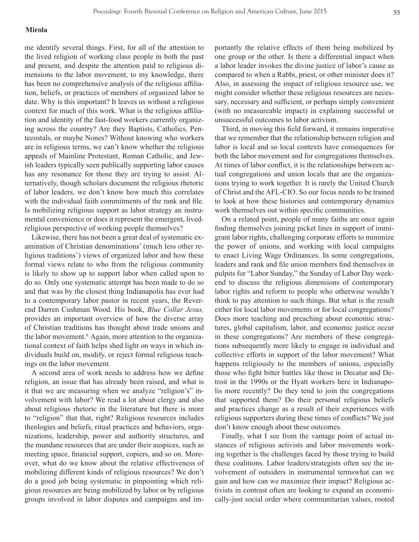## **Mirola**

me identify several things. First, for all of the attention to the lived religion of working class people in both the past and present, and despite the attention paid to religious dimensions to the labor movement, to my knowledge, there has been no comprehensive analysis of the religious affiliation, beliefs, or practices of members of organized labor to date. Why is this important? It leaves us without a religious context for much of this work. What is the religious affiliation and identity of the fast-food workers currently organizing across the country? Are they Baptists, Catholics, Pentecostals, or maybe Nones? Without knowing who workers are in religious terms, we can't know whether the religious appeals of Mainline Protestant, Roman Catholic, and Jewish leaders typically seen publically supporting labor causes has any resonance for those they are trying to assist. Alternatively, though scholars document the religious rhetoric of labor leaders, we don't know how much this correlates with the individual faith commitments of the rank and file. Is mobilizing religious support as labor strategy an instrumental convenience or does it represent the emergent, livedreligious perspective of working people themselves?

Likewise, there has not been a great deal of systematic examination of Christian denominations' (much less other religious traditions') views of organized labor and how these formal views relate to who from the religious community is likely to show up to support labor when called upon to do so. Only one systematic attempt has been made to do so and that was by the closest thing Indianapolis has ever had to a contemporary labor pastor in recent years, the Reverend Darren Cushman Wood. His book, *Blue Collar Jesus,*  provides an important overview of how the diverse array of Christian traditions has thought about trade unions and the labor movement.<sup>6</sup> Again, more attention to the organizational context of faith helps shed light on ways in which individuals build on, modify, or reject formal religious teachings on the labor movement.

A second area of work needs to address how we define religion, an issue that has already been raised, and what is it that we are measuring when we analyze "religion's" involvement with labor? We read a lot about clergy and also about religious rhetoric in the literature but there is more to "religion" that that, right? Religious resources includes theologies and beliefs, ritual practices and behaviors, organizations, leadership, power and authority structures, and the mundane resources that are under their auspices, such as meeting space, financial support, copiers, and so on. Moreover, what do we know about the relative effectiveness of mobilizing different kinds of religious resources? We don't do a good job being systematic in pinpointing which religious resources are being mobilized by labor or by religious groups involved in labor disputes and campaigns and importantly the relative effects of them being mobilized by one group or the other. Is there a differential impact when a labor leader invokes the divine justice of labor's cause as compared to when a Rabbi, priest, or other minister does it? Also, in assessing the impact of religious resource use, we might consider whether these religious resources are necessary, necessary and sufficient, or perhaps simply convenient (with no measureable impact) in explaining successful or unsuccessful outcomes to labor activism.

Third, in moving this field forward, it remains imperative that we remember that the relationship between religion and labor is local and so local contexts have consequences for both the labor movement and for congregations themselves. At times of labor conflict, it is the relationships between actual congregations and union locals that are the organizations trying to work together. It is rarely the United Church of Christ and the AFL-CIO. So our focus needs to be trained to look at how these histories and contemporary dynamics work themselves out within specific communities.

On a related point, people of many faiths are once again finding themselves joining picket lines in support of immigrant labor rights, challenging corporate efforts to minimize the power of unions, and working with local campaigns to enact Living Wage Ordinances. In some congregations, leaders and rank and file union members find themselves in pulpits for "Labor Sunday," the Sunday of Labor Day weekend to discuss the religious dimensions of contemporary labor rights and reform to people who otherwise wouldn't think to pay attention to such things. But what is the result either for local labor movements or for local congregations? Does more teaching and preaching about economic structures, global capitalism, labor, and economic justice occur in these congregations? Are members of these congregations subsequently more likely to engage in individual and collective efforts in support of the labor movement? What happens religiously to the members of unions, especially those who fight bitter battles like those in Decatur and Detroit in the 1990s or the Hyatt workers here in Indianapolis more recently? Do they tend to join the congregations that supported them? Do their personal religious beliefs and practices change as a result of their experiences with religious supporters during these times of conflicts? We just don't know enough about these outcomes.

Finally, what I see from the vantage point of actual instances of religious activists and labor movements working together is the challenges faced by those trying to build these coalitions. Labor leaders/strategists often see the involvement of outsiders in instrumental termswhat can we gain and how can we maximize their impact? Religious activists in contrast often are looking to expand an economically-just social order where communitarian values, rooted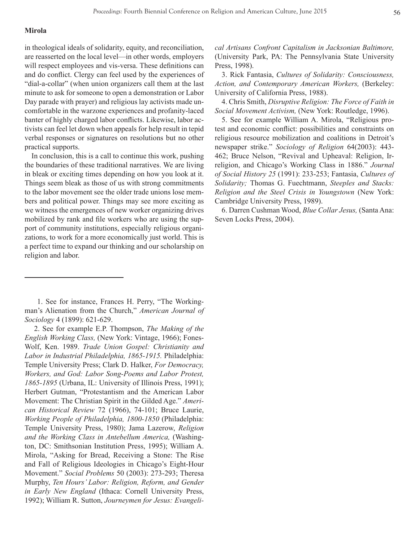## **Mirola**

in theological ideals of solidarity, equity, and reconciliation, are reasserted on the local level—in other words, employers will respect employees and vis-versa. These definitions can and do conflict. Clergy can feel used by the experiences of "dial-a-collar" (when union organizers call them at the last minute to ask for someone to open a demonstration or Labor Day parade with prayer) and religious lay activists made uncomfortable in the warzone experiences and profanity-laced banter of highly charged labor conflicts. Likewise, labor activists can feel let down when appeals for help result in tepid verbal responses or signatures on resolutions but no other practical supports.

In conclusion, this is a call to continue this work, pushing the boundaries of these traditional narratives. We are living in bleak or exciting times depending on how you look at it. Things seem bleak as those of us with strong commitments to the labor movement see the older trade unions lose members and political power. Things may see more exciting as we witness the emergences of new worker organizing drives mobilized by rank and file workers who are using the support of community institutions, especially religious organizations, to work for a more economically just world. This is a perfect time to expand our thinking and our scholarship on religion and labor.

 1. See for instance, Frances H. Perry, "The Workingman's Alienation from the Church," *American Journal of Sociology* 4 (1899): 621-629.

 2. See for example E.P. Thompson, *The Making of the English Working Class,* (New York: Vintage, 1966); Fones-Wolf, Ken. 1989. *Trade Union Gospel: Christianity and Labor in Industrial Philadelphia, 1865-1915.* Philadelphia: Temple University Press; Clark D. Halker, *For Democracy, Workers, and God: Labor Song-Poems and Labor Protest, 1865-1895* (Urbana, IL: University of Illinois Press, 1991); Herbert Gutman, "Protestantism and the American Labor Movement: The Christian Spirit in the Gilded Age." *American Historical Review* 72 (1966), 74-101; Bruce Laurie, *Working People of Philadelphia, 1800-1850* (Philadelphia: Temple University Press, 1980); Jama Lazerow, *Religion and the Working Class in Antebellum America,* (Washington, DC: Smithsonian Institution Press, 1995); William A. Mirola, "Asking for Bread, Receiving a Stone: The Rise and Fall of Religious Ideologies in Chicago's Eight-Hour Movement." *Social Problems* 50 (2003): 273-293; Theresa Murphy, *Ten Hours' Labor: Religion, Reform, and Gender in Early New England* (Ithaca: Cornell University Press, 1992); William R. Sutton, *Journeymen for Jesus: Evangeli-* *cal Artisans Confront Capitalism in Jacksonian Baltimore,*  (University Park, PA: The Pennsylvania State University Press, 1998).

3. Rick Fantasia, *Cultures of Solidarity: Consciousness, Action, and Contemporary American Workers,* (Berkeley: University of California Press, 1988).

4. Chris Smith, *Disruptive Religion: The Force of Faith in Social Movement Activism,* (New York: Routledge, 1996).

5. See for example William A. Mirola, "Religious protest and economic conflict: possibilities and constraints on religious resource mobilization and coalitions in Detroit's newspaper strike." *Sociology of Religion* 64(2003): 443- 462; Bruce Nelson, "Revival and Upheaval: Religion, Irreligion, and Chicago's Working Class in 1886." *Journal of Social History 25* (1991): 233-253; Fantasia, *Cultures of Solidarity;* Thomas G. Fuechtmann, *Steeples and Stacks: Religion and the Steel Crisis in Youngstown* (New York: Cambridge University Press, 1989).

6. Darren Cushman Wood, *Blue Collar Jesus,* (Santa Ana: Seven Locks Press, 2004).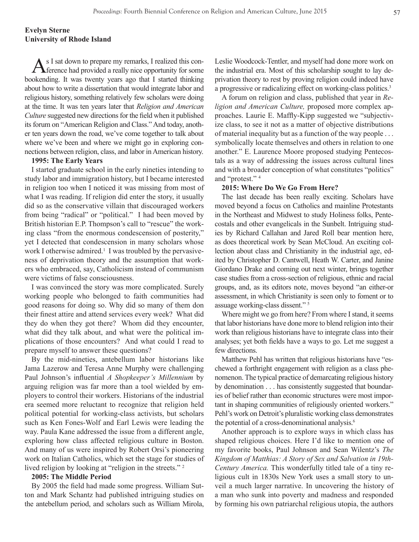As I sat down to prepare my remarks, I realized this con-ference had provided a really nice opportunity for some bookending. It was twenty years ago that I started thinking about how to write a dissertation that would integrate labor and religious history, something relatively few scholars were doing at the time. It was ten years later that *Religion and American Culture* suggested new directions for the field when it published its forum on "American Religion and Class." And today, another ten years down the road, we've come together to talk about where we've been and where we might go in exploring connections between religion, class, and labor in American history.

#### **1995: The Early Years**

I started graduate school in the early nineties intending to study labor and immigration history, but I became interested in religion too when I noticed it was missing from most of what I was reading. If religion did enter the story, it usually did so as the conservative villain that discouraged workers from being "radical" or "political." I had been moved by British historian E.P. Thompson's call to "rescue" the working class "from the enormous condescension of posterity," yet I detected that condescension in many scholars whose work I otherwise admired.<sup>1</sup> I was troubled by the pervasiveness of deprivation theory and the assumption that workers who embraced, say, Catholicism instead of communism were victims of false consciousness.

I was convinced the story was more complicated. Surely working people who belonged to faith communities had good reasons for doing so. Why did so many of them don their finest attire and attend services every week? What did they do when they got there? Whom did they encounter, what did they talk about, and what were the political implications of those encounters? And what could I read to prepare myself to answer these questions?

By the mid-nineties, antebellum labor historians like Jama Lazerow and Teresa Anne Murphy were challenging Paul Johnson's influential *A Shopkeeper's Millennium* by arguing religion was far more than a tool wielded by employers to control their workers. Historians of the industrial era seemed more reluctant to recognize that religion held political potential for working-class activists, but scholars such as Ken Fones-Wolf and Earl Lewis were leading the way. Paula Kane addressed the issue from a different angle, exploring how class affected religious culture in Boston. And many of us were inspired by Robert Orsi's pioneering work on Italian Catholics, which set the stage for studies of lived religion by looking at "religion in the streets."<sup>2</sup>

## **2005: The Middle Period**

By 2005 the field had made some progress. William Sutton and Mark Schantz had published intriguing studies on the antebellum period, and scholars such as William Mirola, Leslie Woodcock-Tentler, and myself had done more work on the industrial era. Most of this scholarship sought to lay deprivation theory to rest by proving religion could indeed have a progressive or radicalizing effect on working-class politics.3

A forum on religion and class, published that year in *Religion and American Culture,* proposed more complex approaches. Laurie E. Maffly-Kipp suggested we "subjectivize class, to see it not as a matter of objective distributions of material inequality but as a function of the way people . . . symbolically locate themselves and others in relation to one another." E. Laurence Moore proposed studying Pentecostals as a way of addressing the issues across cultural lines and with a broader conception of what constitutes "politics" and "protest." 4

## **2015: Where Do We Go From Here?**

The last decade has been really exciting. Scholars have moved beyond a focus on Catholics and mainline Protestants in the Northeast and Midwest to study Holiness folks, Pentecostals and other evangelicals in the Sunbelt. Intriguing studies by Richard Callahan and Jared Roll bear mention here, as does theoretical work by Sean McCloud. An exciting collection about class and Christianity in the industrial age, edited by Christopher D. Cantwell, Heath W. Carter, and Janine Giordano Drake and coming out next winter, brings together case studies from a cross-section of religious, ethnic and racial groups, and, as its editors note, moves beyond "an either-or assessment, in which Christianity is seen only to foment or to assuage working-class dissent." 5

Where might we go from here? From where I stand, it seems that labor historians have done more to blend religion into their work than religious historians have to integrate class into their analyses; yet both fields have a ways to go. Let me suggest a few directions.

Matthew Pehl has written that religious historians have "eschewed a forthright engagement with religion as a class phenomenon. The typical practice of demarcating religious history by denomination . . . has consistently suggested that boundaries of belief rather than economic structures were most important in shaping communities of religiously oriented workers." Pehl's work on Detroit's pluralistic working class demonstrates the potential of a cross-denominational analysis.<sup>6</sup>

Another approach is to explore ways in which class has shaped religious choices. Here I'd like to mention one of my favorite books, Paul Johnson and Sean Wilentz's *The Kingdom of Matthias: A Story of Sex and Salvation in 19th-Century America.* This wonderfully titled tale of a tiny religious cult in 1830s New York uses a small story to unveil a much larger narrative. In uncovering the history of a man who sunk into poverty and madness and responded by forming his own patriarchal religious utopia, the authors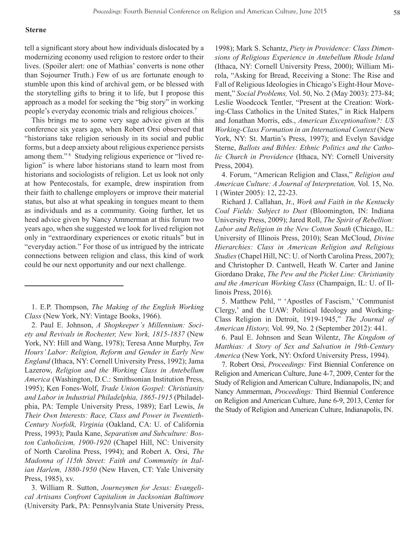#### **Sterne**

tell a significant story about how individuals dislocated by a modernizing economy used religion to restore order to their lives. (Spoiler alert: one of Mathias' converts is none other than Sojourner Truth.) Few of us are fortunate enough to stumble upon this kind of archival gem, or be blessed with the storytelling gifts to bring it to life, but I propose this approach as a model for seeking the "big story" in working people's everyday economic trials and religious choices.7

This brings me to some very sage advice given at this conference six years ago, when Robert Orsi observed that "historians take religion seriously in its social and public forms, but a deep anxiety about religious experience persists among them."<sup>8</sup> Studying religious experience or "lived religion" is where labor historians stand to learn most from historians and sociologists of religion. Let us look not only at how Pentecostals, for example, drew inspiration from their faith to challenge employers or improve their material status, but also at what speaking in tongues meant to them as individuals and as a community. Going further, let us heed advice given by Nancy Ammerman at this forum two years ago, when she suggested we look for lived religion not only in "extraordinary experiences or exotic rituals" but in "everyday action." For those of us intrigued by the intricate connections between religion and class, this kind of work could be our next opportunity and our next challenge.

1. E.P. Thompson, *The Making of the English Working Class* (New York, NY: Vintage Books, 1966).

2. Paul E. Johnson, *A Shopkeeper's Millennium: Society and Revivals in Rochester, New York, 1815-1837* (New York, NY: Hill and Wang, 1978); Teresa Anne Murphy, *Ten Hours' Labor: Religion, Reform and Gender in Early New England* (Ithaca, NY: Cornell University Press, 1992); Jama Lazerow, *Religion and the Working Class in Antebellum America* (Washington, D.C.: Smithsonian Institution Press, 1995); Ken Fones-Wolf, *Trade Union Gospel: Christianity and Labor in Industrial Philadelphia, 1865-1915* (Philadelphia, PA: Temple University Press, 1989); Earl Lewis, *In Their Own Interests: Race, Class and Power in Twentieth-Century Norfolk, Virginia* (Oakland, CA: U. of California Press, 1993); Paula Kane, *Separatism and Subculture: Boston Catholicism, 1900-1920* (Chapel Hill, NC: University of North Carolina Press, 1994); and Robert A. Orsi, *The Madonna of 115th Street: Faith and Community in Italian Harlem, 1880-1950* (New Haven, CT: Yale University Press, 1985), xv.

3. William R. Sutton, *Journeymen for Jesus: Evangelical Artisans Confront Capitalism in Jacksonian Baltimore*  (University Park, PA: Pennsylvania State University Press, 1998); Mark S. Schantz, *Piety in Providence: Class Dimensions of Religious Experience in Antebellum Rhode Island*  (Ithaca, NY: Cornell University Press, 2000); William Mirola, "Asking for Bread, Receiving a Stone: The Rise and Fall of Religious Ideologies in Chicago's Eight-Hour Movement," *Social Problems,* Vol. 50, No. 2 (May 2003): 273-84; Leslie Woodcock Tentler, "Present at the Creation: Working-Class Catholics in the United States," in Rick Halpern and Jonathan Morris, eds., *American Exceptionalism?: US Working-Class Formation in an International Context* (New York, NY: St. Martin's Press, 1997); and Evelyn Savidge Sterne, *Ballots and Bibles: Ethnic Politics and the Catholic Church in Providence* (Ithaca, NY: Cornell University Press, 2004).

4. Forum, "American Religion and Class," *Religion and American Culture: A Journal of Interpretation,* Vol. 15, No. 1 (Winter 2005): 12, 22-23.

Richard J. Callahan, Jr., *Work and Faith in the Kentucky Coal Fields: Subject to Dust* (Bloomington, IN: Indiana University Press, 2009); Jared Roll, *The Spirit of Rebellion: Labor and Religion in the New Cotton South* (Chicago, IL: University of Illinois Press, 2010); Sean McCloud, *Divine Hierarchies: Class in American Religion and Religious Studies* (Chapel Hill, NC: U. of North Carolina Press, 2007); and Christopher D. Cantwell, Heath W. Carter and Janine Giordano Drake, *The Pew and the Picket Line: Christianity and the American Working Class* (Champaign, IL: U. of Illinois Press, 2016).

5. Matthew Pehl, " 'Apostles of Fascism,' 'Communist Clergy,' and the UAW: Political Ideology and Working-Class Religion in Detroit, 1919-1945," *The Journal of American History,* Vol. 99, No. 2 (September 2012): 441.

6. Paul E. Johnson and Sean Wilentz, *The Kingdom of Matthias: A Story of Sex and Salvation in 19th-Century America* (New York, NY: Oxford University Press, 1994).

7. Robert Orsi, *Proceedings:* First Biennial Conference on Religion and American Culture, June 4-7, 2009, Center for the Study of Religion and American Culture, Indianapolis, IN; and Nancy Ammerman, *Proceedings:* Third Biennial Conference on Religion and American Culture, June 6-9, 2013, Center for the Study of Religion and American Culture, Indianapolis, IN.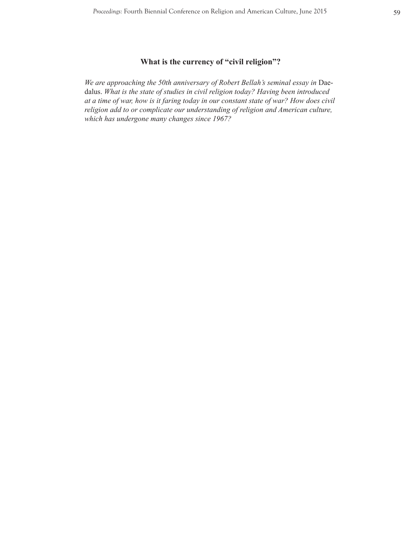# **What is the currency of "civil religion"?**

*We are approaching the 50th anniversary of Robert Bellah's seminal essay in* Daedalus. *What is the state of studies in civil religion today? Having been introduced at a time of war, how is it faring today in our constant state of war? How does civil religion add to or complicate our understanding of religion and American culture, which has undergone many changes since 1967?*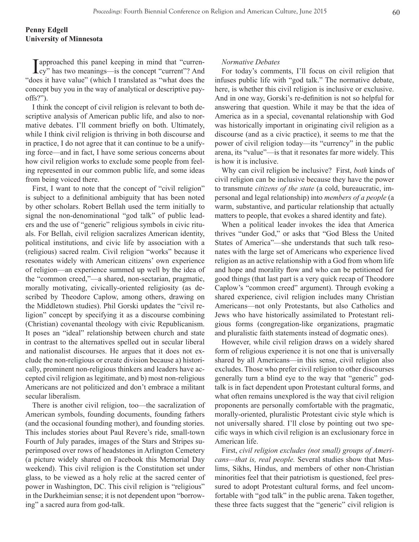I approached this panel keeping in mind that "curren-cy" has two meanings—is the concept "current"? And "does it have value" (which I translated as "what does the concept buy you in the way of analytical or descriptive payoffs?").

I think the concept of civil religion is relevant to both descriptive analysis of American public life, and also to normative debates. I'll comment briefly on both. Ultimately, while I think civil religion is thriving in both discourse and in practice, I do not agree that it can continue to be a unifying force—and in fact, I have some serious concerns about how civil religion works to exclude some people from feeling represented in our common public life, and some ideas from being voiced there.

First, I want to note that the concept of "civil religion" is subject to a definitional ambiguity that has been noted by other scholars. Robert Bellah used the term initially to signal the non-denominational "god talk" of public leaders and the use of "generic" religious symbols in civic rituals. For Bellah, civil religion sacralizes American identity, political institutions, and civic life by association with a (religious) sacred realm. Civil religion "works" because it resonates widely with American citizens' own experience of religion—an experience summed up well by the idea of the "common creed,"—a shared, non-sectarian, pragmatic, morally motivating, civically-oriented religiosity (as described by Theodore Caplow, among others, drawing on the Middletown studies). Phil Gorski updates the "civil religion" concept by specifying it as a discourse combining (Christian) covenantal theology with civic Republicanism. It poses an "ideal" relationship between church and state in contrast to the alternatives spelled out in secular liberal and nationalist discourses. He argues that it does not exclude the non-religious or create division because a) historically, prominent non-religious thinkers and leaders have accepted civil religion as legitimate, and b) most non-religious Americans are not politicized and don't embrace a militant secular liberalism.

There is another civil religion, too—the sacralization of American symbols, founding documents, founding fathers (and the occasional founding mother), and founding stories. This includes stories about Paul Revere's ride, small-town Fourth of July parades, images of the Stars and Stripes superimposed over rows of headstones in Arlington Cemetery (a picture widely shared on Facebook this Memorial Day weekend). This civil religion is the Constitution set under glass, to be viewed as a holy relic at the sacred center of power in Washington, DC. This civil religion is "religious" in the Durkheimian sense; it is not dependent upon "borrowing" a sacred aura from god-talk.

## *Normative Debates*

For today's comments, I'll focus on civil religion that infuses public life with "god talk." The normative debate, here, is whether this civil religion is inclusive or exclusive. And in one way, Gorski's re-definition is not so helpful for answering that question. While it may be that the idea of America as in a special, covenantal relationship with God was historically important in originating civil religion as a discourse (and as a civic practice), it seems to me that the power of civil religion today—its "currency" in the public arena, its "value"—is that it resonates far more widely. This is how it is inclusive.

Why can civil religion be inclusive? First, *both* kinds of civil religion can be inclusive because they have the power to transmute *citizens of the state* (a cold, bureaucratic, impersonal and legal relationship) into *members of a people* (a warm, substantive, and particular relationship that actually matters to people, that evokes a shared identity and fate).

When a political leader invokes the idea that America thrives "under God," or asks that "God Bless the United States of America"—she understands that such talk resonates with the large set of Americans who experience lived religion as an active relationship with a God from whom life and hope and morality flow and who can be petitioned for good things (that last part is a very quick recap of Theodore Caplow's "common creed" argument). Through evoking a shared experience, civil religion includes many Christian Americans—not only Protestants, but also Catholics and Jews who have historically assimilated to Protestant religious forms (congregation-like organizations, pragmatic and pluralistic faith statements instead of dogmatic ones).

However, while civil religion draws on a widely shared form of religious experience it is not one that is universally shared by all Americans—in this sense, civil religion also excludes. Those who prefer civil religion to other discourses generally turn a blind eye to the way that "generic" godtalk is in fact dependent upon Protestant cultural forms, and what often remains unexplored is the way that civil religion proponents are personally comfortable with the pragmatic, morally-oriented, pluralistic Protestant civic style which is not universally shared. I'll close by pointing out two specific ways in which civil religion is an exclusionary force in American life.

First, *civil religion excludes (not small) groups of Americans—that is, real people.* Several studies show that Muslims, Sikhs, Hindus, and members of other non-Christian minorities feel that their patriotism is questioned, feel pressured to adopt Protestant cultural forms, and feel uncomfortable with "god talk" in the public arena. Taken together, these three facts suggest that the "generic" civil religion is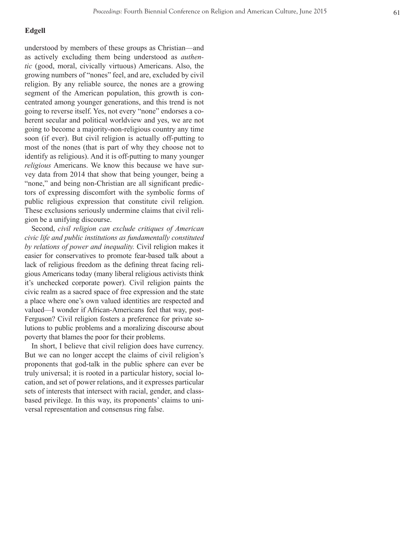## **Edgell**

understood by members of these groups as Christian—and as actively excluding them being understood as *authen tic* (good, moral, civically virtuous) Americans. Also, the growing numbers of "nones" feel, and are, excluded by civil religion. By any reliable source, the nones are a growing segment of the American population, this growth is concentrated among younger generations, and this trend is not going to reverse itself. Yes, not every "none" endorses a co herent secular and political worldview and yes, we are not going to become a majority-non-religious country any time soon (if ever). But civil religion is actually off-putting to most of the nones (that is part of why they choose not to identify as religious). And it is off-putting to many younger *religious* Americans. We know this because we have sur vey data from 2014 that show that being younger, being a "none," and being non-Christian are all significant predictors of expressing discomfort with the symbolic forms of public religious expression that constitute civil religion. These exclusions seriously undermine claims that civil reli gion be a unifying discourse.

Second, *civil religion can exclude critiques of American civic life and public institutions as fundamentally constituted by relations of power and inequality.* Civil religion makes it easier for conservatives to promote fear-based talk about a lack of religious freedom as the defining threat facing religious Americans today (many liberal religious activists think it's unchecked corporate power). Civil religion paints the civic realm as a sacred space of free expression and the state a place where one's own valued identities are respected and valued—I wonder if African-Americans feel that way, post-Ferguson? Civil religion fosters a preference for private solutions to public problems and a moralizing discourse about poverty that blames the poor for their problems.

In short, I believe that civil religion does have currency. But we can no longer accept the claims of civil religion's proponents that god-talk in the public sphere can ever be truly universal; it is rooted in a particular history, social lo cation, and set of power relations, and it expresses particular sets of interests that intersect with racial, gender, and classbased privilege. In this way, its proponents' claims to universal representation and consensus ring false.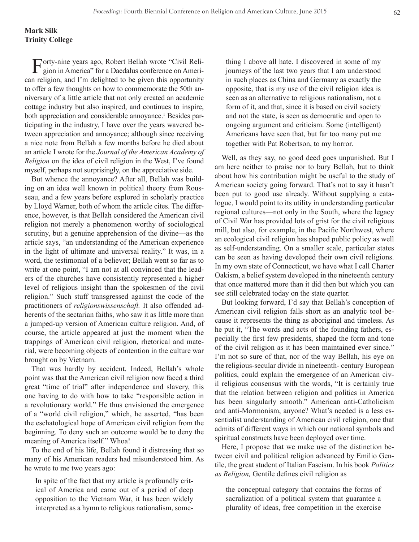Forty-nine years ago, Robert Bellah wrote "Civil Reli-<br>gion in America" for a David J gion in America" for a Daedalus conference on American religion, and I'm delighted to be given this opportunity to offer a few thoughts on how to commemorate the 50th anniversary of a little article that not only created an academic cottage industry but also inspired, and continues to inspire, both appreciation and considerable annoyance.<sup>1</sup> Besides participating in the industry, I have over the years wavered between appreciation and annoyance; although since receiving a nice note from Bellah a few months before he died about an article I wrote for the *Journal of the American Academy of Religion* on the idea of civil religion in the West, I've found myself, perhaps not surprisingly, on the appreciative side.

But whence the annoyance? After all, Bellah was building on an idea well known in political theory from Rousseau, and a few years before explored in scholarly practice by Lloyd Warner, both of whom the article cites. The difference, however, is that Bellah considered the American civil religion not merely a phenomenon worthy of sociological scrutiny, but a genuine apprehension of the divine—as the article says, "an understanding of the American experience in the light of ultimate and universal reality." It was, in a word, the testimonial of a believer; Bellah went so far as to write at one point, "I am not at all convinced that the leaders of the churches have consistently represented a higher level of religious insight than the spokesmen of the civil religion." Such stuff transgressed against the code of the practitioners of *religionswissenschaft.* It also offended adherents of the sectarian faiths, who saw it as little more than a jumped-up version of American culture religion. And, of course, the article appeared at just the moment when the trappings of American civil religion, rhetorical and material, were becoming objects of contention in the culture war brought on by Vietnam.

That was hardly by accident. Indeed, Bellah's whole point was that the American civil religion now faced a third great "time of trial" after independence and slavery, this one having to do with how to take "responsible action in a revolutionary world." He thus envisioned the emergence of a "world civil religion," which, he asserted, "has been the eschatological hope of American civil religion from the beginning. To deny such an outcome would be to deny the meaning of America itself." Whoa!

To the end of his life, Bellah found it distressing that so many of his American readers had misunderstood him. As he wrote to me two years ago:

ical of America and came out of a period of deep opposition to the Vietnam War, it has been widely interpreted as a hymn to religious nationalism, some-

thing I above all hate. I discovered in some of my journeys of the last two years that I am understood in such places as China and Germany as exactly the opposite, that is my use of the civil religion idea is seen as an alternative to religious nationalism, not a form of it, and that, since it is based on civil society and not the state, is seen as democratic and open to ongoing argument and criticism. Some (intelligent) Americans have seen that, but far too many put me together with Pat Robertson, to my horror.

Well, as they say, no good deed goes unpunished. But I am here neither to praise nor to bury Bellah, but to think about how his contribution might be useful to the study of American society going forward. That's not to say it hasn't been put to good use already. Without supplying a catalogue, I would point to its utility in understanding particular regional cultures—not only in the South, where the legacy of Civil War has provided lots of grist for the civil religious mill, but also, for example, in the Pacific Northwest, where an ecological civil religion has shaped public policy as well as self-understanding. On a smaller scale, particular states can be seen as having developed their own civil religions. In my own state of Connecticut, we have what I call Charter Oakism, a belief system developed in the nineteenth century that once mattered more than it did then but which you can see still celebrated today on the state quarter.

But looking forward, I'd say that Bellah's conception of American civil religion falls short as an analytic tool because it represents the thing as aboriginal and timeless. As he put it, "The words and acts of the founding fathers, especially the first few presidents, shaped the form and tone of the civil religion as it has been maintained ever since." I'm not so sure of that, nor of the way Bellah, his eye on the religious-secular divide in nineteenth- century European politics, could explain the emergence of an American civil religious consensus with the words, "It is certainly true that the relation between religion and politics in America has been singularly smooth." American anti-Catholicism and anti-Mormonism, anyone? What's needed is a less essentialist understanding of American civil religion, one that admits of different ways in which our national symbols and spiritual constructs have been deployed over time.

Here, I propose that we make use of the distinction between civil and political religion advanced by Emilio Gentile, the great student of Italian Fascism. In his book *Politics as Religion*, Gentile defines civil religion as In spite of the fact that my article is profoundly crit-

> the conceptual category that contains the forms of sacralization of a political system that guarantee a plurality of ideas, free competition in the exercise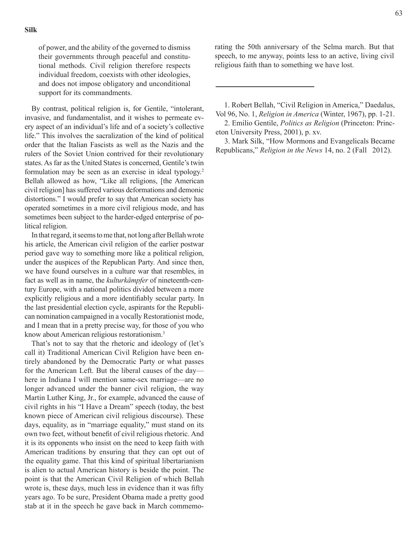of power, and the ability of the governed to dismiss their governments through peaceful and constitutional methods. Civil religion therefore respects individual freedom, coexists with other ideologies, and does not impose obligatory and unconditional support for its commandments.

By contrast, political religion is, for Gentile, "intolerant, invasive, and fundamentalist, and it wishes to permeate every aspect of an individual's life and of a society's collective life." This involves the sacralization of the kind of political order that the Italian Fascists as well as the Nazis and the rulers of the Soviet Union contrived for their revolutionary states. As far as the United States is concerned, Gentile's twin formulation may be seen as an exercise in ideal typology.<sup>2</sup> Bellah allowed as how, "Like all religions, [the American civil religion] has suffered various deformations and demonic distortions." I would prefer to say that American society has operated sometimes in a more civil religious mode, and has sometimes been subject to the harder-edged enterprise of political religion.

In that regard, it seems to me that, not long after Bellah wrote his article, the American civil religion of the earlier postwar period gave way to something more like a political religion, under the auspices of the Republican Party. And since then, we have found ourselves in a culture war that resembles, in fact as well as in name, the *kulturkämpfer* of nineteenth-century Europe, with a national politics divided between a more explicitly religious and a more identifiably secular party. In the last presidential election cycle, aspirants for the Republican nomination campaigned in a vocally Restorationist mode, and I mean that in a pretty precise way, for those of you who know about American religious restorationism.3

That's not to say that the rhetoric and ideology of (let's call it) Traditional American Civil Religion have been entirely abandoned by the Democratic Party or what passes for the American Left. But the liberal causes of the day here in Indiana I will mention same-sex marriage—are no longer advanced under the banner civil religion, the way Martin Luther King, Jr., for example, advanced the cause of civil rights in his "I Have a Dream" speech (today, the best known piece of American civil religious discourse). These days, equality, as in "marriage equality," must stand on its own two feet, without benefit of civil religious rhetoric. And it is its opponents who insist on the need to keep faith with American traditions by ensuring that they can opt out of the equality game. That this kind of spiritual libertarianism is alien to actual American history is beside the point. The point is that the American Civil Religion of which Bellah wrote is, these days, much less in evidence than it was fifty years ago. To be sure, President Obama made a pretty good stab at it in the speech he gave back in March commemorating the 50th anniversary of the Selma march. But that speech, to me anyway, points less to an active, living civil religious faith than to something we have lost.

 1. Robert Bellah, "Civil Religion in America," Daedalus, Vol 96, No. 1, *Religion in America* (Winter, 1967), pp. 1-21.

 2. Emilio Gentile, *Politics as Religion* (Princeton: Princeton University Press, 2001), p. xv.

 3. Mark Silk, "How Mormons and Evangelicals Became Republicans," *Religion in the News* 14, no. 2 (Fall 2012).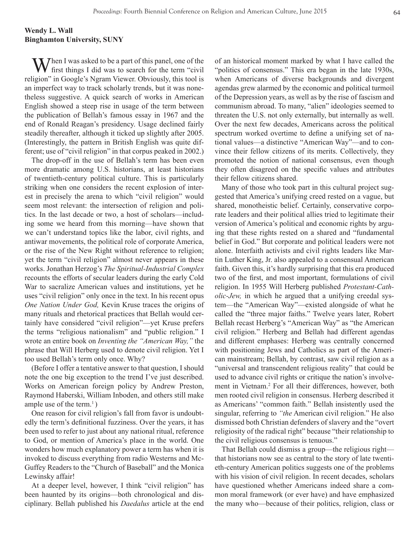# **Wendy L. Wall Binghamton University, SUNY**

 $M$ hen I was asked to be a part of this panel, one of the first things I did was to search for the term "civil religion" in Google's Ngram Viewer. Obviously, this tool is an imperfect way to track scholarly trends, but it was nonetheless suggestive. A quick search of works in American English showed a steep rise in usage of the term between the publication of Bellah's famous essay in 1967 and the end of Ronald Reagan's presidency. Usage declined fairly steadily thereafter, although it ticked up slightly after 2005. (Interestingly, the pattern in British English was quite different; use of "civil religion" in that corpus peaked in 2002.)

The drop-off in the use of Bellah's term has been even more dramatic among U.S. historians, at least historians of twentieth-century political culture. This is particularly striking when one considers the recent explosion of interest in precisely the arena to which "civil religion" would seem most relevant: the intersection of religion and politics. In the last decade or two, a host of scholars—including some we heard from this morning—have shown that we can't understand topics like the labor, civil rights, and antiwar movements, the political role of corporate America, or the rise of the New Right without reference to religion; yet the term "civil religion" almost never appears in these works. Jonathan Herzog's *The Spiritual-Industrial Complex*  recounts the efforts of secular leaders during the early Cold War to sacralize American values and institutions, yet he uses "civil religion" only once in the text. In his recent opus *One Nation Under God,* Kevin Kruse traces the origins of many rituals and rhetorical practices that Bellah would certainly have considered "civil religion"—yet Kruse prefers the terms "religious nationalism" and "public religion." I wrote an entire book on *Inventing the "American Way,"* the phrase that Will Herberg used to denote civil religion. Yet I too used Bellah's term only once. Why?

(Before I offer a tentative answer to that question, I should note the one big exception to the trend I've just described. Works on American foreign policy by Andrew Preston, Raymond Haberski, William Inboden, and others still make ample use of the term.<sup>1</sup>)

One reason for civil religion's fall from favor is undoubtedly the term's definitional fuzziness. Over the years, it has been used to refer to just about any national ritual, reference to God, or mention of America's place in the world. One wonders how much explanatory power a term has when it is invoked to discuss everything from radio Westerns and Mc-Guffey Readers to the "Church of Baseball" and the Monica Lewinsky affair!

At a deeper level, however, I think "civil religion" has been haunted by its origins—both chronological and disciplinary. Bellah published his *Daedalus* article at the end of an historical moment marked by what I have called the "politics of consensus." This era began in the late 1930s, when Americans of diverse backgrounds and divergent agendas grew alarmed by the economic and political turmoil of the Depression years, as well as by the rise of fascism and communism abroad. To many, "alien" ideologies seemed to threaten the U.S. not only externally, but internally as well. Over the next few decades, Americans across the political spectrum worked overtime to define a unifying set of national values—a distinctive "American Way"—and to convince their fellow citizens of its merits. Collectively, they promoted the notion of national consensus, even though they often disagreed on the specific values and attributes their fellow citizens shared.

Many of those who took part in this cultural project suggested that America's unifying creed rested on a vague, but shared, monotheistic belief. Certainly, conservative corporate leaders and their political allies tried to legitimate their version of America's political and economic rights by arguing that these rights rested on a shared and "fundamental belief in God." But corporate and political leaders were not alone. Interfaith activists and civil rights leaders like Martin Luther King, Jr. also appealed to a consensual American faith. Given this, it's hardly surprising that this era produced two of the first, and most important, formulations of civil religion. In 1955 Will Herberg published *Protestant-Catholic-Jew,* in which he argued that a unifying creedal system—the "American Way"—existed alongside of what he called the "three major faiths." Twelve years later, Robert Bellah recast Herberg's "American Way" as "the American civil religion." Herberg and Bellah had different agendas and different emphases: Herberg was centrally concerned with positioning Jews and Catholics as part of the American mainstream; Bellah, by contrast, saw civil religion as a "universal and transcendent religious reality" that could be used to advance civil rights or critique the nation's involvement in Vietnam.<sup>2</sup> For all their differences, however, both men rooted civil religion in consensus. Herberg described it as Americans' "common faith." Bellah insistently used the singular, referring to *"the* American civil religion." He also dismissed both Christian defenders of slavery and the "overt religiosity of the radical right" because "their relationship to the civil religious consensus is tenuous."

That Bellah could dismiss a group—the religious right that historians now see as central to the story of late twentieth-century American politics suggests one of the problems with his vision of civil religion. In recent decades, scholars have questioned whether Americans indeed share a common moral framework (or ever have) and have emphasized the many who—because of their politics, religion, class or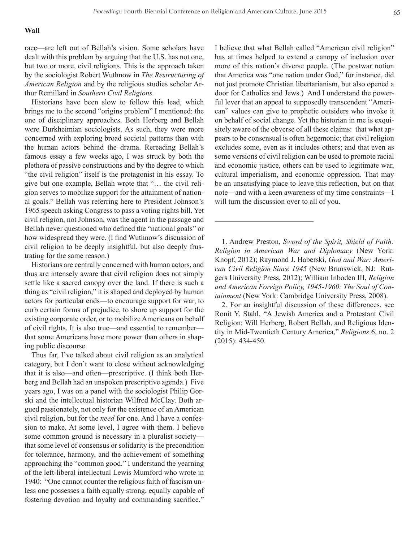#### **Wall**

race—are left out of Bellah's vision. Some scholars have dealt with this problem by arguing that the U.S. has not one, but two or more, civil religions. This is the approach taken by the sociologist Robert Wuthnow in *The Restructuring of American Religion* and by the religious studies scholar Arthur Remillard in *Southern Civil Religions.*

Historians have been slow to follow this lead, which brings me to the second "origins problem" I mentioned: the one of disciplinary approaches. Both Herberg and Bellah were Durkheimian sociologists. As such, they were more concerned with exploring broad societal patterns than with the human actors behind the drama. Rereading Bellah's famous essay a few weeks ago, I was struck by both the plethora of passive constructions and by the degree to which "the civil religion" itself is the protagonist in his essay. To give but one example, Bellah wrote that "… the civil religion serves to mobilize support for the attainment of national goals." Bellah was referring here to President Johnson's 1965 speech asking Congress to pass a voting rights bill. Yet civil religion, not Johnson, was the agent in the passage and Bellah never questioned who defined the "national goals" or how widespread they were. (I find Wuthnow's discussion of civil religion to be deeply insightful, but also deeply frustrating for the same reason.)

Historians are centrally concerned with human actors, and thus are intensely aware that civil religion does not simply settle like a sacred canopy over the land. If there is such a thing as "civil religion," it is shaped and deployed by human actors for particular ends—to encourage support for war, to curb certain forms of prejudice, to shore up support for the existing corporate order, or to mobilize Americans on behalf of civil rights. It is also true—and essential to remember that some Americans have more power than others in shaping public discourse.

Thus far, I've talked about civil religion as an analytical category, but I don't want to close without acknowledging that it is also—and often—prescriptive. (I think both Herberg and Bellah had an unspoken prescriptive agenda.) Five years ago, I was on a panel with the sociologist Philip Gorski and the intellectual historian Wilfred McClay. Both argued passionately, not only for the existence of an American civil religion, but for the *need* for one. And I have a confession to make. At some level, I agree with them. I believe some common ground is necessary in a pluralist society that some level of consensus or solidarity is the precondition for tolerance, harmony, and the achievement of something approaching the "common good." I understand the yearning of the left-liberal intellectual Lewis Mumford who wrote in 1940: "One cannot counter the religious faith of fascism unless one possesses a faith equally strong, equally capable of fostering devotion and loyalty and commanding sacrifice."

I believe that what Bellah called "American civil religion" has at times helped to extend a canopy of inclusion over more of this nation's diverse people. (The postwar notion that America was "one nation under God," for instance, did not just promote Christian libertarianism, but also opened a door for Catholics and Jews.) And I understand the powerful lever that an appeal to supposedly transcendent "American" values can give to prophetic outsiders who invoke it on behalf of social change. Yet the historian in me is exquisitely aware of the obverse of all these claims: that what appears to be consensual is often hegemonic; that civil religion excludes some, even as it includes others; and that even as some versions of civil religion can be used to promote racial and economic justice, others can be used to legitimate war, cultural imperialism, and economic oppression. That may be an unsatisfying place to leave this reflection, but on that note—and with a keen awareness of my time constraints—I will turn the discussion over to all of you.

1. Andrew Preston, *Sword of the Spirit, Shield of Faith: Religion in American War and Diplomacy* (New York: Knopf, 2012); Raymond J. Haberski, *God and War: American Civil Religion Since 1945* (New Brunswick, NJ: Rutgers University Press, 2012); William Inboden III, *Religion and American Foreign Policy, 1945-1960: The Soul of Containment* (New York: Cambridge University Press, 2008).

2. For an insightful discussion of these differences, see Ronit Y. Stahl, "A Jewish America and a Protestant Civil Religion: Will Herberg, Robert Bellah, and Religious Identity in Mid-Twentieth Century America," *Religions* 6, no. 2 (2015): 434-450.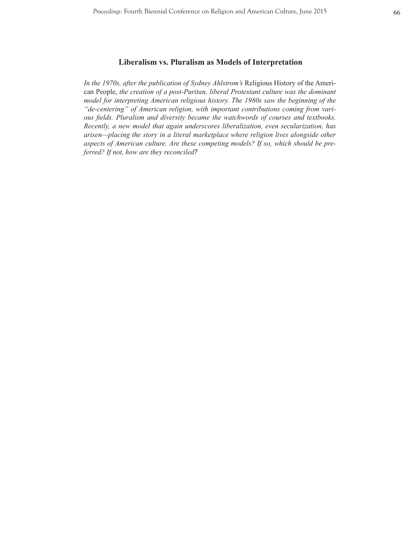*In the 1970s, after the publication of Sydney Ahlstrom's* Religious History of the American People, *the creation of a post-Puritan, liberal Protestant culture was the dominant model for interpreting American religious history. The 1980s saw the beginning of the "de-centering" of American religion, with important contributions coming from various fields. Pluralism and diversity became the watchwords of courses and textbooks. Recently, a new model that again underscores liberalization, even secularization, has arisen—placing the story in a literal marketplace where religion lives alongside other aspects of American culture. Are these competing models? If so, which should be preferred? If not, how are they reconciled?*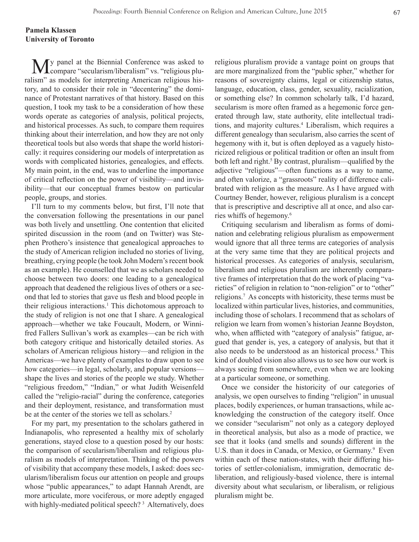## **Pamela Klassen University of Toronto**

My panel at the Biennial Conference was asked to compare "secularism/liberalism" vs. "religious pluralism" as models for interpreting American religious history, and to consider their role in "decentering" the dominance of Protestant narratives of that history. Based on this question, I took my task to be a consideration of how these words operate as categories of analysis, political projects, and historical processes. As such, to compare them requires thinking about their interrelation, and how they are not only theoretical tools but also words that shape the world historically: it requires considering our models of interpretation as words with complicated histories, genealogies, and effects. My main point, in the end, was to underline the importance of critical reflection on the power of visibility—and invisibility—that our conceptual frames bestow on particular people, groups, and stories.

I'll turn to my comments below, but first, I'll note that the conversation following the presentations in our panel was both lively and unsettling. One contention that elicited spirited discussion in the room (and on Twitter) was Stephen Prothero's insistence that genealogical approaches to the study of American religion included no stories of living, breathing, crying people (he took John Modern's recent book as an example). He counselled that we as scholars needed to choose between two doors: one leading to a genealogical approach that deadened the religious lives of others or a second that led to stories that gave us flesh and blood people in their religious interactions.<sup>1</sup> This dichotomous approach to the study of religion is not one that I share. A genealogical approach—whether we take Foucault, Modern, or Winnifred Fallers Sullivan's work as examples—can be rich with both category critique and historically detailed stories. As scholars of American religious history—and religion in the Americas—we have plenty of examples to draw upon to see how categories—in legal, scholarly, and popular versions shape the lives and stories of the people we study. Whether "religious freedom," "Indian," or what Judith Weisenfeld called the "religio-racial" during the conference, categories and their deployment, resistance, and transformation must be at the center of the stories we tell as scholars.<sup>2</sup>

For my part, my presentation to the scholars gathered in Indianapolis, who represented a healthy mix of scholarly generations, stayed close to a question posed by our hosts: the comparison of secularism/liberalism and religious pluralism as models of interpretation. Thinking of the powers of visibility that accompany these models, I asked: does secularism/liberalism focus our attention on people and groups whose "public appearances," to adapt Hannah Arendt, are more articulate, more vociferous, or more adeptly engaged with highly-mediated political speech?<sup>3</sup> Alternatively, does religious pluralism provide a vantage point on groups that are more marginalized from the "public spher," whether for reasons of sovereignty claims, legal or citizenship status, language, education, class, gender, sexuality, racialization, or something else? In common scholarly talk, I'd hazard, secularism is more often framed as a hegemonic force generated through law, state authority, elite intellectual traditions, and majority cultures.<sup>4</sup> Liberalism, which requires a different genealogy than secularism, also carries the scent of hegemony with it, but is often deployed as a vaguely historicized religious or political tradition or often an insult from both left and right.<sup>5</sup> By contrast, pluralism—qualified by the adjective "religious"—often functions as a way to name, and often valorize, a "grassroots" reality of difference calibrated with religion as the measure. As I have argued with Courtney Bender, however, religious pluralism is a concept that is prescriptive and descriptive all at once, and also carries whiffs of hegemony.<sup>6</sup>

Critiquing secularism and liberalism as forms of domination and celebrating religious pluralism as empowerment would ignore that all three terms are categories of analysis at the very same time that they are political projects and historical processes. As categories of analysis, secularism, liberalism and religious pluralism are inherently comparative frames of interpretation that do the work of placing "varieties" of religion in relation to "non-religion" or to "other" religions.7 As concepts with historicity, these terms must be localized within particular lives, histories, and communities, including those of scholars. I recommend that as scholars of religion we learn from women's historian Jeanne Boydston, who, when afflicted with "category of analysis" fatigue, argued that gender is, yes, a category of analysis, but that it also needs to be understood as an historical process.8 This kind of doubled vision also allows us to see how our work is always seeing from somewhere, even when we are looking at a particular someone, or something.

Once we consider the historicity of our categories of analysis, we open ourselves to finding "religion" in unusual places, bodily experiences, or human transactions, while acknowledging the construction of the category itself. Once we consider "secularism" not only as a category deployed in theoretical analysis, but also as a mode of practice, we see that it looks (and smells and sounds) different in the U.S. than it does in Canada, or Mexico, or Germany.<sup>9</sup> Even within each of these nation-states, with their differing histories of settler-colonialism, immigration, democratic deliberation, and religiously-based violence, there is internal diversity about what secularism, or liberalism, or religious pluralism might be.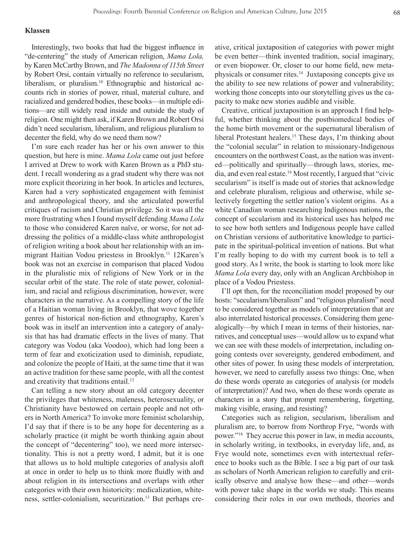## **Klassen**

Interestingly, two books that had the biggest influence in "de-centering" the study of American religion, *Mama Lola,*  by Karen McCarthy Brown, and *The Madonna of 115th Street*  by Robert Orsi, contain virtually no reference to secularism, liberalism, or pluralism.<sup>10</sup> Ethnographic and historical accounts rich in stories of power, ritual, material culture, and racialized and gendered bodies, these books—in multiple editions—are still widely read inside and outside the study of religion. One might then ask, if Karen Brown and Robert Orsi didn't need secularism, liberalism, and religious pluralism to decenter the field, why do we need them now?

I'm sure each reader has her or his own answer to this question, but here is mine. *Mama Lola* came out just before I arrived at Drew to work with Karen Brown as a PhD student. I recall wondering as a grad student why there was not more explicit theorizing in her book. In articles and lectures, Karen had a very sophisticated engagement with feminist and anthropological theory, and she articulated powerful critiques of racism and Christian privilege. So it was all the more frustrating when I found myself defending *Mama Lola*  to those who considered Karen naïve, or worse, for not addressing the politics of a middle-class white anthropologist of religion writing a book about her relationship with an immigrant Haitian Vodou priestess in Brooklyn.<sup>11</sup> 12Karen's book was not an exercise in comparison that placed Vodou in the pluralistic mix of religions of New York or in the secular orbit of the state. The role of state power, colonialism, and racial and religious discrimination, however, were characters in the narrative. As a compelling story of the life of a Haitian woman living in Brooklyn, that wove together genres of historical non-fiction and ethnography, Karen's book was in itself an intervention into a category of analysis that has had dramatic effects in the lives of many. That category was Vodou (aka Voodoo), which had long been a term of fear and exoticization used to diminish, repudiate, and colonize the people of Haiti, at the same time that it was an active tradition for these same people, with all the contest and creativity that traditions entail.<sup>12</sup>

Can telling a new story about an old category decenter the privileges that whiteness, maleness, heterosexuality, or Christianity have bestowed on certain people and not others in North America? To invoke more feminist scholarship, I'd say that if there is to be any hope for decentering as a scholarly practice (it might be worth thinking again about the concept of "decentering" too), we need more intersectionality. This is not a pretty word, I admit, but it is one that allows us to hold multiple categories of analysis aloft at once in order to help us to think more fluidly with and about religion in its intersections and overlaps with other categories with their own historicity: medicalization, whiteness, settler-colonialism, securitization.<sup>13</sup> But perhaps creative, critical juxtaposition of categories with power might be even better—think invented tradition, social imaginary, or even biopower. Or, closer to our home field, new metaphysicals or consumer rites.<sup>14</sup> Juxtaposing concepts give us the ability to see new relations of power and vulnerability; working those concepts into our storytelling gives us the capacity to make new stories audible and visible.

Creative, critical juxtaposition is an approach I find helpful, whether thinking about the postbiomedical bodies of the home birth movement or the supernatural liberalism of liberal Protestant healers.<sup>15</sup> These days, I'm thinking about the "colonial secular" in relation to missionary-Indigenous encounters on the northwest Coast, as the nation was invented—politically and spiritually—through laws, stories, media, and even real estate.16 Most recently, I argued that "civic secularism" is itself is made out of stories that acknowledge and celebrate pluralism, religious and otherwise, while selectively forgetting the settler nation's violent origins. As a white Canadian woman researching Indigenous nations, the concept of secularism and its historical uses has helped me to see how both settlers and Indigenous people have called on Christian versions of authoritative knowledge to participate in the spiritual-political invention of nations. But what I'm really hoping to do with my current book is to tell a good story. As I write, the book is starting to look more like *Mama Lola* every day, only with an Anglican Archbishop in place of a Vodou Priestess.

I'll opt then, for the reconciliation model proposed by our hosts: "secularism/liberalism" and "religious pluralism" need to be considered together as models of interpretation that are also interrelated historical processes. Considering them genealogically—by which I mean in terms of their histories, narratives, and conceptual uses—would allow us to expand what we can see with these models of interpretation, including ongoing contests over sovereignty, gendered embodiment, and other sites of power. In using these models of interpretation, however, we need to carefully assess two things: One, when do these words operate as categories of analysis (or models of interpretation)? And two, when do these words operate as characters in a story that prompt remembering, forgetting, making visible, erasing, and resisting?

Categories such as religion, secularism, liberalism and pluralism are, to borrow from Northrop Frye, "words with power."18 They accrue this power in law, in media accounts, in scholarly writing, in textbooks, in everyday life, and, as Frye would note, sometimes even with intertextual reference to books such as the Bible. I see a big part of our task as scholars of North American religion to carefully and critically observe and analyse how these—and other—words with power take shape in the worlds we study. This means considering their roles in our own methods, theories and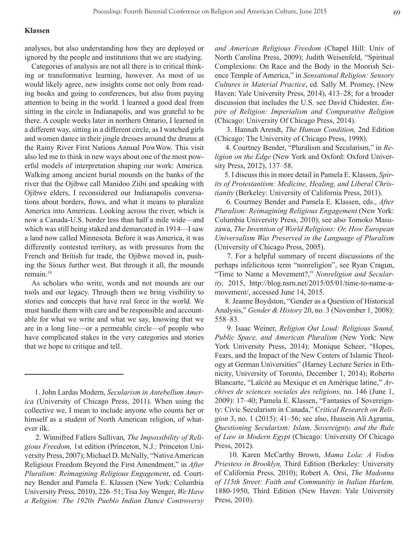## **Klassen**

analyses, but also understanding how they are deployed or ignored by the people and institutions that we are studying.

Categories of analysis are not all there is to critical thinking or transformative learning, however. As most of us would likely agree, new insights come not only from reading books and going to conferences, but also from paying attention to being in the world. I learned a good deal from sitting in the circle in Indianapolis, and was grateful to be there. A couple weeks later in northern Ontario, I learned in a different way, sitting in a different circle, as I watched girls and women dance in their jingle dresses around the drums at the Rainy River First Nations Annual PowWow. This visit also led me to think in new ways about one of the most powerful models of interpretation shaping our work: America. Walking among ancient burial mounds on the banks of the river that the Ojibwe call Manidoo Ziibi and speaking with Ojibwe elders, I reconsidered our Indianapolis conversations about borders, flows, and what it means to pluralize America into Americas. Looking across the river, which is now a Canada-U.S. border less than half a mile wide—and which was still being staked and demarcated in 1914—I saw a land now called Minnesota. Before it was America, it was differently contested territory, as with pressures from the French and British fur trade, the Ojibwe moved in, pushing the Sioux further west. But through it all, the mounds remain.<sup>19</sup>

As scholars who write, words and not mounds are our tools and our legacy. Through them we bring visibility to stories and concepts that have real force in the world. We must handle them with care and be responsible and accountable for what we write and what we say, knowing that we are in a long line—or a permeable circle—of people who have complicated stakes in the very categories and stories that we hope to critique and tell.

*and American Religious Freedom* (Chapel Hill: Univ of North Carolina Press, 2009); Judith Weisenfeld, "Spiritual Complexions: On Race and the Body in the Moorish Science Temple of America," in *Sensational Religion: Sensory Cultures in Material Practice*, ed. Sally M. Promey, (New Haven: Yale University Press, 2014), 413–28; for a broader discussion that includes the U.S. see David Chidester, *Empire of Religion: Imperialism and Comparative Religion*  (Chicago: University Of Chicago Press, 2014).

 3. Hannah Arendt, *The Human Condition,* 2nd Edition (Chicago: The University of Chicago Press, 1998).

 4. Courtney Bender, "Pluralism and Secularism," in *Religion on the Edge* (New York and Oxford: Oxford University Press, 2012), 137–58.

 5. I discuss this in more detail in Pamela E. Klassen, *Spirits of Protestantism: Medicine, Healing, and Liberal Christianity* (Berkeley: University of California Press, 2011).

 6. Courtney Bender and Pamela E. Klassen, eds., *After Pluralism: Reimagining Religious Engagement* (New York: Columbia University Press, 2010); see also Tomoko Masuzawa, *The Invention of World Religions: Or, How European Universalism Was Preserved in the Language of Pluralism*  (University of Chicago Press, 2005).

 7. For a helpful summary of recent discussions of the perhaps infelicitous term "nonreligion", see Ryan Cragun, "Time to Name a Movement?," *Nonreligion and Secularity,* 2015, http://blog.nsrn.net/2015/05/01/time-to-name-amovement/, accessed June 14, 2015.

 8. Jeanne Boydston, "Gender as a Question of Historical Analysis," *Gender & History* 20, no. 3 (November 1, 2008): 558–83.

 9. Isaac Weiner, *Religion Out Loud: Religious Sound, Public Space, and American Pluralism* (New York: New York University Press, 2014); Monique Scheer, "Hopes, Fears, and the Impact of the New Centers of Islamic Theology at German Universities" (Harney Lecture Series in Ethnicity, University of Toronto, December 1, 2014); Roberto Blancarte, "Laïcité au Mexique et en Amérique latine," *Archives de sciences sociales des religions,* no. 146 (June 1, 2009): 17–40; Pamela E. Klassen, "Fantasies of Sovereignty: Civic Secularism in Canada," C*ritical Research on Religion* 3, no. 1 (2015): 41–56; see also, Hussein Ali Agrama, *Questioning Secularism: Islam, Sovereignty, and the Rule of Law in Modern Egypt* (Chicago: University Of Chicago Press, 2012).

 10. Karen McCarthy Brown, *Mama Lola: A Vodou Priestess in Brooklyn,* Third Edition (Berkeley: University of California Press, 2010); Robert A. Orsi, *The Madonna of 115th Street: Faith and Communitiy in Italian Harlem,*  1880-1950, Third Edition (New Haven: Yale University Press, 2010).

 <sup>1.</sup> John Lardas Modern, *Secularism in Antebellum America* (University of Chicago Press, 2011). When using the collective we, I mean to include anyone who counts her or himself as a student of North American religion, of whatever ilk.

 <sup>2.</sup> Winnifred Fallers Sullivan, *The Impossibility of Religious Freedom,* 1st edition (Princeton, N.J.: Princeton University Press, 2007); Michael D. McNally, "Native American Religious Freedom Beyond the First Amendment," in *After Pluralism: Reimagining Religious Engagement*, ed. Courtney Bender and Pamela E. Klassen (New York: Columbia University Press, 2010), 226–51; Tisa Joy Wenger, *We Have a Religion: The 1920s Pueblo Indian Dance Controversy*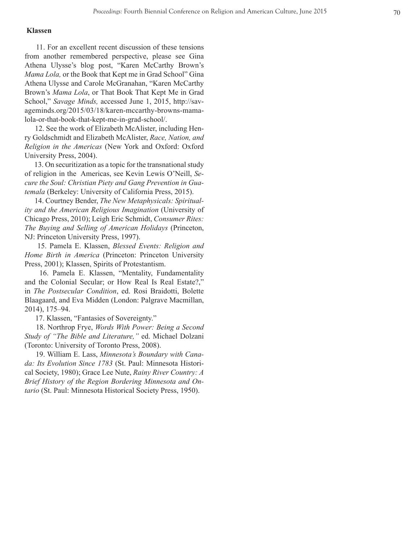## **Klassen**

 11. For an excellent recent discussion of these tensions from another remembered perspective, please see Gina Athena Ulysse's blog post, "Karen McCarthy Brown's *Mama Lola,* or the Book that Kept me in Grad School" Gina Athena Ulysse and Carole McGranahan, "Karen McCarthy Brown's *Mama Lola*, or That Book That Kept Me in Grad School," *Savage Minds,* accessed June 1, 2015, http://sav ageminds.org/2015/03/18/karen-mccarthy-browns-mamalola-or-that-book-that-kept-me-in-grad-school/.

 12. See the work of Elizabeth McAlister, including Hen ry Goldschmidt and Elizabeth McAlister, *Race, Nation, and Religion in the Americas* (New York and Oxford: Oxford University Press, 2004).

 13. On securitization as a topic for the transnational study of religion in the Americas, see Kevin Lewis O'Neill, *Se cure the Soul: Christian Piety and Gang Prevention in Gua temala* (Berkeley: University of California Press, 2015).

 14. Courtney Bender, *The New Metaphysicals: Spiritual ity and the American Religious Imagination* (University of Chicago Press, 2010); Leigh Eric Schmidt, *Consumer Rites: The Buying and Selling of American Holidays* (Princeton, NJ: Princeton University Press, 1997).

 15. Pamela E. Klassen, *Blessed Events: Religion and Home Birth in America* (Princeton: Princeton University Press, 2001); Klassen, Spirits of Protestantism.

 16. Pamela E. Klassen, "Mentality, Fundamentality and the Colonial Secular; or How Real Is Real Estate?," in *The Postsecular Condition*, ed. Rosi Braidotti, Bolette Blaagaard, and Eva Midden (London: Palgrave Macmillan, 2014), 175–94.

17. Klassen, "Fantasies of Sovereignty."

 18. Northrop Frye, *Words With Power: Being a Second Study of "The Bible and Literature,"* ed. Michael Dolzani (Toronto: University of Toronto Press, 2008).

 19. William E. Lass, *Minnesota's Boundary with Cana da: Its Evolution Since 1783* (St. Paul: Minnesota Histori cal Society, 1980); Grace Lee Nute, *Rainy River Country: A Brief History of the Region Bordering Minnesota and On tario* (St. Paul: Minnesota Historical Society Press, 1950).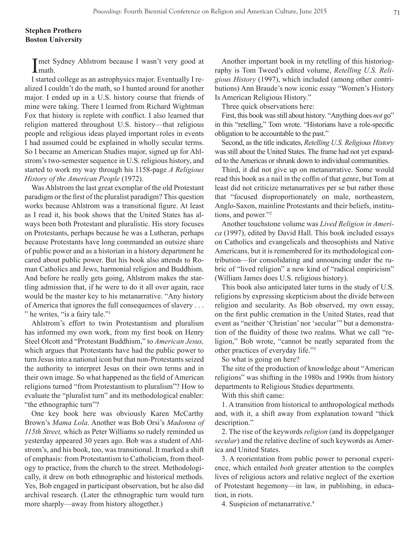## **Stephen Prothero Boston University**

I met Sydney Ahlstrom because I wasn't very good at math.

I started college as an astrophysics major. Eventually I realized I couldn't do the math, so I hunted around for another major. I ended up in a U.S. history course that friends of mine were taking. There I learned from Richard Wightman Fox that history is replete with conflict. I also learned that religion mattered throughout U.S. history—that religious people and religious ideas played important roles in events I had assumed could be explained in wholly secular terms. So I became an American Studies major, signed up for Ahlstrom's two-semester sequence in U.S. religious history, and started to work my way through his 1158-page *A Religious History of the American People* (1972).

Was Ahlstrom the last great exemplar of the old Protestant paradigm or the first of the pluralist paradigm? This question works because Ahlstrom was a transitional figure. At least as I read it, his book shows that the United States has always been both Protestant and pluralistic. His story focuses on Protestants, perhaps because he was a Lutheran, perhaps because Protestants have long commanded an outsize share of public power and as a historian in a history department he cared about public power. But his book also attends to Roman Catholics and Jews, harmonial religion and Buddhism. And before he really gets going, Ahlstrom makes the startling admission that, if he were to do it all over again, race would be the master key to his metanarrative. "Any history of America that ignores the full consequences of slavery . . . " he writes, "is a fairy tale."<sup>1</sup>

Ahlstrom's effort to twin Protestantism and pluralism has informed my own work, from my first book on Henry Steel Olcott and "Protestant Buddhism," to *American Jesus,*  which argues that Protestants have had the public power to turn Jesus into a national icon but that non-Protestants seized the authority to interpret Jesus on their own terms and in their own image. So what happened as the field of American religions turned "from Protestantism to pluralism"? How to evaluate the "pluralist turn" and its methodological enabler: "the ethnographic turn"?

One key book here was obviously Karen McCarthy Brown's *Mama Lola*. Another was Bob Orsi's *Madonna of 115th Street,* which as Peter Williams so rudely reminded us yesterday appeared 30 years ago. Bob was a student of Ahlstrom's, and his book, too, was transitional. It marked a shift of emphasis: from Protestantism to Catholicism, from theology to practice, from the church to the street. Methodologically, it drew on both ethnographic and historical methods. Yes, Bob engaged in participant observation, but he also did archival research. (Later the ethnographic turn would turn more sharply—away from history altogether.)

Another important book in my retelling of this historiography is Tom Tweed's edited volume, *Retelling U.S. Religious History* (1997), which included (among other contributions) Ann Braude's now iconic essay "Women's History Is American Religious History."

Three quick observations here:

First, this book was still about history. "Anything does *not* go" in this "retelling," Tom wrote. "Historians have a role-specific obligation to be accountable to the past."

Second, as the title indicates, *Retelling U.S. Religious History* was still about the United States. The frame had not yet expanded to the Americas or shrunk down to individual communities.

Third, it did not give up on metanarrative. Some would read this book as a nail in the coffin of that genre, but Tom at least did not criticize metanarratives per se but rather those that "focused disproportionately on male, northeastern, Anglo-Saxon, mainline Protestants and their beliefs, institutions, and power."2

Another touchstone volume was *Lived Religion in America* (1997), edited by David Hall. This book included essays on Catholics and evangelicals and theosophists and Native Americans, but it is remembered for its methodological contribution—for consolidating and announcing under the rubric of "lived religion" a new kind of "radical empiricism" (William James does U.S. religious history).

This book also anticipated later turns in the study of U.S. religions by expressing skepticism about the divide between religion and secularity. As Bob observed, my own essay, on the first public cremation in the United States, read that event as "neither 'Christian' nor 'secular'" but a demonstration of the fluidity of those two realms. What we call "religion," Bob wrote, "cannot be neatly separated from the other practices of everyday life."3

So what is going on here?

The site of the production of knowledge about "American religions" was shifting in the 1980s and 1990s from history departments to Religious Studies departments.

With this shift came:

1. A transition from historical to anthropological methods and, with it, a shift away from explanation toward "thick description."

2. The rise of the keywords *religion* (and its doppelganger *secular*) and the relative decline of such keywords as America and United States.

3. A reorientation from public power to personal experience, which entailed *both* greater attention to the complex lives of religious actors and relative neglect of the exertion of Protestant hegemony—in law, in publishing, in education, in riots.

4. Suspicion of metanarrative.4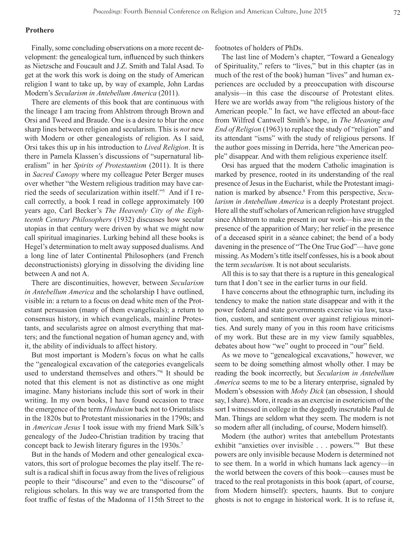#### **Prothero**

Finally, some concluding observations on a more recent development: the genealogical turn, influenced by such thinkers as Nietzsche and Foucault and J.Z. Smith and Talal Asad. To get at the work this work is doing on the study of American religion I want to take up, by way of example, John Lardas Modern's *Secularism in Antebellum America* (2011).

There are elements of this book that are continuous with the lineage I am tracing from Ahlstrom through Brown and Orsi and Tweed and Braude. One is a desire to blur the once sharp lines between religion and secularism. This is *not* new with Modern or other genealogists of religion. As I said, Orsi takes this up in his introduction to *Lived Religion*. It is there in Pamela Klassen's discussions of "supernatural liberalism" in her *Spirits of Protestantism* (2011). It is there in *Sacred Canopy* where my colleague Peter Berger muses over whether "the Western religious tradition may have carried the seeds of secularization within itself."5 And if I recall correctly, a book I read in college approximately 100 years ago, Carl Becker's *The Heavenly City of the Eighteenth Century Philosophers* (1932) discusses how secular utopias in that century were driven by what we might now call spiritual imaginaries. Lurking behind all these books is Hegel's determination to melt away supposed dualisms. And a long line of later Continental Philosophers (and French deconstructionists) glorying in dissolving the dividing line between A and not A.

There are discontinuities, however, between *Secularism in Antebellum America* and the scholarship I have outlined, visible in: a return to a focus on dead white men of the Protestant persuasion (many of them evangelicals); a return to consensus history, in which evangelicals, mainline Protestants, and secularists agree on almost everything that matters; and the functional negation of human agency and, with it, the ability of individuals to affect history.

But most important is Modern's focus on what he calls the "genealogical excavation of the categories evangelicals used to understand themselves and others."6 It should be noted that this element is not as distinctive as one might imagine. Many historians include this sort of work in their writing. In my own books, I have found occasion to trace the emergence of the term *Hinduism* back not to Orientalists in the 1820s but to Protestant missionaries in the 1790s; and in *American Jesus* I took issue with my friend Mark Silk's genealogy of the Judeo-Christian tradition by tracing that concept back to Jewish literary figures in the 1930s.<sup>7</sup>

But in the hands of Modern and other genealogical excavators, this sort of prologue becomes the play itself. The result is a radical shift in focus away from the lives of religious people to their "discourse" and even to the "discourse" of religious scholars. In this way we are transported from the foot traffic of festas of the Madonna of 115th Street to the

footnotes of holders of PhDs.

The last line of Modern's chapter, "Toward a Genealogy of Spirituality," refers to "lives," but in this chapter (as in much of the rest of the book) human "lives" and human experiences are occluded by a preoccupation with discourse analysis—in this case the discourse of Protestant elites. Here we are worlds away from "the religious history of the American people." In fact, we have effected an about-face from Wilfred Cantwell Smith's hope, in *The Meaning and End of Religion* (1963) to replace the study of "religion" and its attendant "isms" with the study of religious persons. If the author goes missing in Derrida, here "the American people" disappear. And with them religious experience itself.

Orsi has argued that the modern Catholic imagination is marked by presence, rooted in its understanding of the real presence of Jesus in the Eucharist, while the Protestant imagination is marked by absence.<sup>8</sup> From this perspective, Secu*larism in Antebellum America* is a deeply Protestant project. Here all the stuff scholars of American religion have struggled since Ahlstrom to make present in our work—his awe in the presence of the apparition of Mary; her relief in the presence of a deceased spirit in a séance cabinet; the bend of a body davening in the presence of "The One True God"—have gone missing. As Modern's title itself confesses, his is a book about the term *secularism.* It is not about secularists.

All this is to say that there is a rupture in this genealogical turn that I don't see in the earlier turns in our field.

I have concerns about the ethnographic turn, including its tendency to make the nation state disappear and with it the power federal and state governments exercise via law, taxation, custom, and sentiment over against religious minorities. And surely many of you in this room have criticisms of my work. But these are in my view family squabbles, debates about how "we" ought to proceed in "our" field.

As we move to "genealogical excavations," however, we seem to be doing something almost wholly other. I may be reading the book incorrectly, but *Secularism in Antebellum America* seems to me to be a literary enterprise, signaled by Modern's obsession with *Moby Dick* (an obsession, I should say, I share). More, it reads as an exercise in esotericism of the sort I witnessed in college in the doggedly inscrutable Paul de Man. Things are seldom what they seem. The modern is not so modern after all (including, of course, Modern himself).

Modern (the author) writes that antebellum Protestants exhibit "anxieties over invisible . . . powers."<sup>9</sup> But these powers are only invisible because Modern is determined not to see them. In a world in which humans lack agency—in the world between the covers of this book—causes must be traced to the real protagonists in this book (apart, of course, from Modern himself): specters, haunts. But to conjure ghosts is not to engage in historical work. It is to refuse it,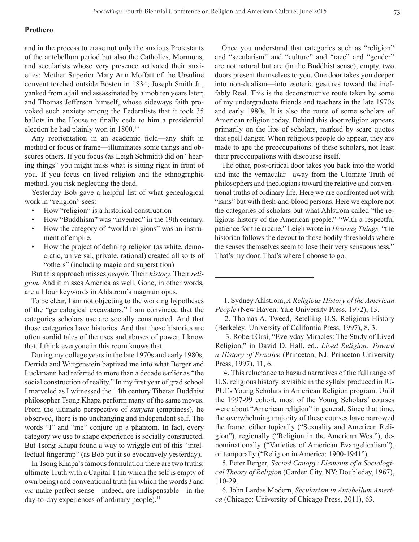## **Prothero**

and in the process to erase not only the anxious Protestants of the antebellum period but also the Catholics, Mormons, and secularists whose very presence activated their anxieties: Mother Superior Mary Ann Moffatt of the Ursuline convent torched outside Boston in 1834; Joseph Smith Jr., yanked from a jail and assassinated by a mob ten years later; and Thomas Jefferson himself, whose sideways faith provoked such anxiety among the Federalists that it took 35 ballots in the House to finally cede to him a presidential election he had plainly won in 1800.10

Any reorientation in an academic field—any shift in method or focus or frame—illuminates some things and obscures others. If you focus (as Leigh Schmidt) did on "hearing things" you might miss what is sitting right in front of you. If you focus on lived religion and the ethnographic method, you risk neglecting the dead.

Yesterday Bob gave a helpful list of what genealogical work in "religion" sees:

- How "religion" is a historical construction
- How "Buddhism" was "invented" in the 19th century.
- How the category of "world religions" was an instrument of empire.
- How the project of defining religion (as white, democratic, universal, private, rational) created all sorts of "others" (including magic and superstition)

But this approach misses *people.* Their *history.* Their *religion.* And it misses America as well. Gone, in other words, are all four keywords in Ahlstrom's magnum opus.

To be clear, I am not objecting to the working hypotheses of the "genealogical excavators." I am convinced that the categories scholars use are socially constructed. And that those categories have histories. And that those histories are often sordid tales of the uses and abuses of power. I know that. I think everyone in this room knows that.

During my college years in the late 1970s and early 1980s, Derrida and Wittgenstein baptized me into what Berger and Luckmann had referred to more than a decade earlier as "the social construction of reality." In my first year of grad school I marveled as I witnessed the 14th century Tibetan Buddhist philosopher Tsong Khapa perform many of the same moves. From the ultimate perspective of *sunyata* (emptiness), he observed, there is no unchanging and independent self. The words "I" and "me" conjure up a phantom. In fact, every category we use to shape experience is socially constructed. But Tsong Khapa found a way to wriggle out of this "intellectual fingertrap" (as Bob put it so evocatively yesterday).

In Tsong Khapa's famous formulation there are two truths: ultimate Truth with a Capital T (in which the self is empty of own being) and conventional truth (in which the words *I* and *me* make perfect sense—indeed, are indispensable—in the day-to-day experiences of ordinary people).<sup>11</sup>

Once you understand that categories such as "religion" and "secularism" and "culture" and "race" and "gender" are not natural but are (in the Buddhist sense), empty, two doors present themselves to you. One door takes you deeper into non-dualism—into esoteric gestures toward the ineffably Real. This is the deconstructive route taken by some of my undergraduate friends and teachers in the late 1970s and early 1980s. It is also the route of some scholars of American religion today. Behind this door religion appears primarily on the lips of scholars, marked by scare quotes that spell danger. When religious people do appear, they are made to ape the preoccupations of these scholars, not least their preoccupations with discourse itself.

The other, post-critical door takes you back into the world and into the vernacular—away from the Ultimate Truth of philosophers and theologians toward the relative and conventional truths of ordinary life. Here we are confronted not with "isms" but with flesh-and-blood persons. Here we explore not the categories of scholars but what Ahlstrom called "the religious history of the American people." "With a respectful patience for the arcane," Leigh wrote in *Hearing Things,* "the historian follows the devout to those bodily thresholds where the senses themselves seem to lose their very sensuousness." That's my door. That's where I choose to go.

 1. Sydney Ahlstrom, *A Religious History of the American People* (New Haven: Yale University Press, 1972), 13.

 2. Thomas A. Tweed, Retelling U.S. Religious History (Berkeley: University of California Press, 1997), 8, 3.

 3. Robert Orsi, "Everyday Miracles: The Study of Lived Religion," in David D. Hall, ed., *Lived Religion: Toward a History of Practice* (Princeton, NJ: Princeton University Press, 1997), 11, 6.

 4. This reluctance to hazard narratives of the full range of U.S. religious history is visible in the syllabi produced in IU-PUI's Young Scholars in American Religion program. Until the 1997-99 cohort, most of the Young Scholars' courses were about "American religion" in general. Since that time, the overwhelming majority of these courses have narrowed the frame, either topically ("Sexuality and American Religion"), regionally ("Religion in the American West"), denominationally ("Varieties of American Evangelicalism"), or temporally ("Religion in America: 1900-1941").

5. Peter Berger, *Sacred Canopy: Elements of a Sociological Theory of Religion* (Garden City, NY: Doubleday, 1967), 110-29.

6. John Lardas Modern, *Secularism in Antebellum America* (Chicago: University of Chicago Press, 2011), 63.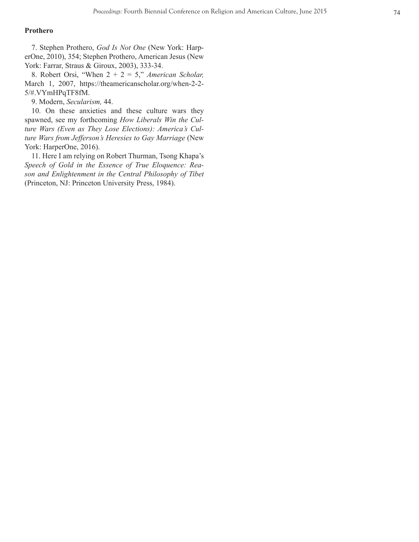## **Prothero**

7. Stephen Prothero, *God Is Not One* (New York: Harp erOne, 2010), 354; Stephen Prothero, American Jesus (New York: Farrar, Straus & Giroux, 2003), 333-34.

8. Robert Orsi, "When 2 + 2 = 5," *American Scholar,*  March 1, 2007, https://theamericanscholar.org/when-2-2- 5/#.VYmHPqTF8fM.

9. Modern, *Secularism,* 44.

10. On these anxieties and these culture wars they spawned, see my forthcoming *How Liberals Win the Cul ture Wars (Even as They Lose Elections): America's Cul ture Wars from Jefferson's Heresies to Gay Marriage* (New York: HarperOne, 2016).

11. Here I am relying on Robert Thurman, Tsong Khapa's *Speech of Gold in the Essence of True Eloquence: Rea son and Enlightenment in the Central Philosophy of Tibet*  (Princeton, NJ: Princeton University Press, 1984).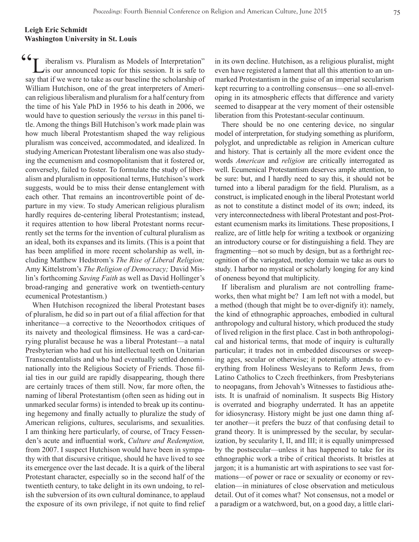## **Leigh Eric Schmidt Washington University in St. Louis**

<sup>-</sup> iberalism vs. Pluralism as Models of Interpretation" is our announced topic for this session. It is safe to say that if we were to take as our baseline the scholarship of William Hutchison, one of the great interpreters of American religious liberalism and pluralism for a half century from the time of his Yale PhD in 1956 to his death in 2006, we would have to question seriously the *versus* in this panel title. Among the things Bill Hutchison's work made plain was how much liberal Protestantism shaped the way religious pluralism was conceived, accommodated, and idealized. In studying American Protestant liberalism one was also studying the ecumenism and cosmopolitanism that it fostered or, conversely, failed to foster. To formulate the study of liberalism and pluralism in oppositional terms, Hutchison's work suggests, would be to miss their dense entanglement with each other. That remains an incontrovertible point of departure in my view. To study American religious pluralism hardly requires de-centering liberal Protestantism; instead, it requires attention to how liberal Protestant norms recurrently set the terms for the invention of cultural pluralism as an ideal, both its expanses and its limits. (This is a point that has been amplified in more recent scholarship as well, including Matthew Hedstrom's *The Rise of Liberal Religion;*  Amy Kittelstrom's *The Religion of Democracy;* David Mislin's forthcoming *Saving Faith* as well as David Hollinger's broad-ranging and generative work on twentieth-century ecumenical Protestantism.)  $66-$ 

When Hutchison recognized the liberal Protestant bases of pluralism, he did so in part out of a filial affection for that inheritance—a corrective to the Neoorthodox critiques of its naivety and theological flimsiness. He was a card-carrying pluralist because he was a liberal Protestant—a natal Presbyterian who had cut his intellectual teeth on Unitarian Transcendentalists and who had eventually settled denominationally into the Religious Society of Friends. Those filial ties in our guild are rapidly disappearing, though there are certainly traces of them still. Now, far more often, the naming of liberal Protestantism (often seen as hiding out in unmarked secular forms) is intended to break up its continuing hegemony and finally actually to pluralize the study of American religions, cultures, secularisms, and sexualities. I am thinking here particularly, of course, of Tracy Fessenden's acute and influential work, *Culture and Redemption,*  from 2007. I suspect Hutchison would have been in sympathy with that discursive critique, should he have lived to see its emergence over the last decade. It is a quirk of the liberal Protestant character, especially so in the second half of the twentieth century, to take delight in its own undoing, to relish the subversion of its own cultural dominance, to applaud the exposure of its own privilege, if not quite to find relief in its own decline. Hutchison, as a religious pluralist, might even have registered a lament that all this attention to an unmarked Protestantism in the guise of an imperial secularism kept recurring to a controlling consensus—one so all-enveloping in its atmospheric effects that difference and variety seemed to disappear at the very moment of their ostensible liberation from this Protestant-secular continuum.

There should be no one centering device, no singular model of interpretation, for studying something as pluriform, polyglot, and unpredictable as religion in American culture and history. That is certainly all the more evident once the words *American* and *religion* are critically interrogated as well. Ecumenical Protestantism deserves ample attention, to be sure: but, and I hardly need to say this, it should not be turned into a liberal paradigm for the field. Pluralism, as a construct, is implicated enough in the liberal Protestant world as not to constitute a distinct model of its own; indeed, its very interconnectedness with liberal Protestant and post-Protestant ecumenism marks its limitations. These propositions, I realize, are of little help for writing a textbook or organizing an introductory course or for distinguishing a field. They are fragmenting—not so much by design, but as a forthright recognition of the variegated, motley domain we take as ours to study. I harbor no mystical or scholarly longing for any kind of oneness beyond that multiplicity.

If liberalism and pluralism are not controlling frameworks, then what might be? I am left not with a model, but a method (though that might be to over-dignify it): namely, the kind of ethnographic approaches, embodied in cultural anthropology and cultural history, which produced the study of lived religion in the first place. Cast in both anthropological and historical terms, that mode of inquiry is culturally particular; it trades not in embedded discourses or sweeping ages, secular or otherwise; it potentially attends to everything from Holiness Wesleyans to Reform Jews, from Latino Catholics to Czech freethinkers, from Presbyterians to neopagans, from Jehovah's Witnesses to fastidious atheists. It is unafraid of nominalism. It suspects Big History is overrated and biography underrated. It has an appetite for idiosyncrasy. History might be just one damn thing after another—it prefers the buzz of that confusing detail to grand theory. It is unimpressed by the secular, by secularization, by secularity I, II, and III; it is equally unimpressed by the postsecular—unless it has happened to take for its ethnographic work a tribe of critical theorists. It bristles at jargon; it is a humanistic art with aspirations to see vast formations—of power or race or sexuality or economy or revelation—in miniatures of close observation and meticulous detail. Out of it comes what? Not consensus, not a model or a paradigm or a watchword, but, on a good day, a little clari-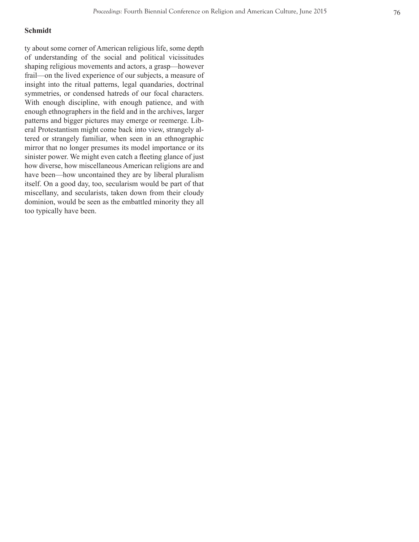## **Schmidt**

ty about some corner of American religious life, some depth of understanding of the social and political vicissitudes shaping religious movements and actors, a grasp—however frail—on the lived experience of our subjects, a measure of insight into the ritual patterns, legal quandaries, doctrinal symmetries, or condensed hatreds of our focal characters. With enough discipline, with enough patience, and with enough ethnographers in the field and in the archives, larger patterns and bigger pictures may emerge or reemerge. Lib eral Protestantism might come back into view, strangely al tered or strangely familiar, when seen in an ethnographic mirror that no longer presumes its model importance or its sinister power. We might even catch a fleeting glance of just how diverse, how miscellaneous American religions are and have been—how uncontained they are by liberal pluralism itself. On a good day, too, secularism would be part of that miscellany, and secularists, taken down from their cloudy dominion, would be seen as the embattled minority they all too typically have been.